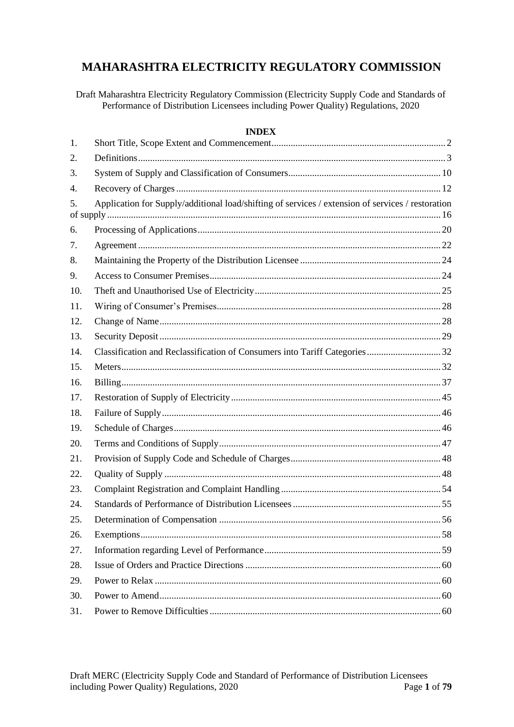# **MAHARASHTRA ELECTRICITY REGULATORY COMMISSION**

Draft Maharashtra Electricity Regulatory Commission (Electricity Supply Code and Standards of Performance of Distribution Licensees including Power Quality) Regulations, 2020

| 1.               | INDEX                                                                                             |  |
|------------------|---------------------------------------------------------------------------------------------------|--|
| 2.               |                                                                                                   |  |
| 3.               |                                                                                                   |  |
| $\overline{4}$ . |                                                                                                   |  |
| 5.               | Application for Supply/additional load/shifting of services / extension of services / restoration |  |
| 6.               |                                                                                                   |  |
| 7.               |                                                                                                   |  |
| 8.               |                                                                                                   |  |
| 9.               |                                                                                                   |  |
| 10.              |                                                                                                   |  |
| 11.              |                                                                                                   |  |
| 12.              |                                                                                                   |  |
| 13.              |                                                                                                   |  |
| 14.              |                                                                                                   |  |
| 15.              |                                                                                                   |  |
| 16.              |                                                                                                   |  |
| 17.              |                                                                                                   |  |
| 18.              |                                                                                                   |  |
| 19.              |                                                                                                   |  |
| 20.              |                                                                                                   |  |
| 21.              |                                                                                                   |  |
| 22.              |                                                                                                   |  |
| 23.              |                                                                                                   |  |
| 24.              |                                                                                                   |  |
| 25.              |                                                                                                   |  |
| 26.              |                                                                                                   |  |
| 27.              |                                                                                                   |  |
| 28.              |                                                                                                   |  |
| 29.              |                                                                                                   |  |
| 30.              |                                                                                                   |  |
| 31.              |                                                                                                   |  |

# **IMDEV**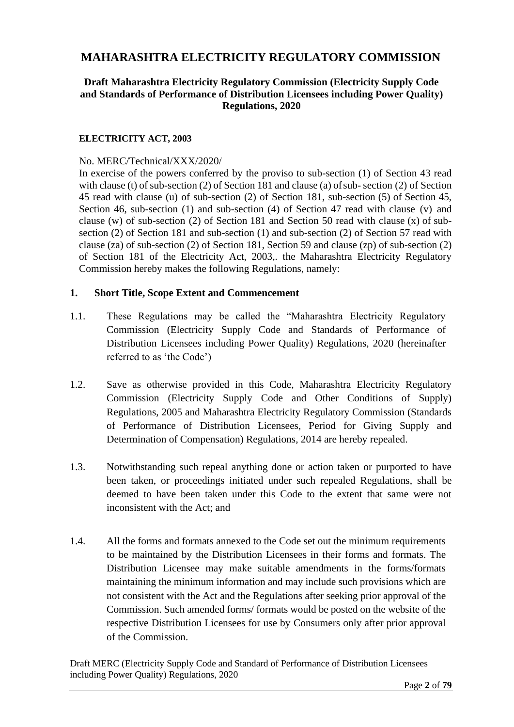# **MAHARASHTRA ELECTRICITY REGULATORY COMMISSION**

#### **Draft Maharashtra Electricity Regulatory Commission (Electricity Supply Code and Standards of Performance of Distribution Licensees including Power Quality) Regulations, 2020**

#### **ELECTRICITY ACT, 2003**

#### No. MERC/Technical/XXX/2020/

In exercise of the powers conferred by the proviso to sub-section (1) of Section 43 read with clause (t) of sub-section (2) of Section 181 and clause (a) of sub-section (2) of Section 45 read with clause (u) of sub-section (2) of Section 181, sub-section (5) of Section 45, Section 46, sub-section (1) and sub-section (4) of Section 47 read with clause (v) and clause (w) of sub-section (2) of Section 181 and Section 50 read with clause (x) of subsection (2) of Section 181 and sub-section (1) and sub-section (2) of Section 57 read with clause (za) of sub-section (2) of Section 181, Section 59 and clause (zp) of sub-section (2) of Section 181 of the Electricity Act, 2003,. the Maharashtra Electricity Regulatory Commission hereby makes the following Regulations, namely:

#### <span id="page-1-0"></span>**1. Short Title, Scope Extent and Commencement**

- 1.1. These Regulations may be called the "Maharashtra Electricity Regulatory Commission (Electricity Supply Code and Standards of Performance of Distribution Licensees including Power Quality) Regulations, 2020 (hereinafter referred to as 'the Code')
- 1.2. Save as otherwise provided in this Code, Maharashtra Electricity Regulatory Commission (Electricity Supply Code and Other Conditions of Supply) Regulations, 2005 and Maharashtra Electricity Regulatory Commission (Standards of Performance of Distribution Licensees, Period for Giving Supply and Determination of Compensation) Regulations, 2014 are hereby repealed.
- 1.3. Notwithstanding such repeal anything done or action taken or purported to have been taken, or proceedings initiated under such repealed Regulations, shall be deemed to have been taken under this Code to the extent that same were not inconsistent with the Act; and
- 1.4. All the forms and formats annexed to the Code set out the minimum requirements to be maintained by the Distribution Licensees in their forms and formats. The Distribution Licensee may make suitable amendments in the forms/formats maintaining the minimum information and may include such provisions which are not consistent with the Act and the Regulations after seeking prior approval of the Commission. Such amended forms/ formats would be posted on the website of the respective Distribution Licensees for use by Consumers only after prior approval of the Commission.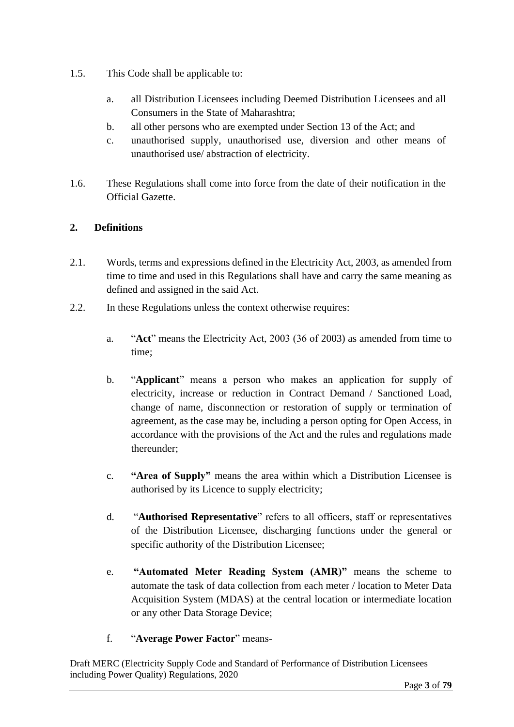- 1.5. This Code shall be applicable to:
	- a. all Distribution Licensees including Deemed Distribution Licensees and all Consumers in the State of Maharashtra;
	- b. all other persons who are exempted under Section 13 of the Act; and
	- c. unauthorised supply, unauthorised use, diversion and other means of unauthorised use/ abstraction of electricity.
- 1.6. These Regulations shall come into force from the date of their notification in the Official Gazette.

# <span id="page-2-0"></span>**2. Definitions**

- 2.1. Words, terms and expressions defined in the Electricity Act, 2003, as amended from time to time and used in this Regulations shall have and carry the same meaning as defined and assigned in the said Act.
- 2.2. In these Regulations unless the context otherwise requires:
	- a. "**Act**" means the Electricity Act, 2003 (36 of 2003) as amended from time to time;
	- b. "**Applicant**" means a person who makes an application for supply of electricity, increase or reduction in Contract Demand / Sanctioned Load, change of name, disconnection or restoration of supply or termination of agreement, as the case may be, including a person opting for Open Access, in accordance with the provisions of the Act and the rules and regulations made thereunder;
	- c. **"Area of Supply"** means the area within which a Distribution Licensee is authorised by its Licence to supply electricity;
	- d. "**Authorised Representative**" refers to all officers, staff or representatives of the Distribution Licensee, discharging functions under the general or specific authority of the Distribution Licensee;
	- e. **"Automated Meter Reading System (AMR)"** means the scheme to automate the task of data collection from each meter / location to Meter Data Acquisition System (MDAS) at the central location or intermediate location or any other Data Storage Device;
	- f. "**Average Power Factor**" means-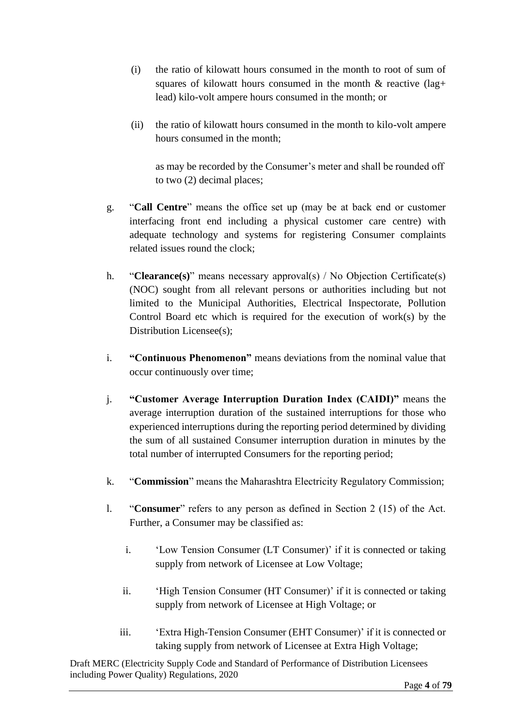- (i) the ratio of kilowatt hours consumed in the month to root of sum of squares of kilowatt hours consumed in the month  $\&$  reactive (lag+ lead) kilo-volt ampere hours consumed in the month; or
- (ii) the ratio of kilowatt hours consumed in the month to kilo-volt ampere hours consumed in the month;

as may be recorded by the Consumer's meter and shall be rounded off to two (2) decimal places;

- g. "**Call Centre**" means the office set up (may be at back end or customer interfacing front end including a physical customer care centre) with adequate technology and systems for registering Consumer complaints related issues round the clock;
- h. "**Clearance(s)**" means necessary approval(s) / No Objection Certificate(s) (NOC) sought from all relevant persons or authorities including but not limited to the Municipal Authorities, Electrical Inspectorate, Pollution Control Board etc which is required for the execution of work(s) by the Distribution Licensee(s);
- i. **"Continuous Phenomenon"** means deviations from the nominal value that occur continuously over time;
- j. **"Customer Average Interruption Duration Index (CAIDI)"** means the average interruption duration of the sustained interruptions for those who experienced interruptions during the reporting period determined by dividing the sum of all sustained Consumer interruption duration in minutes by the total number of interrupted Consumers for the reporting period;
- k. "**Commission**" means the Maharashtra Electricity Regulatory Commission;
- l. "**Consumer**" refers to any person as defined in Section 2 (15) of the Act. Further, a Consumer may be classified as:
	- i. 'Low Tension Consumer (LT Consumer)' if it is connected or taking supply from network of Licensee at Low Voltage;
	- ii. 'High Tension Consumer (HT Consumer)' if it is connected or taking supply from network of Licensee at High Voltage; or
	- iii. 'Extra High-Tension Consumer (EHT Consumer)' if it is connected or taking supply from network of Licensee at Extra High Voltage;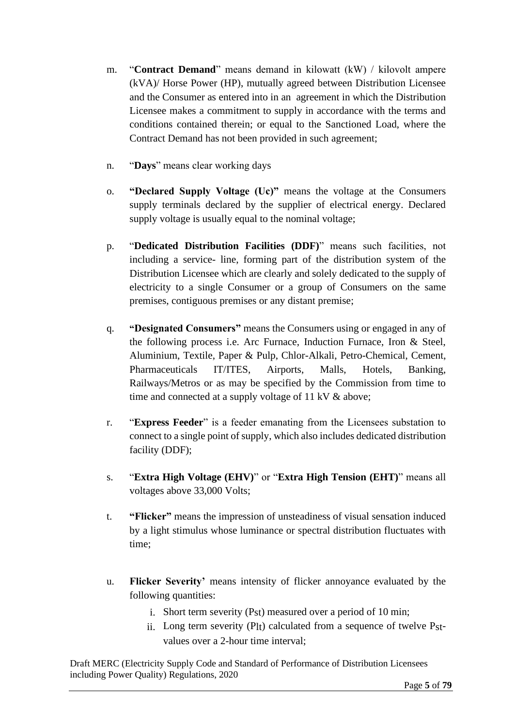- m. "**Contract Demand**" means demand in kilowatt (kW) / kilovolt ampere (kVA)/ Horse Power (HP), mutually agreed between Distribution Licensee and the Consumer as entered into in an agreement in which the Distribution Licensee makes a commitment to supply in accordance with the terms and conditions contained therein; or equal to the Sanctioned Load, where the Contract Demand has not been provided in such agreement;
- <span id="page-4-0"></span>n. "**Days**" means clear working days
- o. **"Declared Supply Voltage (Uc)"** means the voltage at the Consumers supply terminals declared by the supplier of electrical energy. Declared supply voltage is usually equal to the nominal voltage;
- p. "**Dedicated Distribution Facilities (DDF)**" means such facilities, not including a service- line, forming part of the distribution system of the Distribution Licensee which are clearly and solely dedicated to the supply of electricity to a single Consumer or a group of Consumers on the same premises, contiguous premises or any distant premise;
- q. **"Designated Consumers"** means the Consumers using or engaged in any of the following process i.e. Arc Furnace, Induction Furnace, Iron & Steel, Aluminium, Textile, Paper & Pulp, Chlor-Alkali, Petro-Chemical, Cement, Pharmaceuticals IT/ITES, Airports, Malls, Hotels, Banking, Railways/Metros or as may be specified by the Commission from time to time and connected at a supply voltage of 11 kV & above;
- r. "**Express Feeder**" is a feeder emanating from the Licensees substation to connect to a single point of supply, which also includes dedicated distribution facility (DDF);
- s. "**Extra High Voltage (EHV)**" or "**Extra High Tension (EHT)**" means all voltages above 33,000 Volts;
- t. **"Flicker"** means the impression of unsteadiness of visual sensation induced by a light stimulus whose luminance or spectral distribution fluctuates with time;
- u. **Flicker Severity'** means intensity of flicker annoyance evaluated by the following quantities:
	- i. Short term severity (Pst) measured over a period of 10 min;
	- ii. Long term severity (Plt) calculated from a sequence of twelve Pstvalues over a 2-hour time interval;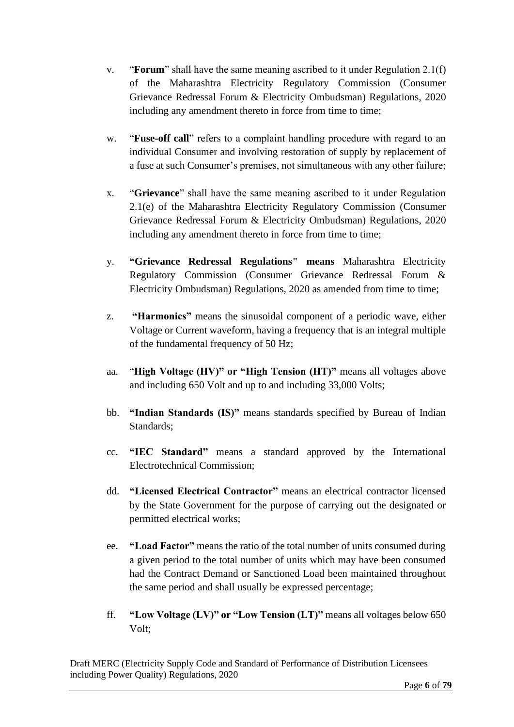- v. "**Forum**" shall have the same meaning ascribed to it under Regulation 2.1(f) of the Maharashtra Electricity Regulatory Commission (Consumer Grievance Redressal Forum & Electricity Ombudsman) Regulations, 2020 including any amendment thereto in force from time to time;
- w. "**Fuse-off call**" refers to a complaint handling procedure with regard to an individual Consumer and involving restoration of supply by replacement of a fuse at such Consumer's premises, not simultaneous with any other failure;
- x. "**Grievance**" shall have the same meaning ascribed to it under Regulation 2.1(e) of the Maharashtra Electricity Regulatory Commission (Consumer Grievance Redressal Forum & Electricity Ombudsman) Regulations, 2020 including any amendment thereto in force from time to time;
- y. **"Grievance Redressal Regulations" means** Maharashtra Electricity Regulatory Commission (Consumer Grievance Redressal Forum & Electricity Ombudsman) Regulations, 2020 as amended from time to time;
- z. **"Harmonics"** means the sinusoidal component of a periodic wave, either Voltage or Current waveform, having a frequency that is an integral multiple of the fundamental frequency of 50 Hz;
- aa. "**High Voltage (HV)" or "High Tension (HT)"** means all voltages above and including 650 Volt and up to and including 33,000 Volts;
- bb. **"Indian Standards (IS)"** means standards specified by Bureau of Indian Standards;
- cc. **"IEC Standard"** means a standard approved by the International Electrotechnical Commission;
- dd. **"Licensed Electrical Contractor"** means an electrical contractor licensed by the State Government for the purpose of carrying out the designated or permitted electrical works;
- ee. **"Load Factor"** means the ratio of the total number of units consumed during a given period to the total number of units which may have been consumed had the Contract Demand or Sanctioned Load been maintained throughout the same period and shall usually be expressed percentage;
- ff. **"Low Voltage (LV)" or "Low Tension (LT)"** means all voltages below 650 Volt;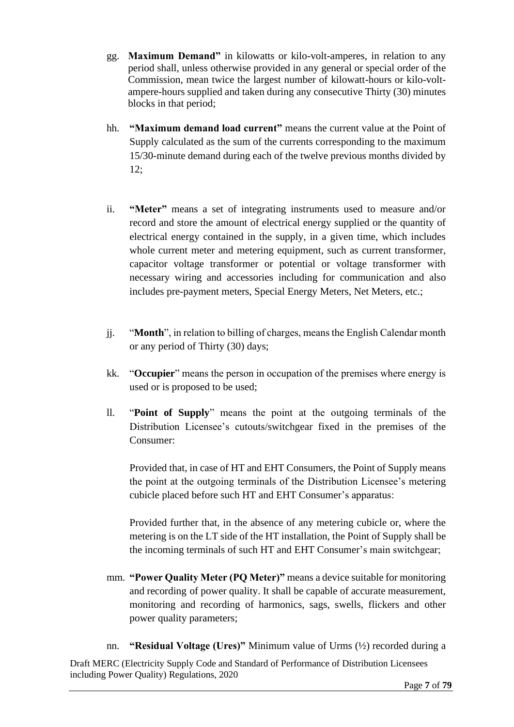- gg. **Maximum Demand"** in kilowatts or kilo-volt-amperes, in relation to any period shall, unless otherwise provided in any general or special order of the Commission, mean twice the largest number of kilowatt-hours or kilo-voltampere-hours supplied and taken during any consecutive Thirty (30) minutes blocks in that period;
- hh. **"Maximum demand load current"** means the current value at the Point of Supply calculated as the sum of the currents corresponding to the maximum 15/30-minute demand during each of the twelve previous months divided by 12;
- ii. **"Meter"** means a set of integrating instruments used to measure and/or record and store the amount of electrical energy supplied or the quantity of electrical energy contained in the supply, in a given time, which includes whole current meter and metering equipment, such as current transformer, capacitor voltage transformer or potential or voltage transformer with necessary wiring and accessories including for communication and also includes pre-payment meters, Special Energy Meters, Net Meters, etc.;
- jj. "**Month**", in relation to billing of charges, means the English Calendar month or any period of Thirty (30) days;
- kk. "**Occupier**" means the person in occupation of the premises where energy is used or is proposed to be used;
- ll. "**Point of Supply**" means the point at the outgoing terminals of the Distribution Licensee's cutouts/switchgear fixed in the premises of the Consumer:

Provided that, in case of HT and EHT Consumers, the Point of Supply means the point at the outgoing terminals of the Distribution Licensee's metering cubicle placed before such HT and EHT Consumer's apparatus:

Provided further that, in the absence of any metering cubicle or, where the metering is on the LT side of the HT installation, the Point of Supply shall be the incoming terminals of such HT and EHT Consumer's main switchgear;

- mm. **"Power Quality Meter (PQ Meter)"** means a device suitable for monitoring and recording of power quality. It shall be capable of accurate measurement, monitoring and recording of harmonics, sags, swells, flickers and other power quality parameters;
- nn. **"Residual Voltage (Ures)"** Minimum value of Urms (½) recorded during a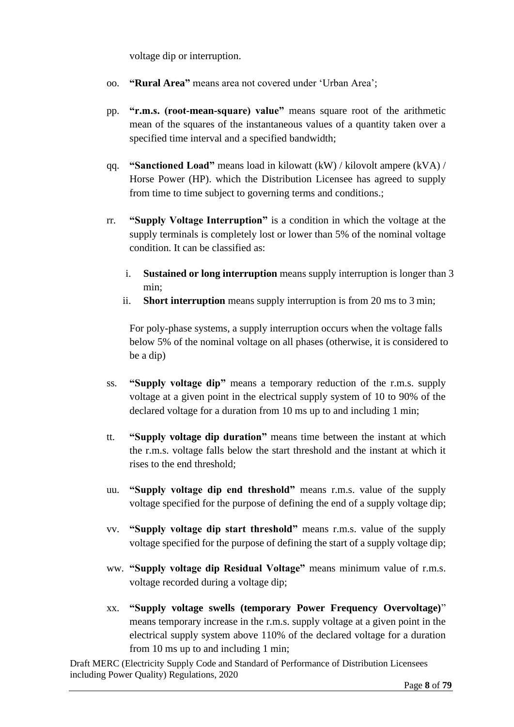voltage dip or interruption.

- oo. **"Rural Area"** means area not covered under 'Urban Area';
- pp. **"r.m.s. (root-mean-square) value"** means square root of the arithmetic mean of the squares of the instantaneous values of a quantity taken over a specified time interval and a specified bandwidth;
- qq. **"Sanctioned Load"** means load in kilowatt (kW) / kilovolt ampere (kVA) / Horse Power (HP). which the Distribution Licensee has agreed to supply from time to time subject to governing terms and conditions.;
- rr. **"Supply Voltage Interruption"** is a condition in which the voltage at the supply terminals is completely lost or lower than 5% of the nominal voltage condition. It can be classified as:
	- i. **Sustained or long interruption** means supply interruption is longer than 3 min;
	- ii. **Short interruption** means supply interruption is from 20 ms to 3 min;

For poly-phase systems, a supply interruption occurs when the voltage falls below 5% of the nominal voltage on all phases (otherwise, it is considered to be a dip)

- ss. **"Supply voltage dip"** means a temporary reduction of the r.m.s. supply voltage at a given point in the electrical supply system of 10 to 90% of the declared voltage for a duration from 10 ms up to and including 1 min;
- tt. **"Supply voltage dip duration"** means time between the instant at which the r.m.s. voltage falls below the start threshold and the instant at which it rises to the end threshold;
- uu. **"Supply voltage dip end threshold"** means r.m.s. value of the supply voltage specified for the purpose of defining the end of a supply voltage dip;
- vv. **"Supply voltage dip start threshold"** means r.m.s. value of the supply voltage specified for the purpose of defining the start of a supply voltage dip;
- ww. **"Supply voltage dip Residual Voltage"** means minimum value of r.m.s. voltage recorded during a voltage dip;
- xx. **"Supply voltage swells (temporary Power Frequency Overvoltage)**" means temporary increase in the r.m.s. supply voltage at a given point in the electrical supply system above 110% of the declared voltage for a duration from 10 ms up to and including 1 min;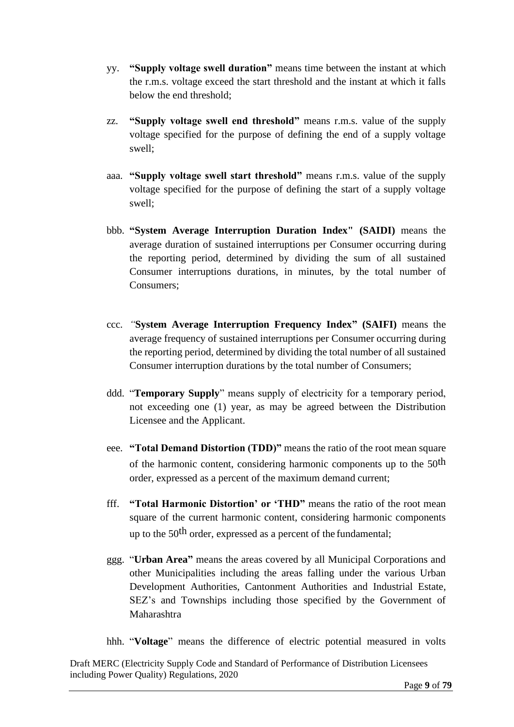- yy. **"Supply voltage swell duration"** means time between the instant at which the r.m.s. voltage exceed the start threshold and the instant at which it falls below the end threshold;
- zz. **"Supply voltage swell end threshold"** means r.m.s. value of the supply voltage specified for the purpose of defining the end of a supply voltage swell;
- aaa. **"Supply voltage swell start threshold"** means r.m.s. value of the supply voltage specified for the purpose of defining the start of a supply voltage swell;
- bbb. **"System Average Interruption Duration Index" (SAIDI)** means the average duration of sustained interruptions per Consumer occurring during the reporting period, determined by dividing the sum of all sustained Consumer interruptions durations, in minutes, by the total number of Consumers;
- ccc. *"***System Average Interruption Frequency Index" (SAIFI)** means the average frequency of sustained interruptions per Consumer occurring during the reporting period, determined by dividing the total number of all sustained Consumer interruption durations by the total number of Consumers;
- <span id="page-8-0"></span>ddd. "**Temporary Supply**" means supply of electricity for a temporary period, not exceeding one (1) year, as may be agreed between the Distribution Licensee and the Applicant.
- eee. **"Total Demand Distortion (TDD)"** means the ratio of the root mean square of the harmonic content, considering harmonic components up to the 50th order, expressed as a percent of the maximum demand current;
- fff. **"Total Harmonic Distortion' or 'THD"** means the ratio of the root mean square of the current harmonic content, considering harmonic components up to the  $50<sup>th</sup>$  order, expressed as a percent of the fundamental;
- ggg. "**Urban Area"** means the areas covered by all Municipal Corporations and other Municipalities including the areas falling under the various Urban Development Authorities, Cantonment Authorities and Industrial Estate, SEZ's and Townships including those specified by the Government of Maharashtra

hhh. "**Voltage**" means the difference of electric potential measured in volts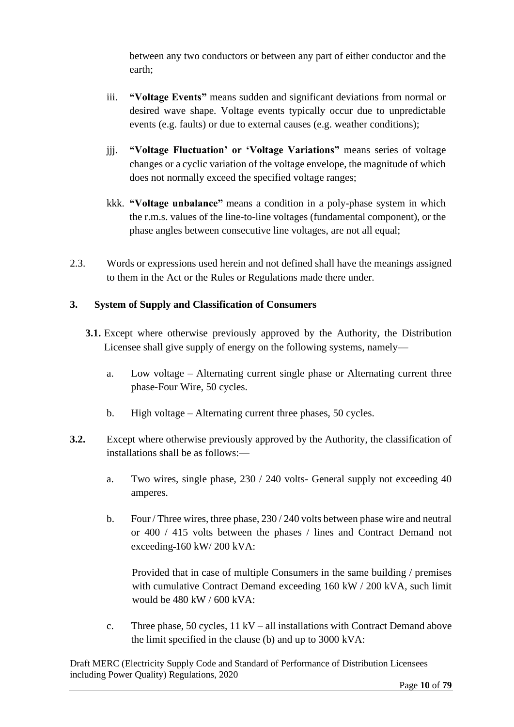between any two conductors or between any part of either conductor and the earth;

- iii. **"Voltage Events"** means sudden and significant deviations from normal or desired wave shape. Voltage events typically occur due to unpredictable events (e.g. faults) or due to external causes (e.g. weather conditions);
- jjj. **"Voltage Fluctuation' or 'Voltage Variations"** means series of voltage changes or a cyclic variation of the voltage envelope, the magnitude of which does not normally exceed the specified voltage ranges;
- kkk. **"Voltage unbalance"** means a condition in a poly-phase system in which the r.m.s. values of the line-to-line voltages (fundamental component), or the phase angles between consecutive line voltages, are not all equal;
- 2.3. Words or expressions used herein and not defined shall have the meanings assigned to them in the Act or the Rules or Regulations made there under.

# <span id="page-9-0"></span>**3. System of Supply and Classification of Consumers**

- **3.1.** Except where otherwise previously approved by the Authority, the Distribution Licensee shall give supply of energy on the following systems, namely
	- a. Low voltage Alternating current single phase or Alternating current three phase-Four Wire, 50 cycles.
	- b. High voltage Alternating current three phases, 50 cycles.
- **3.2.** Except where otherwise previously approved by the Authority, the classification of installations shall be as follows:
	- a. Two wires, single phase, 230 / 240 volts- General supply not exceeding 40 amperes.
	- b. Four / Three wires, three phase, 230 / 240 volts between phase wire and neutral or 400 / 415 volts between the phases / lines and Contract Demand not exceeding 160 kW/ 200 kVA:

Provided that in case of multiple Consumers in the same building / premises with cumulative Contract Demand exceeding 160 kW / 200 kVA, such limit would be 480 kW / 600 kVA:

c. Three phase, 50 cycles,  $11 \text{ kV}$  – all installations with Contract Demand above the limit specified in the clause (b) and up to 3000 kVA: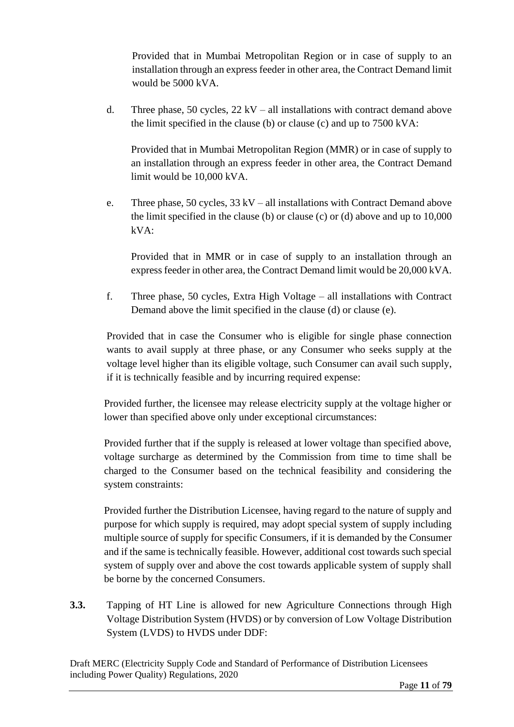Provided that in Mumbai Metropolitan Region or in case of supply to an installation through an express feeder in other area, the Contract Demand limit would be 5000 kVA.

d. Three phase, 50 cycles,  $22 \text{ kV}$  – all installations with contract demand above the limit specified in the clause (b) or clause (c) and up to  $7500 \text{ kVA}$ :

Provided that in Mumbai Metropolitan Region (MMR) or in case of supply to an installation through an express feeder in other area, the Contract Demand limit would be 10,000 kVA.

e. Three phase, 50 cycles,  $33 \text{ kV}$  – all installations with Contract Demand above the limit specified in the clause (b) or clause (c) or (d) above and up to 10,000 kVA:

Provided that in MMR or in case of supply to an installation through an express feeder in other area, the Contract Demand limit would be 20,000 kVA.

f. Three phase, 50 cycles, Extra High Voltage – all installations with Contract Demand above the limit specified in the clause (d) or clause (e).

Provided that in case the Consumer who is eligible for single phase connection wants to avail supply at three phase, or any Consumer who seeks supply at the voltage level higher than its eligible voltage, such Consumer can avail such supply, if it is technically feasible and by incurring required expense:

Provided further, the licensee may release electricity supply at the voltage higher or lower than specified above only under exceptional circumstances:

Provided further that if the supply is released at lower voltage than specified above, voltage surcharge as determined by the Commission from time to time shall be charged to the Consumer based on the technical feasibility and considering the system constraints:

Provided further the Distribution Licensee, having regard to the nature of supply and purpose for which supply is required, may adopt special system of supply including multiple source of supply for specific Consumers, if it is demanded by the Consumer and if the same is technically feasible. However, additional cost towards such special system of supply over and above the cost towards applicable system of supply shall be borne by the concerned Consumers.

**3.3.** Tapping of HT Line is allowed for new Agriculture Connections through High Voltage Distribution System (HVDS) or by conversion of Low Voltage Distribution System (LVDS) to HVDS under DDF: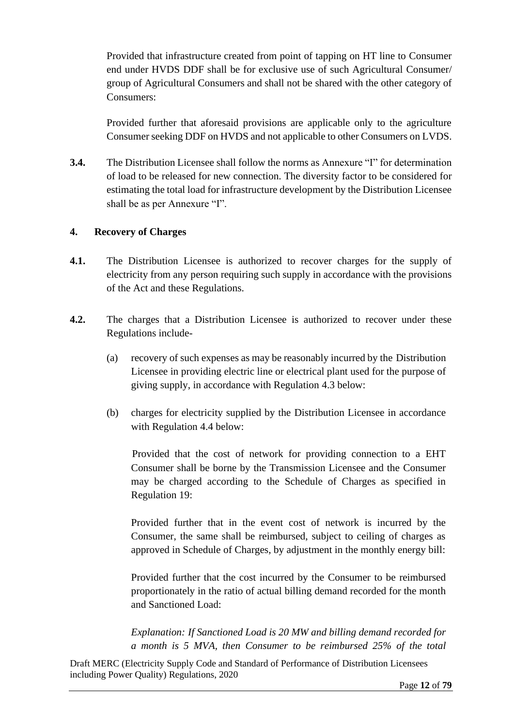Provided that infrastructure created from point of tapping on HT line to Consumer end under HVDS DDF shall be for exclusive use of such Agricultural Consumer/ group of Agricultural Consumers and shall not be shared with the other category of Consumers:

Provided further that aforesaid provisions are applicable only to the agriculture Consumer seeking DDF on HVDS and not applicable to other Consumers on LVDS.

**3.4.** The Distribution Licensee shall follow the norms as Annexure "I" for determination of load to be released for new connection. The diversity factor to be considered for estimating the total load for infrastructure development by the Distribution Licensee shall be as per Annexure "I".

#### <span id="page-11-0"></span>**4. Recovery of Charges**

- **4.1.** The Distribution Licensee is authorized to recover charges for the supply of electricity from any person requiring such supply in accordance with the provisions of the Act and these Regulations.
- <span id="page-11-1"></span>**4.2.** The charges that a Distribution Licensee is authorized to recover under these Regulations include-
	- (a) recovery of such expenses as may be reasonably incurred by the Distribution Licensee in providing electric line or electrical plant used for the purpose of giving supply, in accordance with Regulation [4.3](#page-12-0) below:
	- (b) charges for electricity supplied by the Distribution Licensee in accordance with Regulation 4.4 below:

Provided that the cost of network for providing connection to a EHT Consumer shall be borne by the Transmission Licensee and the Consumer may be charged according to the Schedule of Charges as specified in Regulation 19:

Provided further that in the event cost of network is incurred by the Consumer, the same shall be reimbursed, subject to ceiling of charges as approved in Schedule of Charges, by adjustment in the monthly energy bill:

Provided further that the cost incurred by the Consumer to be reimbursed proportionately in the ratio of actual billing demand recorded for the month and Sanctioned Load:

*Explanation: If Sanctioned Load is 20 MW and billing demand recorded for a month is 5 MVA, then Consumer to be reimbursed 25% of the total*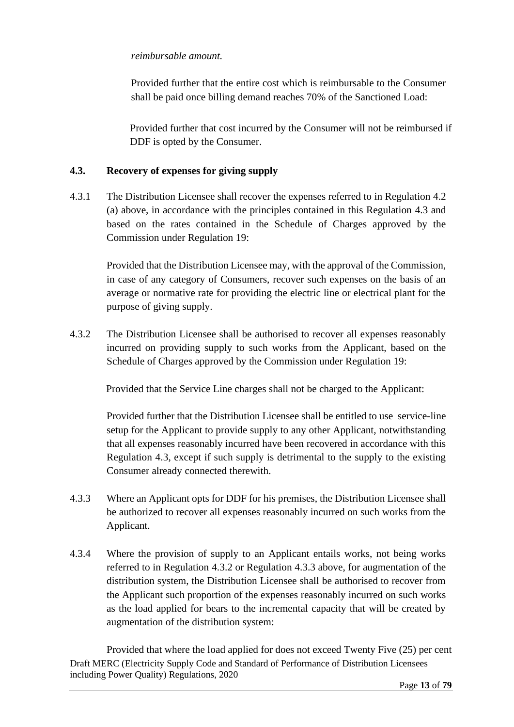#### *reimbursable amount.*

Provided further that the entire cost which is reimbursable to the Consumer shall be paid once billing demand reaches 70% of the Sanctioned Load:

Provided further that cost incurred by the Consumer will not be reimbursed if DDF is opted by the Consumer.

### <span id="page-12-0"></span>**4.3. Recovery of expenses for giving supply**

4.3.1 The Distribution Licensee shall recover the expenses referred to in Regulation [4.2](#page-11-1) (a) above, in accordance with the principles contained in this Regulation [4.3](#page-12-0) and based on the rates contained in the Schedule of Charges approved by the Commission under Regulation 19:

Provided that the Distribution Licensee may, with the approval of the Commission, in case of any category of Consumers, recover such expenses on the basis of an average or normative rate for providing the electric line or electrical plant for the purpose of giving supply.

<span id="page-12-1"></span>4.3.2 The Distribution Licensee shall be authorised to recover all expenses reasonably incurred on providing supply to such works from the Applicant, based on the Schedule of Charges approved by the Commission under Regulation 19:

Provided that the Service Line charges shall not be charged to the Applicant:

Provided further that the Distribution Licensee shall be entitled to use service-line setup for the Applicant to provide supply to any other Applicant, notwithstanding that all expenses reasonably incurred have been recovered in accordance with this Regulation [4.3,](#page-12-0) except if such supply is detrimental to the supply to the existing Consumer already connected therewith.

- <span id="page-12-2"></span>4.3.3 Where an Applicant opts for [DDF](#page-4-0) for his premises, the Distribution Licensee shall be authorized to recover all expenses reasonably incurred on such works from the Applicant.
- 4.3.4 Where the provision of supply to an Applicant entails works, not being works referred to in Regulation [4.3.2](#page-12-1) or Regulation [4.3.3](#page-12-2) above, for augmentation of the distribution system, the Distribution Licensee shall be authorised to recover from the Applicant such proportion of the expenses reasonably incurred on such works as the load applied for bears to the incremental capacity that will be created by augmentation of the distribution system:

Draft MERC (Electricity Supply Code and Standard of Performance of Distribution Licensees including Power Quality) Regulations, 2020 Provided that where the load applied for does not exceed Twenty Five (25) per cent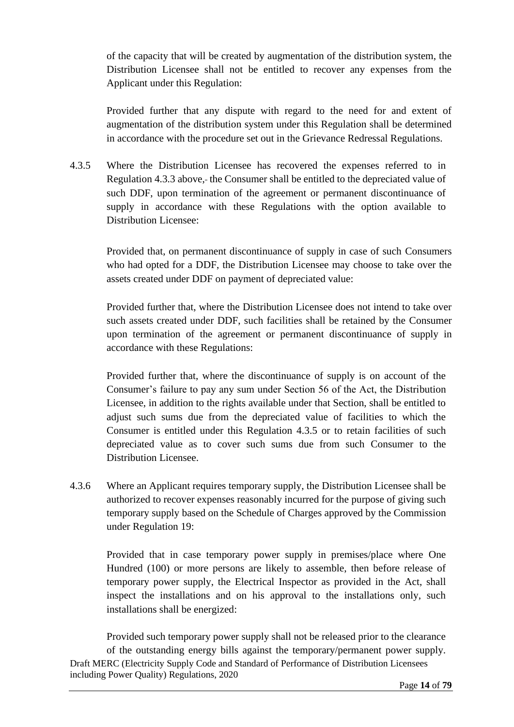of the capacity that will be created by augmentation of the distribution system, the Distribution Licensee shall not be entitled to recover any expenses from the Applicant under this Regulation:

Provided further that any dispute with regard to the need for and extent of augmentation of the distribution system under this Regulation shall be determined in accordance with the procedure set out in the Grievance Redressal Regulations.

4.3.5 Where the Distribution Licensee has recovered the expenses referred to in Regulation [4.3.3](#page-12-2) above, the Consumer shall be entitled to the depreciated value of such DDF, upon termination of the agreement or permanent discontinuance of supply in accordance with these Regulations with the option available to Distribution Licensee:

Provided that, on permanent discontinuance of supply in case of such Consumers who had opted for a DDF, the Distribution Licensee may choose to take over the assets created under DDF on payment of depreciated value:

Provided further that, where the Distribution Licensee does not intend to take over such assets created under DDF, such facilities shall be retained by the Consumer upon termination of the agreement or permanent discontinuance of supply in accordance with these Regulations:

Provided further that, where the discontinuance of supply is on account of the Consumer's failure to pay any sum under Section 56 of the Act, the Distribution Licensee, in addition to the rights available under that Section, shall be entitled to adjust such sums due from the depreciated value of facilities to which the Consumer is entitled under this Regulation 4.3.5 or to retain facilities of such depreciated value as to cover such sums due from such Consumer to the Distribution Licensee.

4.3.6 Where an Applicant requires [temporary supply,](#page-8-0) the Distribution Licensee shall be authorized to recover expenses reasonably incurred for the purpose of giving such temporary supply based on the Schedule of Charges approved by the Commission under Regulation 19:

Provided that in case temporary power supply in premises/place where One Hundred (100) or more persons are likely to assemble, then before release of temporary power supply, the Electrical Inspector as provided in the Act, shall inspect the installations and on his approval to the installations only, such installations shall be energized:

Draft MERC (Electricity Supply Code and Standard of Performance of Distribution Licensees including Power Quality) Regulations, 2020 Provided such temporary power supply shall not be released prior to the clearance of the outstanding energy bills against the temporary/permanent power supply.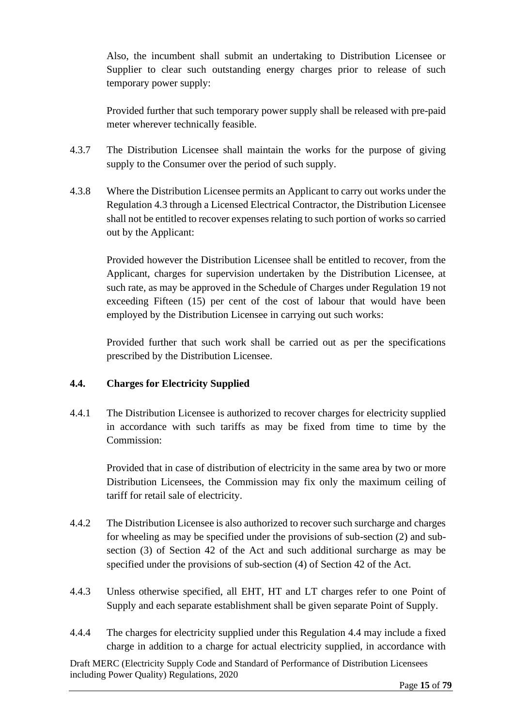Also, the incumbent shall submit an undertaking to Distribution Licensee or Supplier to clear such outstanding energy charges prior to release of such temporary power supply:

Provided further that such temporary power supply shall be released with pre-paid meter wherever technically feasible.

- 4.3.7 The Distribution Licensee shall maintain the works for the purpose of giving supply to the Consumer over the period of such supply.
- 4.3.8 Where the Distribution Licensee permits an Applicant to carry out works under the Regulation 4.3 through a Licensed Electrical Contractor, the Distribution Licensee shall not be entitled to recover expenses relating to such portion of works so carried out by the Applicant:

Provided however the Distribution Licensee shall be entitled to recover, from the Applicant, charges for supervision undertaken by the Distribution Licensee, at such rate, as may be approved in the Schedule of Charges under Regulation 19 not exceeding Fifteen (15) per cent of the cost of labour that would have been employed by the Distribution Licensee in carrying out such works:

Provided further that such work shall be carried out as per the specifications prescribed by the Distribution Licensee.

# **4.4. Charges for Electricity Supplied**

4.4.1 The Distribution Licensee is authorized to recover charges for electricity supplied in accordance with such tariffs as may be fixed from time to time by the Commission:

Provided that in case of distribution of electricity in the same area by two or more Distribution Licensees, the Commission may fix only the maximum ceiling of tariff for retail sale of electricity.

- 4.4.2 The Distribution Licensee is also authorized to recover such surcharge and charges for wheeling as may be specified under the provisions of sub-section (2) and subsection (3) of Section 42 of the Act and such additional surcharge as may be specified under the provisions of sub-section (4) of Section 42 of the Act.
- 4.4.3 Unless otherwise specified, all EHT, HT and LT charges refer to one Point of Supply and each separate establishment shall be given separate Point of Supply.
- 4.4.4 The charges for electricity supplied under this Regulation 4.4 may include a fixed charge in addition to a charge for actual electricity supplied, in accordance with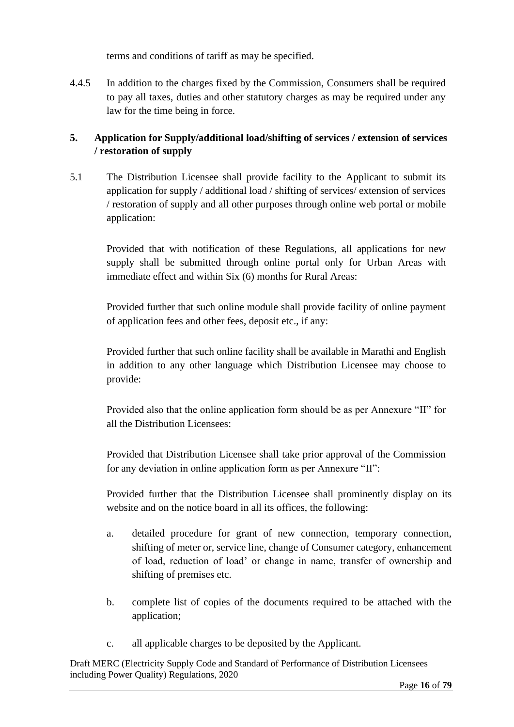terms and conditions of tariff as may be specified.

4.4.5 In addition to the charges fixed by the Commission, Consumers shall be required to pay all taxes, duties and other statutory charges as may be required under any law for the time being in force.

# <span id="page-15-0"></span>**5. Application for Supply/additional load/shifting of services / extension of services / restoration of supply**

5.1 The Distribution Licensee shall provide facility to the Applicant to submit its application for supply / additional load / shifting of services/ extension of services / restoration of supply and all other purposes through online web portal or mobile application:

Provided that with notification of these Regulations, all applications for new supply shall be submitted through online portal only for Urban Areas with immediate effect and within Six (6) months for Rural Areas:

Provided further that such online module shall provide facility of online payment of application fees and other fees, deposit etc., if any:

Provided further that such online facility shall be available in Marathi and English in addition to any other language which Distribution Licensee may choose to provide:

Provided also that the online application form should be as per Annexure "II" for all the Distribution Licensees:

Provided that Distribution Licensee shall take prior approval of the Commission for any deviation in online application form as per Annexure "II":

Provided further that the Distribution Licensee shall prominently display on its website and on the notice board in all its offices, the following:

- a. detailed procedure for grant of new connection, temporary connection, shifting of meter or, service line, change of Consumer category, enhancement of load, reduction of load' or change in name, transfer of ownership and shifting of premises etc.
- b. complete list of copies of the documents required to be attached with the application;
- c. all applicable charges to be deposited by the Applicant.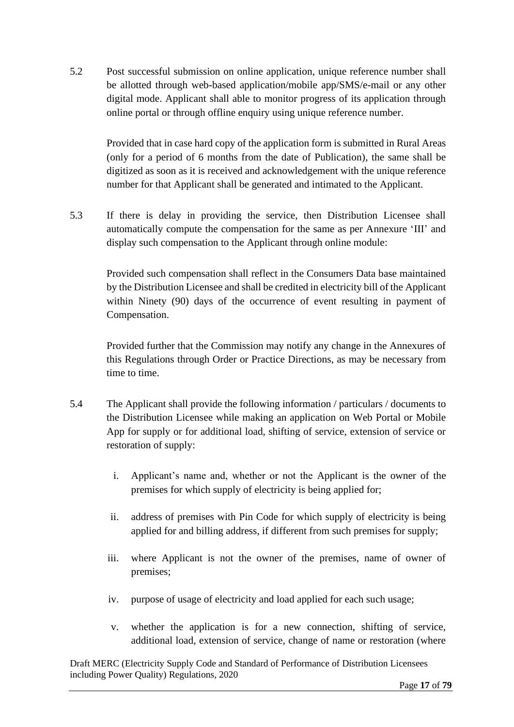5.2 Post successful submission on online application, unique reference number shall be allotted through web-based application/mobile app/SMS/e-mail or any other digital mode. Applicant shall able to monitor progress of its application through online portal or through offline enquiry using unique reference number.

Provided that in case hard copy of the application form is submitted in Rural Areas (only for a period of 6 months from the date of Publication), the same shall be digitized as soon as it is received and acknowledgement with the unique reference number for that Applicant shall be generated and intimated to the Applicant.

5.3 If there is delay in providing the service, then Distribution Licensee shall automatically compute the compensation for the same as per Annexure 'III' and display such compensation to the Applicant through online module:

Provided such compensation shall reflect in the Consumers Data base maintained by the Distribution Licensee and shall be credited in electricity bill of the Applicant within Ninety (90) days of the occurrence of event resulting in payment of Compensation.

Provided further that the Commission may notify any change in the Annexures of this Regulations through Order or Practice Directions, as may be necessary from time to time.

- 5.4 The Applicant shall provide the following information / particulars / documents to the Distribution Licensee while making an application on Web Portal or Mobile App for supply or for additional load, shifting of service, extension of service or restoration of supply:
	- i. Applicant's name and, whether or not the Applicant is the owner of the premises for which supply of electricity is being applied for;
	- ii. address of premises with Pin Code for which supply of electricity is being applied for and billing address, if different from such premises for supply;
	- iii. where Applicant is not the owner of the premises, name of owner of premises;
	- iv. purpose of usage of electricity and load applied for each such usage;
	- v. whether the application is for a new connection, shifting of service, additional load, extension of service, change of name or restoration (where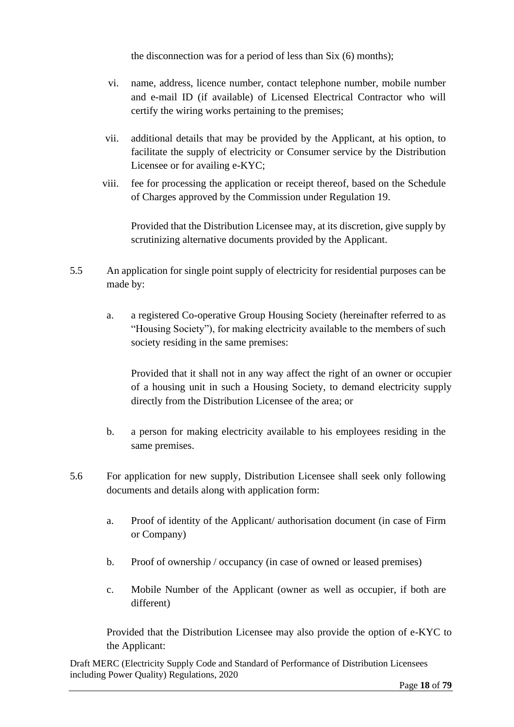the disconnection was for a period of less than Six (6) months);

- vi. name, address, licence number, contact telephone number, mobile number and e-mail ID (if available) of Licensed Electrical Contractor who will certify the wiring works pertaining to the premises;
- vii. additional details that may be provided by the Applicant, at his option, to facilitate the supply of electricity or Consumer service by the Distribution Licensee or for availing e-KYC;
- viii. fee for processing the application or receipt thereof, based on the Schedule of Charges approved by the Commission under Regulation 19.

Provided that the Distribution Licensee may, at its discretion, give supply by scrutinizing alternative documents provided by the Applicant.

- 5.5 An application for single point supply of electricity for residential purposes can be made by:
	- a. a registered Co-operative Group Housing Society (hereinafter referred to as "Housing Society"), for making electricity available to the members of such society residing in the same premises:

Provided that it shall not in any way affect the right of an owner or occupier of a housing unit in such a Housing Society, to demand electricity supply directly from the Distribution Licensee of the area; or

- b. a person for making electricity available to his employees residing in the same premises.
- 5.6 For application for new supply, Distribution Licensee shall seek only following documents and details along with application form:
	- a. Proof of identity of the Applicant/ authorisation document (in case of Firm or Company)
	- b. Proof of ownership / occupancy (in case of owned or leased premises)
	- c. Mobile Number of the Applicant (owner as well as occupier, if both are different)

Provided that the Distribution Licensee may also provide the option of e-KYC to the Applicant: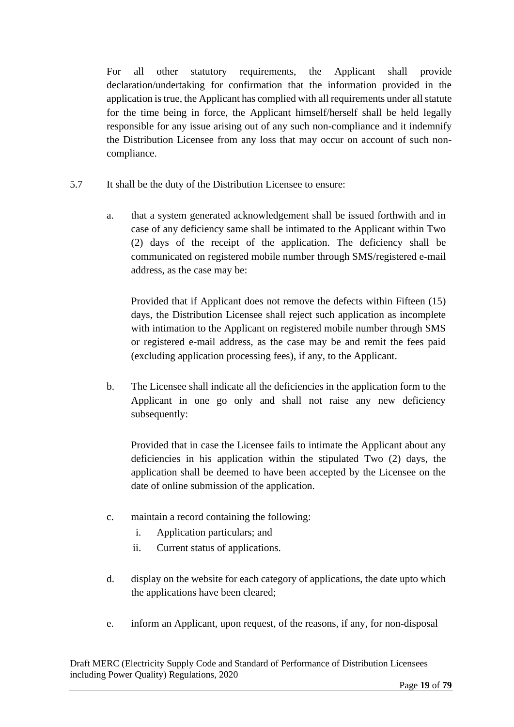For all other statutory requirements, the Applicant shall provide declaration/undertaking for confirmation that the information provided in the application is true, the Applicant has complied with all requirements under all statute for the time being in force, the Applicant himself/herself shall be held legally responsible for any issue arising out of any such non-compliance and it indemnify the Distribution Licensee from any loss that may occur on account of such noncompliance.

- 5.7 It shall be the duty of the Distribution Licensee to ensure:
	- a. that a system generated acknowledgement shall be issued forthwith and in case of any deficiency same shall be intimated to the Applicant within Two (2) days of the receipt of the application. The deficiency shall be communicated on registered mobile number through SMS/registered e-mail address, as the case may be:

Provided that if Applicant does not remove the defects within Fifteen (15) days, the Distribution Licensee shall reject such application as incomplete with intimation to the Applicant on registered mobile number through SMS or registered e-mail address, as the case may be and remit the fees paid (excluding application processing fees), if any, to the Applicant.

b. The Licensee shall indicate all the deficiencies in the application form to the Applicant in one go only and shall not raise any new deficiency subsequently:

Provided that in case the Licensee fails to intimate the Applicant about any deficiencies in his application within the stipulated Two (2) days, the application shall be deemed to have been accepted by the Licensee on the date of online submission of the application.

- c. maintain a record containing the following:
	- i. Application particulars; and
	- ii. Current status of applications.
- d. display on the website for each category of applications, the date upto which the applications have been cleared;
- e. inform an Applicant, upon request, of the reasons, if any, for non-disposal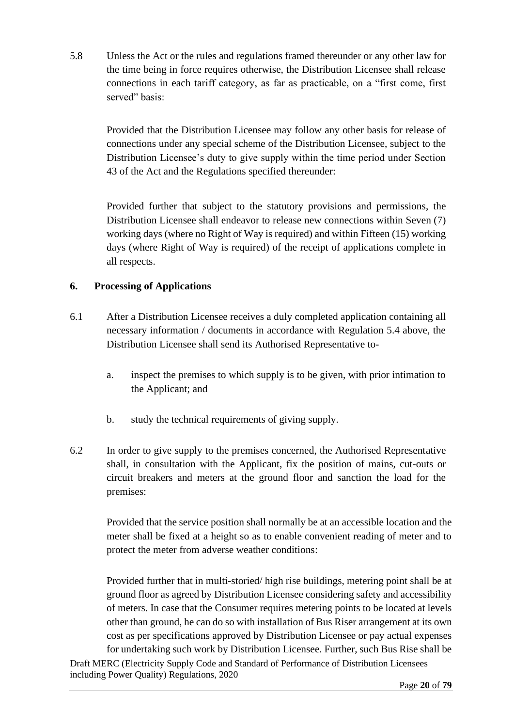5.8 Unless the Act or the rules and regulations framed thereunder or any other law for the time being in force requires otherwise, the Distribution Licensee shall release connections in each tariff category, as far as practicable, on a "first come, first served" basis:

Provided that the Distribution Licensee may follow any other basis for release of connections under any special scheme of the Distribution Licensee, subject to the Distribution Licensee's duty to give supply within the time period under Section 43 of the Act and the Regulations specified thereunder:

Provided further that subject to the statutory provisions and permissions, the Distribution Licensee shall endeavor to release new connections within Seven (7) working days (where no Right of Way is required) and within Fifteen (15) working days (where Right of Way is required) of the receipt of applications complete in all respects.

### <span id="page-19-0"></span>**6. Processing of Applications**

- 6.1 After a Distribution Licensee receives a duly completed application containing all necessary information / documents in accordance with Regulation 5.4 above, the Distribution Licensee shall send its Authorised Representative to
	- a. inspect the premises to which supply is to be given, with prior intimation to the Applicant; and
	- b. study the technical requirements of giving supply.
- 6.2 In order to give supply to the premises concerned, the Authorised Representative shall, in consultation with the Applicant, fix the position of mains, cut-outs or circuit breakers and meters at the ground floor and sanction the load for the premises:

Provided that the service position shall normally be at an accessible location and the meter shall be fixed at a height so as to enable convenient reading of meter and to protect the meter from adverse weather conditions:

Provided further that in multi-storied/ high rise buildings, metering point shall be at ground floor as agreed by Distribution Licensee considering safety and accessibility of meters. In case that the Consumer requires metering points to be located at levels other than ground, he can do so with installation of Bus Riser arrangement at its own cost as per specifications approved by Distribution Licensee or pay actual expenses for undertaking such work by Distribution Licensee. Further, such Bus Rise shall be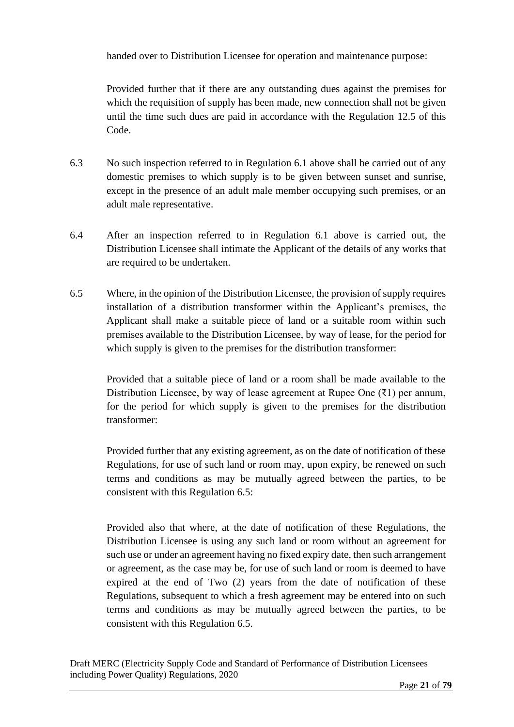handed over to Distribution Licensee for operation and maintenance purpose:

Provided further that if there are any outstanding dues against the premises for which the requisition of supply has been made, new connection shall not be given until the time such dues are paid in accordance with the Regulation 12.5 of this Code.

- 6.3 No such inspection referred to in Regulation 6.1 above shall be carried out of any domestic premises to which supply is to be given between sunset and sunrise, except in the presence of an adult male member occupying such premises, or an adult male representative.
- 6.4 After an inspection referred to in Regulation 6.1 above is carried out, the Distribution Licensee shall intimate the Applicant of the details of any works that are required to be undertaken.
- 6.5 Where, in the opinion of the Distribution Licensee, the provision of supply requires installation of a distribution transformer within the Applicant's premises, the Applicant shall make a suitable piece of land or a suitable room within such premises available to the Distribution Licensee, by way of lease, for the period for which supply is given to the premises for the distribution transformer:

Provided that a suitable piece of land or a room shall be made available to the Distribution Licensee, by way of lease agreement at Rupee One  $(\bar{\tau}_1)$  per annum, for the period for which supply is given to the premises for the distribution transformer:

Provided further that any existing agreement, as on the date of notification of these Regulations, for use of such land or room may, upon expiry, be renewed on such terms and conditions as may be mutually agreed between the parties, to be consistent with this Regulation 6.5:

Provided also that where, at the date of notification of these Regulations, the Distribution Licensee is using any such land or room without an agreement for such use or under an agreement having no fixed expiry date, then such arrangement or agreement, as the case may be, for use of such land or room is deemed to have expired at the end of Two (2) years from the date of notification of these Regulations, subsequent to which a fresh agreement may be entered into on such terms and conditions as may be mutually agreed between the parties, to be consistent with this Regulation 6.5.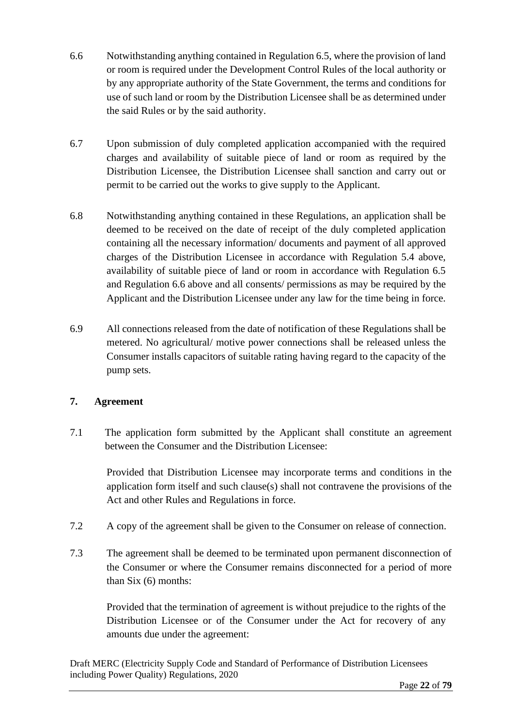- 6.6 Notwithstanding anything contained in Regulation 6.5, where the provision of land or room is required under the Development Control Rules of the local authority or by any appropriate authority of the State Government, the terms and conditions for use of such land or room by the Distribution Licensee shall be as determined under the said Rules or by the said authority.
- 6.7 Upon submission of duly completed application accompanied with the required charges and availability of suitable piece of land or room as required by the Distribution Licensee, the Distribution Licensee shall sanction and carry out or permit to be carried out the works to give supply to the Applicant.
- 6.8 Notwithstanding anything contained in these Regulations, an application shall be deemed to be received on the date of receipt of the duly completed application containing all the necessary information/ documents and payment of all approved charges of the Distribution Licensee in accordance with Regulation 5.4 above, availability of suitable piece of land or room in accordance with Regulation 6.5 and Regulation 6.6 above and all consents/ permissions as may be required by the Applicant and the Distribution Licensee under any law for the time being in force.
- 6.9 All connections released from the date of notification of these Regulations shall be metered. No agricultural/ motive power connections shall be released unless the Consumer installs capacitors of suitable rating having regard to the capacity of the pump sets.

# <span id="page-21-0"></span>**7. Agreement**

7.1 The application form submitted by the Applicant shall constitute an agreement between the Consumer and the Distribution Licensee:

Provided that Distribution Licensee may incorporate terms and conditions in the application form itself and such clause(s) shall not contravene the provisions of the Act and other Rules and Regulations in force.

- 7.2 A copy of the agreement shall be given to the Consumer on release of connection.
- 7.3 The agreement shall be deemed to be terminated upon permanent disconnection of the Consumer or where the Consumer remains disconnected for a period of more than Six (6) months:

Provided that the termination of agreement is without prejudice to the rights of the Distribution Licensee or of the Consumer under the Act for recovery of any amounts due under the agreement: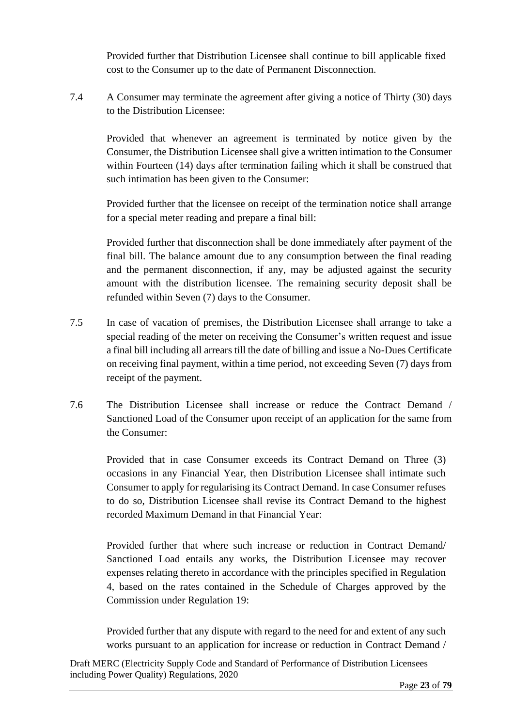Provided further that Distribution Licensee shall continue to bill applicable fixed cost to the Consumer up to the date of Permanent Disconnection.

7.4 A Consumer may terminate the agreement after giving a notice of Thirty (30) days to the Distribution Licensee:

Provided that whenever an agreement is terminated by notice given by the Consumer, the Distribution Licensee shall give a written intimation to the Consumer within Fourteen (14) days after termination failing which it shall be construed that such intimation has been given to the Consumer:

Provided further that the licensee on receipt of the termination notice shall arrange for a special meter reading and prepare a final bill:

Provided further that disconnection shall be done immediately after payment of the final bill. The balance amount due to any consumption between the final reading and the permanent disconnection, if any, may be adjusted against the security amount with the distribution licensee. The remaining security deposit shall be refunded within Seven (7) days to the Consumer.

- 7.5 In case of vacation of premises, the Distribution Licensee shall arrange to take a special reading of the meter on receiving the Consumer's written request and issue a final bill including all arrears till the date of billing and issue a No-Dues Certificate on receiving final payment, within a time period, not exceeding Seven (7) days from receipt of the payment.
- 7.6 The Distribution Licensee shall increase or reduce the Contract Demand / Sanctioned Load of the Consumer upon receipt of an application for the same from the Consumer:

Provided that in case Consumer exceeds its Contract Demand on Three (3) occasions in any Financial Year, then Distribution Licensee shall intimate such Consumer to apply for regularising its Contract Demand. In case Consumer refuses to do so, Distribution Licensee shall revise its Contract Demand to the highest recorded Maximum Demand in that Financial Year:

Provided further that where such increase or reduction in Contract Demand/ Sanctioned Load entails any works, the Distribution Licensee may recover expenses relating thereto in accordance with the principles specified in Regulation 4, based on the rates contained in the Schedule of Charges approved by the Commission under Regulation 19:

Provided further that any dispute with regard to the need for and extent of any such works pursuant to an application for increase or reduction in Contract Demand /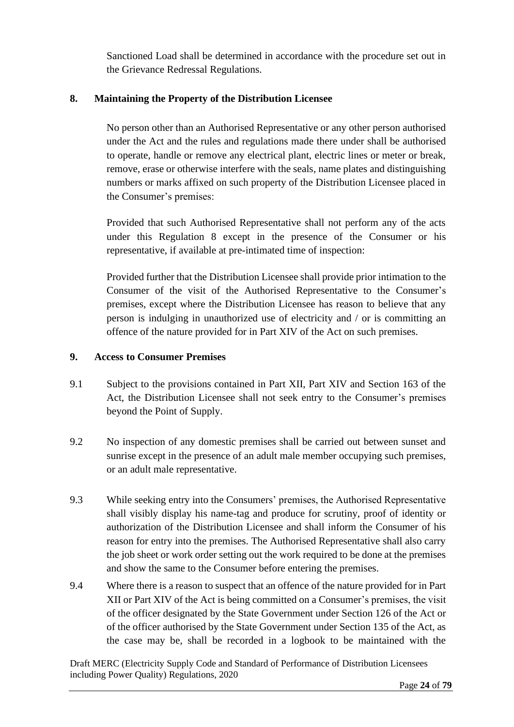Sanctioned Load shall be determined in accordance with the procedure set out in the Grievance Redressal Regulations.

# <span id="page-23-0"></span>**8. Maintaining the Property of the Distribution Licensee**

No person other than an Authorised Representative or any other person authorised under the Act and the rules and regulations made there under shall be authorised to operate, handle or remove any electrical plant, electric lines or meter or break, remove, erase or otherwise interfere with the seals, name plates and distinguishing numbers or marks affixed on such property of the Distribution Licensee placed in the Consumer's premises:

Provided that such Authorised Representative shall not perform any of the acts under this Regulation 8 except in the presence of the Consumer or his representative, if available at pre-intimated time of inspection:

Provided further that the Distribution Licensee shall provide prior intimation to the Consumer of the visit of the Authorised Representative to the Consumer's premises, except where the Distribution Licensee has reason to believe that any person is indulging in unauthorized use of electricity and / or is committing an offence of the nature provided for in Part XIV of the Act on such premises.

### <span id="page-23-1"></span>**9. Access to Consumer Premises**

- 9.1 Subject to the provisions contained in Part XII, Part XIV and Section 163 of the Act, the Distribution Licensee shall not seek entry to the Consumer's premises beyond the Point of Supply.
- 9.2 No inspection of any domestic premises shall be carried out between sunset and sunrise except in the presence of an adult male member occupying such premises, or an adult male representative.
- 9.3 While seeking entry into the Consumers' premises, the Authorised Representative shall visibly display his name-tag and produce for scrutiny, proof of identity or authorization of the Distribution Licensee and shall inform the Consumer of his reason for entry into the premises. The Authorised Representative shall also carry the job sheet or work order setting out the work required to be done at the premises and show the same to the Consumer before entering the premises.
- 9.4 Where there is a reason to suspect that an offence of the nature provided for in Part XII or Part XIV of the Act is being committed on a Consumer's premises, the visit of the officer designated by the State Government under Section 126 of the Act or of the officer authorised by the State Government under Section 135 of the Act, as the case may be, shall be recorded in a logbook to be maintained with the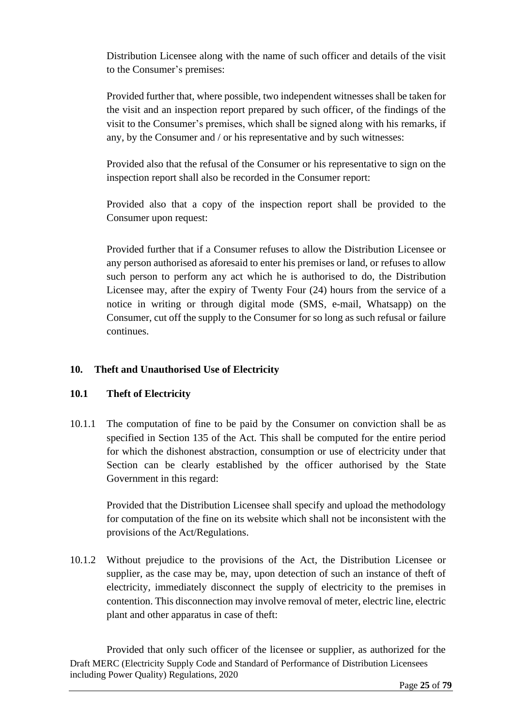Distribution Licensee along with the name of such officer and details of the visit to the Consumer's premises:

Provided further that, where possible, two independent witnesses shall be taken for the visit and an inspection report prepared by such officer, of the findings of the visit to the Consumer's premises, which shall be signed along with his remarks, if any, by the Consumer and / or his representative and by such witnesses:

Provided also that the refusal of the Consumer or his representative to sign on the inspection report shall also be recorded in the Consumer report:

Provided also that a copy of the inspection report shall be provided to the Consumer upon request:

Provided further that if a Consumer refuses to allow the Distribution Licensee or any person authorised as aforesaid to enter his premises or land, or refuses to allow such person to perform any act which he is authorised to do, the Distribution Licensee may, after the expiry of Twenty Four (24) hours from the service of a notice in writing or through digital mode (SMS, e-mail, Whatsapp) on the Consumer, cut off the supply to the Consumer for so long as such refusal or failure continues.

# <span id="page-24-0"></span>**10. Theft and Unauthorised Use of Electricity**

# **10.1 Theft of Electricity**

10.1.1 The computation of fine to be paid by the Consumer on conviction shall be as specified in Section 135 of the Act. This shall be computed for the entire period for which the dishonest abstraction, consumption or use of electricity under that Section can be clearly established by the officer authorised by the State Government in this regard:

Provided that the Distribution Licensee shall specify and upload the methodology for computation of the fine on its website which shall not be inconsistent with the provisions of the Act/Regulations.

10.1.2 Without prejudice to the provisions of the Act, the Distribution Licensee or supplier, as the case may be, may, upon detection of such an instance of theft of electricity, immediately disconnect the supply of electricity to the premises in contention. This disconnection may involve removal of meter, electric line, electric plant and other apparatus in case of theft:

Draft MERC (Electricity Supply Code and Standard of Performance of Distribution Licensees including Power Quality) Regulations, 2020 Provided that only such officer of the licensee or supplier, as authorized for the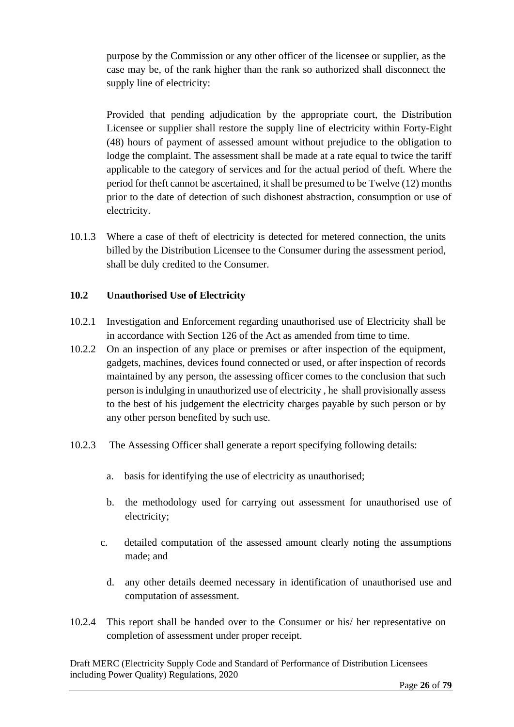purpose by the Commission or any other officer of the licensee or supplier, as the case may be, of the rank higher than the rank so authorized shall disconnect the supply line of electricity:

Provided that pending adjudication by the appropriate court, the Distribution Licensee or supplier shall restore the supply line of electricity within Forty-Eight (48) hours of payment of assessed amount without prejudice to the obligation to lodge the complaint. The assessment shall be made at a rate equal to twice the tariff applicable to the category of services and for the actual period of theft. Where the period for theft cannot be ascertained, it shall be presumed to be Twelve (12) months prior to the date of detection of such dishonest abstraction, consumption or use of electricity.

10.1.3 Where a case of theft of electricity is detected for metered connection, the units billed by the Distribution Licensee to the Consumer during the assessment period, shall be duly credited to the Consumer.

### **10.2 Unauthorised Use of Electricity**

- 10.2.1 Investigation and Enforcement regarding unauthorised use of Electricity shall be in accordance with Section 126 of the Act as amended from time to time.
- 10.2.2 On an inspection of any place or premises or after inspection of the equipment, gadgets, machines, devices found connected or used, or after inspection of records maintained by any person, the assessing officer comes to the conclusion that such person is indulging in unauthorized use of electricity , he shall provisionally assess to the best of his judgement the electricity charges payable by such person or by any other person benefited by such use.
- 10.2.3 The Assessing Officer shall generate a report specifying following details:
	- a. basis for identifying the use of electricity as unauthorised;
	- b. the methodology used for carrying out assessment for unauthorised use of electricity;
	- c. detailed computation of the assessed amount clearly noting the assumptions made; and
		- d. any other details deemed necessary in identification of unauthorised use and computation of assessment.
- 10.2.4 This report shall be handed over to the Consumer or his/ her representative on completion of assessment under proper receipt.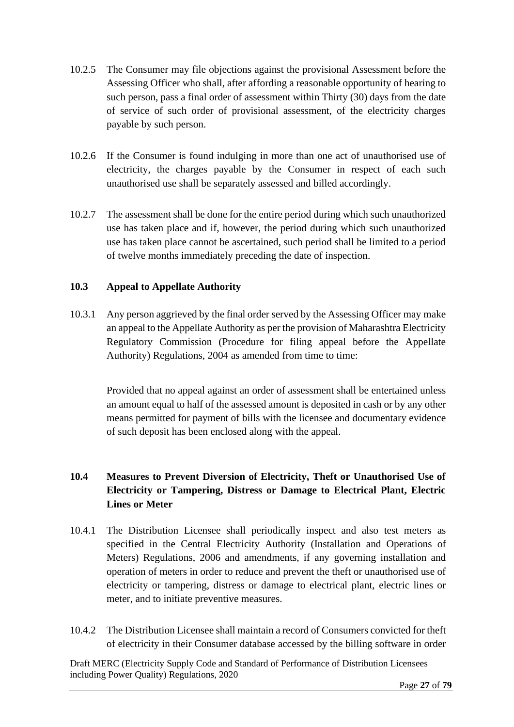- 10.2.5 The Consumer may file objections against the provisional Assessment before the Assessing Officer who shall, after affording a reasonable opportunity of hearing to such person, pass a final order of assessment within Thirty (30) days from the date of service of such order of provisional assessment, of the electricity charges payable by such person.
- 10.2.6 If the Consumer is found indulging in more than one act of unauthorised use of electricity, the charges payable by the Consumer in respect of each such unauthorised use shall be separately assessed and billed accordingly.
- 10.2.7 The assessment shall be done for the entire period during which such unauthorized use has taken place and if, however, the period during which such unauthorized use has taken place cannot be ascertained, such period shall be limited to a period of twelve months immediately preceding the date of inspection.

### **10.3 Appeal to Appellate Authority**

10.3.1 Any person aggrieved by the final order served by the Assessing Officer may make an appeal to the Appellate Authority as per the provision of Maharashtra Electricity Regulatory Commission (Procedure for filing appeal before the Appellate Authority) Regulations, 2004 as amended from time to time:

Provided that no appeal against an order of assessment shall be entertained unless an amount equal to half of the assessed amount is deposited in cash or by any other means permitted for payment of bills with the licensee and documentary evidence of such deposit has been enclosed along with the appeal.

# **10.4 Measures to Prevent Diversion of Electricity, Theft or Unauthorised Use of Electricity or Tampering, Distress or Damage to Electrical Plant, Electric Lines or Meter**

- 10.4.1 The Distribution Licensee shall periodically inspect and also test meters as specified in the Central Electricity Authority (Installation and Operations of Meters) Regulations, 2006 and amendments, if any governing installation and operation of meters in order to reduce and prevent the theft or unauthorised use of electricity or tampering, distress or damage to electrical plant, electric lines or meter, and to initiate preventive measures.
- 10.4.2 The Distribution Licensee shall maintain a record of Consumers convicted for theft of electricity in their Consumer database accessed by the billing software in order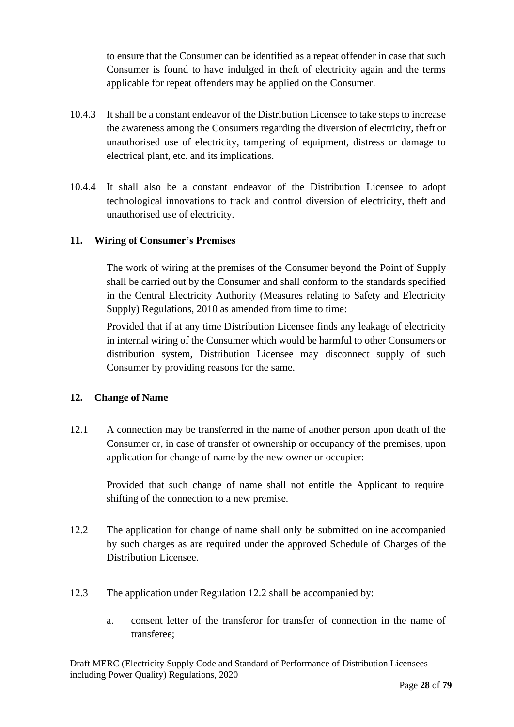to ensure that the Consumer can be identified as a repeat offender in case that such Consumer is found to have indulged in theft of electricity again and the terms applicable for repeat offenders may be applied on the Consumer.

- 10.4.3 It shall be a constant endeavor of the Distribution Licensee to take steps to increase the awareness among the Consumers regarding the diversion of electricity, theft or unauthorised use of electricity, tampering of equipment, distress or damage to electrical plant, etc. and its implications.
- 10.4.4 It shall also be a constant endeavor of the Distribution Licensee to adopt technological innovations to track and control diversion of electricity, theft and unauthorised use of electricity.

# <span id="page-27-0"></span>**11. Wiring of Consumer's Premises**

The work of wiring at the premises of the Consumer beyond the Point of Supply shall be carried out by the Consumer and shall conform to the standards specified in the Central Electricity Authority (Measures relating to Safety and Electricity Supply) Regulations, 2010 as amended from time to time:

Provided that if at any time Distribution Licensee finds any leakage of electricity in internal wiring of the Consumer which would be harmful to other Consumers or distribution system, Distribution Licensee may disconnect supply of such Consumer by providing reasons for the same.

#### <span id="page-27-1"></span>**12. Change of Name**

12.1 A connection may be transferred in the name of another person upon death of the Consumer or, in case of transfer of ownership or occupancy of the premises, upon application for change of name by the new owner or occupier:

Provided that such change of name shall not entitle the Applicant to require shifting of the connection to a new premise.

- 12.2 The application for change of name shall only be submitted online accompanied by such charges as are required under the approved Schedule of Charges of the Distribution Licensee.
- 12.3 The application under Regulation 12.2 shall be accompanied by:
	- a. consent letter of the transferor for transfer of connection in the name of transferee;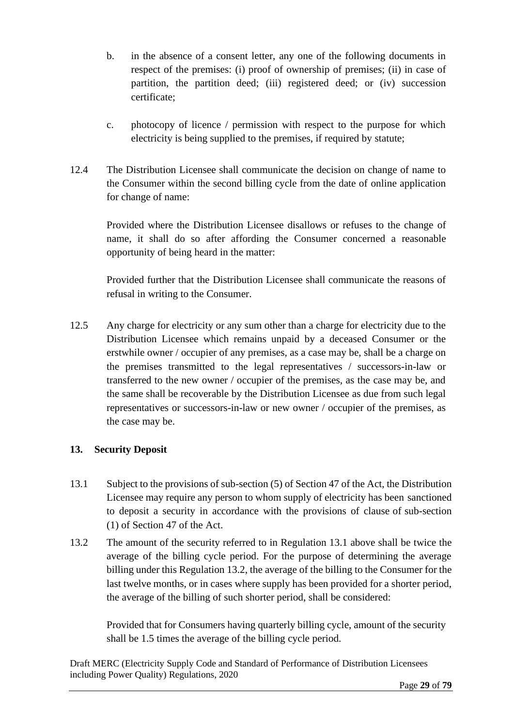- b. in the absence of a consent letter, any one of the following documents in respect of the premises: (i) proof of ownership of premises; (ii) in case of partition, the partition deed; (iii) registered deed; or (iv) succession certificate;
- c. photocopy of licence / permission with respect to the purpose for which electricity is being supplied to the premises, if required by statute;
- 12.4 The Distribution Licensee shall communicate the decision on change of name to the Consumer within the second billing cycle from the date of online application for change of name:

Provided where the Distribution Licensee disallows or refuses to the change of name, it shall do so after affording the Consumer concerned a reasonable opportunity of being heard in the matter:

Provided further that the Distribution Licensee shall communicate the reasons of refusal in writing to the Consumer.

12.5 Any charge for electricity or any sum other than a charge for electricity due to the Distribution Licensee which remains unpaid by a deceased Consumer or the erstwhile owner / occupier of any premises, as a case may be, shall be a charge on the premises transmitted to the legal representatives / successors-in-law or transferred to the new owner / occupier of the premises, as the case may be, and the same shall be recoverable by the Distribution Licensee as due from such legal representatives or successors-in-law or new owner / occupier of the premises, as the case may be.

# <span id="page-28-0"></span>**13. Security Deposit**

- 13.1 Subject to the provisions of sub-section (5) of Section 47 of the Act, the Distribution Licensee may require any person to whom supply of electricity has been sanctioned to deposit a security in accordance with the provisions of clause of sub-section (1) of Section 47 of the Act.
- 13.2 The amount of the security referred to in Regulation 13.1 above shall be twice the average of the billing cycle period. For the purpose of determining the average billing under this Regulation 13.2, the average of the billing to the Consumer for the last twelve months, or in cases where supply has been provided for a shorter period, the average of the billing of such shorter period, shall be considered:

Provided that for Consumers having quarterly billing cycle, amount of the security shall be 1.5 times the average of the billing cycle period.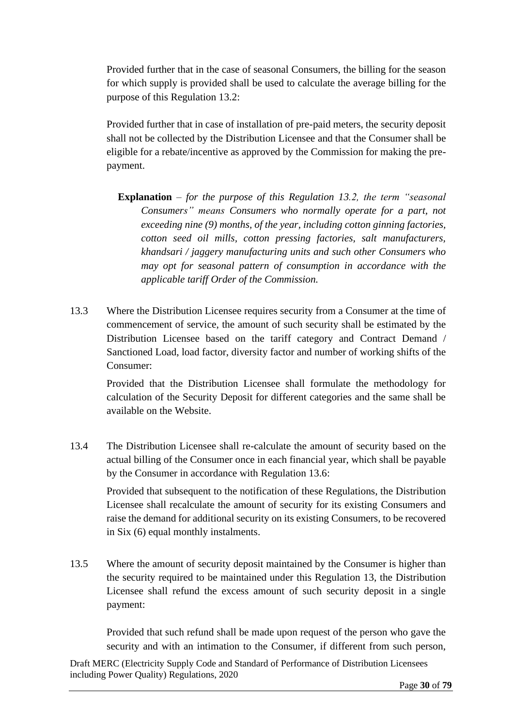Provided further that in the case of seasonal Consumers, the billing for the season for which supply is provided shall be used to calculate the average billing for the purpose of this Regulation 13.2:

Provided further that in case of installation of pre-paid meters, the security deposit shall not be collected by the Distribution Licensee and that the Consumer shall be eligible for a rebate/incentive as approved by the Commission for making the prepayment.

- **Explanation**  *for the purpose of this Regulation 13.2, the term "seasonal Consumers" means Consumers who normally operate for a part, not exceeding nine (9) months, of the year, including cotton ginning factories, cotton seed oil mills, cotton pressing factories, salt manufacturers, khandsari / jaggery manufacturing units and such other Consumers who may opt for seasonal pattern of consumption in accordance with the applicable tariff Order of the Commission.*
- 13.3 Where the Distribution Licensee requires security from a Consumer at the time of commencement of service, the amount of such security shall be estimated by the Distribution Licensee based on the tariff category and Contract Demand / Sanctioned Load, load factor, diversity factor and number of working shifts of the Consumer:

Provided that the Distribution Licensee shall formulate the methodology for calculation of the Security Deposit for different categories and the same shall be available on the Website.

13.4 The Distribution Licensee shall re-calculate the amount of security based on the actual billing of the Consumer once in each financial year, which shall be payable by the Consumer in accordance with Regulation 13.6:

Provided that subsequent to the notification of these Regulations, the Distribution Licensee shall recalculate the amount of security for its existing Consumers and raise the demand for additional security on its existing Consumers, to be recovered in Six (6) equal monthly instalments.

13.5 Where the amount of security deposit maintained by the Consumer is higher than the security required to be maintained under this Regulation 13, the Distribution Licensee shall refund the excess amount of such security deposit in a single payment:

Provided that such refund shall be made upon request of the person who gave the security and with an intimation to the Consumer, if different from such person,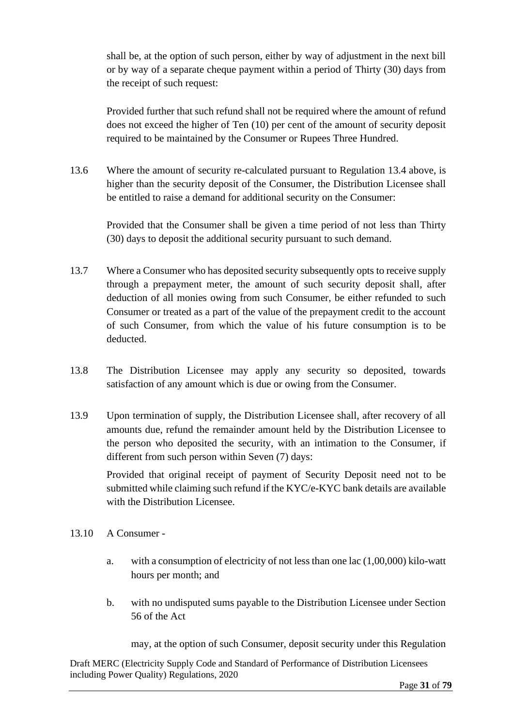shall be, at the option of such person, either by way of adjustment in the next bill or by way of a separate cheque payment within a period of Thirty (30) days from the receipt of such request:

Provided further that such refund shall not be required where the amount of refund does not exceed the higher of Ten (10) per cent of the amount of security deposit required to be maintained by the Consumer or Rupees Three Hundred.

13.6 Where the amount of security re-calculated pursuant to Regulation 13.4 above, is higher than the security deposit of the Consumer, the Distribution Licensee shall be entitled to raise a demand for additional security on the Consumer:

Provided that the Consumer shall be given a time period of not less than Thirty (30) days to deposit the additional security pursuant to such demand.

- 13.7 Where a Consumer who has deposited security subsequently opts to receive supply through a prepayment meter, the amount of such security deposit shall, after deduction of all monies owing from such Consumer, be either refunded to such Consumer or treated as a part of the value of the prepayment credit to the account of such Consumer, from which the value of his future consumption is to be deducted.
- 13.8 The Distribution Licensee may apply any security so deposited, towards satisfaction of any amount which is due or owing from the Consumer.
- 13.9 Upon termination of supply, the Distribution Licensee shall, after recovery of all amounts due, refund the remainder amount held by the Distribution Licensee to the person who deposited the security, with an intimation to the Consumer, if different from such person within Seven (7) days:

Provided that original receipt of payment of Security Deposit need not to be submitted while claiming such refund if the KYC/e-KYC bank details are available with the Distribution Licensee.

- 13.10 A Consumer
	- a. with a consumption of electricity of not less than one lac (1,00,000) kilo-watt hours per month; and
	- b. with no undisputed sums payable to the Distribution Licensee under Section 56 of the Act

may, at the option of such Consumer, deposit security under this Regulation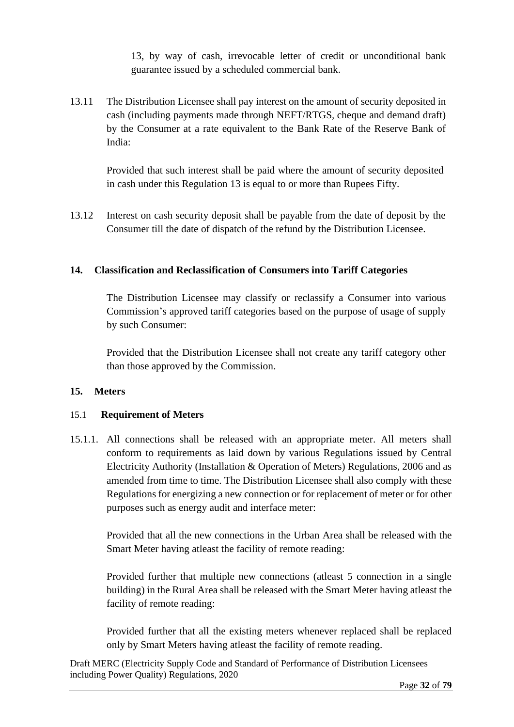13, by way of cash, irrevocable letter of credit or unconditional bank guarantee issued by a scheduled commercial bank.

13.11 The Distribution Licensee shall pay interest on the amount of security deposited in cash (including payments made through NEFT/RTGS, cheque and demand draft) by the Consumer at a rate equivalent to the Bank Rate of the Reserve Bank of India:

Provided that such interest shall be paid where the amount of security deposited in cash under this Regulation 13 is equal to or more than Rupees Fifty.

13.12 Interest on cash security deposit shall be payable from the date of deposit by the Consumer till the date of dispatch of the refund by the Distribution Licensee.

### <span id="page-31-0"></span>**14. Classification and Reclassification of Consumers into Tariff Categories**

The Distribution Licensee may classify or reclassify a Consumer into various Commission's approved tariff categories based on the purpose of usage of supply by such Consumer:

Provided that the Distribution Licensee shall not create any tariff category other than those approved by the Commission.

#### <span id="page-31-1"></span>**15. Meters**

#### 15.1 **Requirement of Meters**

15.1.1. All connections shall be released with an appropriate meter. All meters shall conform to requirements as laid down by various Regulations issued by Central Electricity Authority (Installation & Operation of Meters) Regulations, 2006 and as amended from time to time. The Distribution Licensee shall also comply with these Regulations for energizing a new connection or for replacement of meter or for other purposes such as energy audit and interface meter:

Provided that all the new connections in the Urban Area shall be released with the Smart Meter having atleast the facility of remote reading:

Provided further that multiple new connections (atleast 5 connection in a single building) in the Rural Area shall be released with the Smart Meter having atleast the facility of remote reading:

Provided further that all the existing meters whenever replaced shall be replaced only by Smart Meters having atleast the facility of remote reading.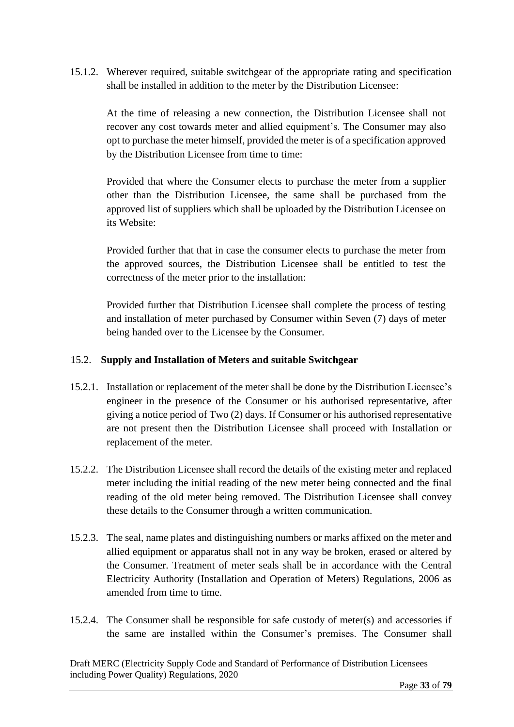15.1.2. Wherever required, suitable switchgear of the appropriate rating and specification shall be installed in addition to the meter by the Distribution Licensee:

At the time of releasing a new connection, the Distribution Licensee shall not recover any cost towards meter and allied equipment's. The Consumer may also opt to purchase the meter himself, provided the meter is of a specification approved by the Distribution Licensee from time to time:

Provided that where the Consumer elects to purchase the meter from a supplier other than the Distribution Licensee, the same shall be purchased from the approved list of suppliers which shall be uploaded by the Distribution Licensee on its Website:

Provided further that that in case the consumer elects to purchase the meter from the approved sources, the Distribution Licensee shall be entitled to test the correctness of the meter prior to the installation:

Provided further that Distribution Licensee shall complete the process of testing and installation of meter purchased by Consumer within Seven (7) days of meter being handed over to the Licensee by the Consumer.

# 15.2. **Supply and Installation of Meters and suitable Switchgear**

- 15.2.1. Installation or replacement of the meter shall be done by the Distribution Licensee's engineer in the presence of the Consumer or his authorised representative, after giving a notice period of Two (2) days. If Consumer or his authorised representative are not present then the Distribution Licensee shall proceed with Installation or replacement of the meter.
- 15.2.2. The Distribution Licensee shall record the details of the existing meter and replaced meter including the initial reading of the new meter being connected and the final reading of the old meter being removed. The Distribution Licensee shall convey these details to the Consumer through a written communication.
- 15.2.3. The seal, name plates and distinguishing numbers or marks affixed on the meter and allied equipment or apparatus shall not in any way be broken, erased or altered by the Consumer. Treatment of meter seals shall be in accordance with the Central Electricity Authority (Installation and Operation of Meters) Regulations, 2006 as amended from time to time.
- 15.2.4. The Consumer shall be responsible for safe custody of meter(s) and accessories if the same are installed within the Consumer's premises. The Consumer shall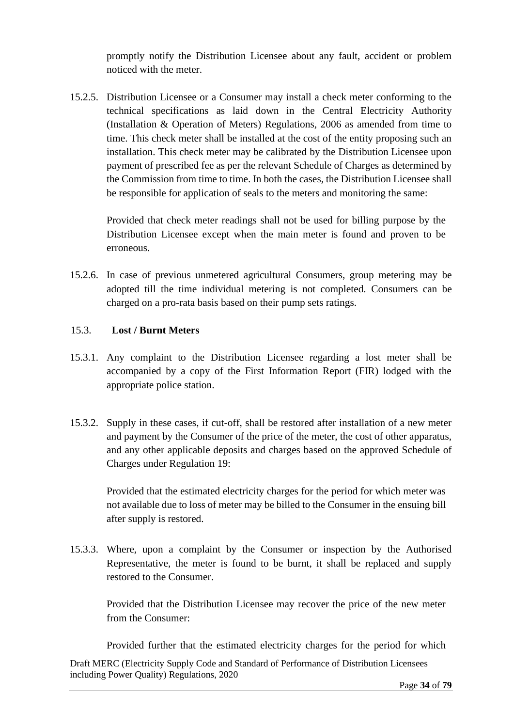promptly notify the Distribution Licensee about any fault, accident or problem noticed with the meter.

15.2.5. Distribution Licensee or a Consumer may install a check meter conforming to the technical specifications as laid down in the Central Electricity Authority (Installation & Operation of Meters) Regulations, 2006 as amended from time to time. This check meter shall be installed at the cost of the entity proposing such an installation. This check meter may be calibrated by the Distribution Licensee upon payment of prescribed fee as per the relevant Schedule of Charges as determined by the Commission from time to time. In both the cases, the Distribution Licensee shall be responsible for application of seals to the meters and monitoring the same:

Provided that check meter readings shall not be used for billing purpose by the Distribution Licensee except when the main meter is found and proven to be erroneous.

15.2.6. In case of previous unmetered agricultural Consumers, group metering may be adopted till the time individual metering is not completed. Consumers can be charged on a pro-rata basis based on their pump sets ratings.

### 15.3. **Lost / Burnt Meters**

- 15.3.1. Any complaint to the Distribution Licensee regarding a lost meter shall be accompanied by a copy of the First Information Report (FIR) lodged with the appropriate police station.
- 15.3.2. Supply in these cases, if cut-off, shall be restored after installation of a new meter and payment by the Consumer of the price of the meter, the cost of other apparatus, and any other applicable deposits and charges based on the approved Schedule of Charges under Regulation 19:

Provided that the estimated electricity charges for the period for which meter was not available due to loss of meter may be billed to the Consumer in the ensuing bill after supply is restored.

15.3.3. Where, upon a complaint by the Consumer or inspection by the Authorised Representative, the meter is found to be burnt, it shall be replaced and supply restored to the Consumer.

Provided that the Distribution Licensee may recover the price of the new meter from the Consumer:

Provided further that the estimated electricity charges for the period for which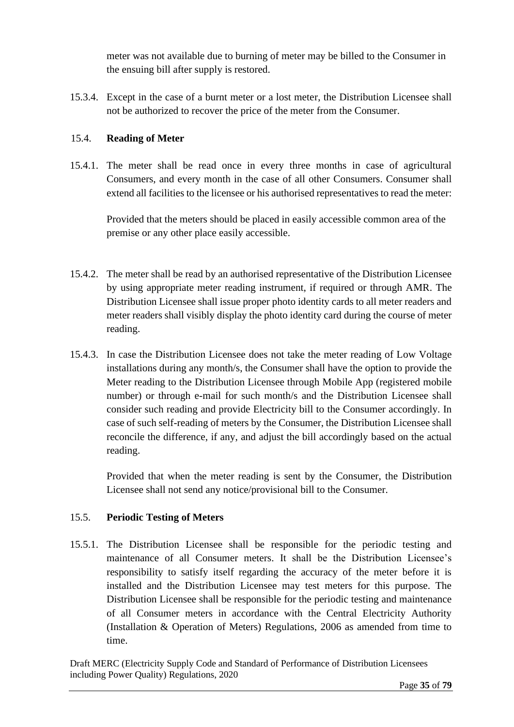meter was not available due to burning of meter may be billed to the Consumer in the ensuing bill after supply is restored.

15.3.4. Except in the case of a burnt meter or a lost meter, the Distribution Licensee shall not be authorized to recover the price of the meter from the Consumer.

# 15.4. **Reading of Meter**

15.4.1. The meter shall be read once in every three months in case of agricultural Consumers, and every month in the case of all other Consumers. Consumer shall extend all facilities to the licensee or his authorised representatives to read the meter:

Provided that the meters should be placed in easily accessible common area of the premise or any other place easily accessible.

- 15.4.2. The meter shall be read by an authorised representative of the Distribution Licensee by using appropriate meter reading instrument, if required or through AMR. The Distribution Licensee shall issue proper photo identity cards to all meter readers and meter readers shall visibly display the photo identity card during the course of meter reading.
- 15.4.3. In case the Distribution Licensee does not take the meter reading of Low Voltage installations during any month/s, the Consumer shall have the option to provide the Meter reading to the Distribution Licensee through Mobile App (registered mobile number) or through e-mail for such month/s and the Distribution Licensee shall consider such reading and provide Electricity bill to the Consumer accordingly. In case of such self-reading of meters by the Consumer, the Distribution Licensee shall reconcile the difference, if any, and adjust the bill accordingly based on the actual reading.

Provided that when the meter reading is sent by the Consumer, the Distribution Licensee shall not send any notice/provisional bill to the Consumer.

# 15.5. **Periodic Testing of Meters**

15.5.1. The Distribution Licensee shall be responsible for the periodic testing and maintenance of all Consumer meters. It shall be the Distribution Licensee's responsibility to satisfy itself regarding the accuracy of the meter before it is installed and the Distribution Licensee may test meters for this purpose. The Distribution Licensee shall be responsible for the periodic testing and maintenance of all Consumer meters in accordance with the Central Electricity Authority (Installation & Operation of Meters) Regulations, 2006 as amended from time to time.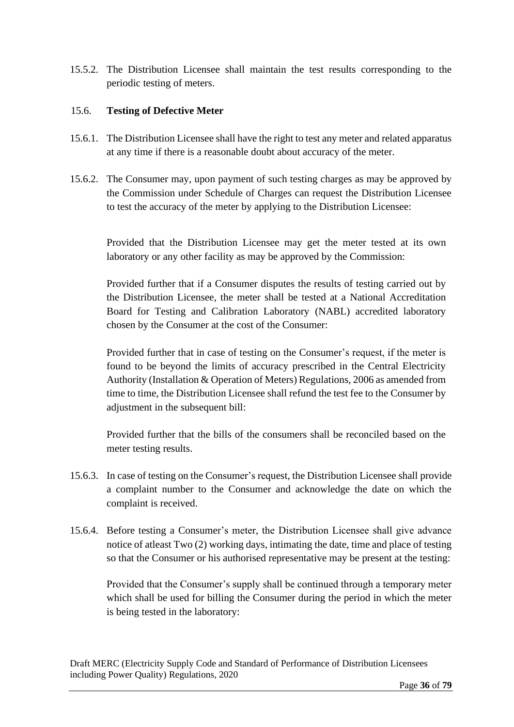15.5.2. The Distribution Licensee shall maintain the test results corresponding to the periodic testing of meters.

#### 15.6. **Testing of Defective Meter**

- 15.6.1. The Distribution Licensee shall have the right to test any meter and related apparatus at any time if there is a reasonable doubt about accuracy of the meter.
- 15.6.2. The Consumer may, upon payment of such testing charges as may be approved by the Commission under Schedule of Charges can request the Distribution Licensee to test the accuracy of the meter by applying to the Distribution Licensee:

Provided that the Distribution Licensee may get the meter tested at its own laboratory or any other facility as may be approved by the Commission:

Provided further that if a Consumer disputes the results of testing carried out by the Distribution Licensee, the meter shall be tested at a National Accreditation Board for Testing and Calibration Laboratory (NABL) accredited laboratory chosen by the Consumer at the cost of the Consumer:

Provided further that in case of testing on the Consumer's request, if the meter is found to be beyond the limits of accuracy prescribed in the Central Electricity Authority (Installation & Operation of Meters) Regulations, 2006 as amended from time to time, the Distribution Licensee shall refund the test fee to the Consumer by adjustment in the subsequent bill:

Provided further that the bills of the consumers shall be reconciled based on the meter testing results.

- 15.6.3. In case of testing on the Consumer's request, the Distribution Licensee shall provide a complaint number to the Consumer and acknowledge the date on which the complaint is received.
- 15.6.4. Before testing a Consumer's meter, the Distribution Licensee shall give advance notice of atleast Two (2) working days, intimating the date, time and place of testing so that the Consumer or his authorised representative may be present at the testing:

Provided that the Consumer's supply shall be continued through a temporary meter which shall be used for billing the Consumer during the period in which the meter is being tested in the laboratory: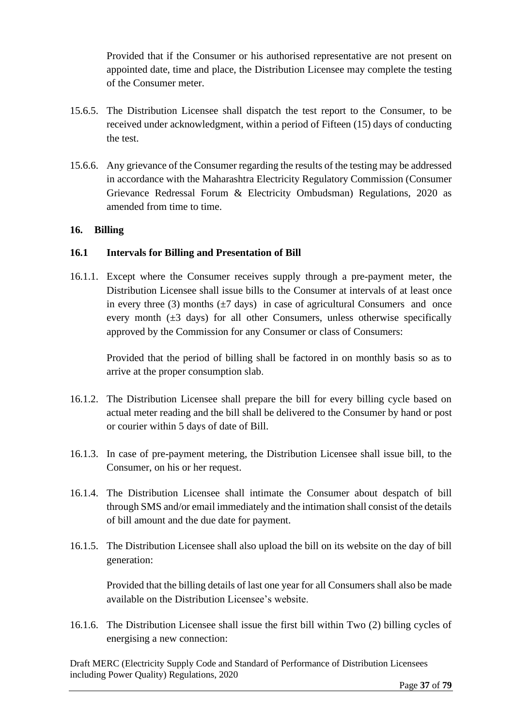Provided that if the Consumer or his authorised representative are not present on appointed date, time and place, the Distribution Licensee may complete the testing of the Consumer meter.

- 15.6.5. The Distribution Licensee shall dispatch the test report to the Consumer, to be received under acknowledgment, within a period of Fifteen (15) days of conducting the test.
- 15.6.6. Any grievance of the Consumer regarding the results of the testing may be addressed in accordance with the Maharashtra Electricity Regulatory Commission (Consumer Grievance Redressal Forum & Electricity Ombudsman) Regulations, 2020 as amended from time to time.

### **16. Billing**

### **16.1 Intervals for Billing and Presentation of Bill**

16.1.1. Except where the Consumer receives supply through a pre-payment meter, the Distribution Licensee shall issue bills to the Consumer at intervals of at least once in every three (3) months  $(\pm 7 \text{ days})$  in case of agricultural Consumers and once every month  $(\pm 3$  days) for all other Consumers, unless otherwise specifically approved by the Commission for any Consumer or class of Consumers:

Provided that the period of billing shall be factored in on monthly basis so as to arrive at the proper consumption slab.

- 16.1.2. The Distribution Licensee shall prepare the bill for every billing cycle based on actual meter reading and the bill shall be delivered to the Consumer by hand or post or courier within 5 days of date of Bill.
- 16.1.3. In case of pre-payment metering, the Distribution Licensee shall issue bill, to the Consumer, on his or her request.
- 16.1.4. The Distribution Licensee shall intimate the Consumer about despatch of bill through SMS and/or email immediately and the intimation shall consist of the details of bill amount and the due date for payment.
- 16.1.5. The Distribution Licensee shall also upload the bill on its website on the day of bill generation:

Provided that the billing details of last one year for all Consumers shall also be made available on the Distribution Licensee's website.

16.1.6. The Distribution Licensee shall issue the first bill within Two (2) billing cycles of energising a new connection: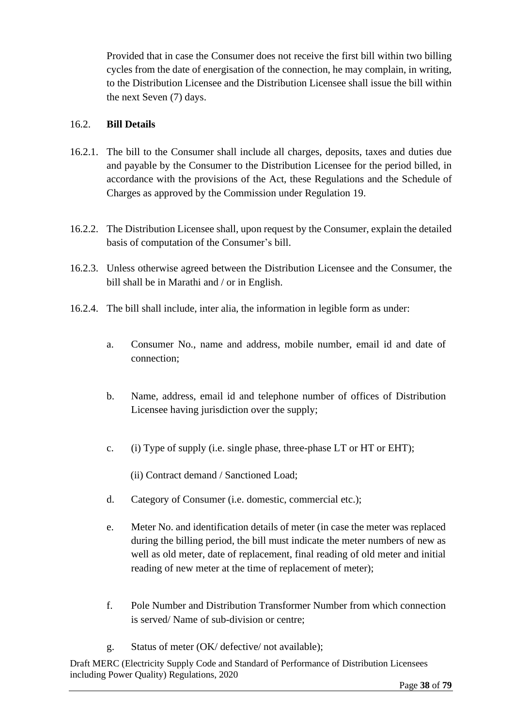Provided that in case the Consumer does not receive the first bill within two billing cycles from the date of energisation of the connection, he may complain, in writing, to the Distribution Licensee and the Distribution Licensee shall issue the bill within the next Seven (7) days.

## 16.2. **Bill Details**

- 16.2.1. The bill to the Consumer shall include all charges, deposits, taxes and duties due and payable by the Consumer to the Distribution Licensee for the period billed, in accordance with the provisions of the Act, these Regulations and the Schedule of Charges as approved by the Commission under Regulation 19.
- 16.2.2. The Distribution Licensee shall, upon request by the Consumer, explain the detailed basis of computation of the Consumer's bill.
- 16.2.3. Unless otherwise agreed between the Distribution Licensee and the Consumer, the bill shall be in Marathi and / or in English.
- 16.2.4. The bill shall include, inter alia, the information in legible form as under:
	- a. Consumer No., name and address, mobile number, email id and date of connection;
	- b. Name, address, email id and telephone number of offices of Distribution Licensee having jurisdiction over the supply;
	- c. (i) Type of supply (i.e. single phase, three-phase LT or HT or EHT);

(ii) Contract demand / Sanctioned Load;

- d. Category of Consumer (i.e. domestic, commercial etc.);
- e. Meter No. and identification details of meter (in case the meter was replaced during the billing period, the bill must indicate the meter numbers of new as well as old meter, date of replacement, final reading of old meter and initial reading of new meter at the time of replacement of meter);
- f. Pole Number and Distribution Transformer Number from which connection is served/ Name of sub-division or centre;
- g. Status of meter (OK/ defective/ not available);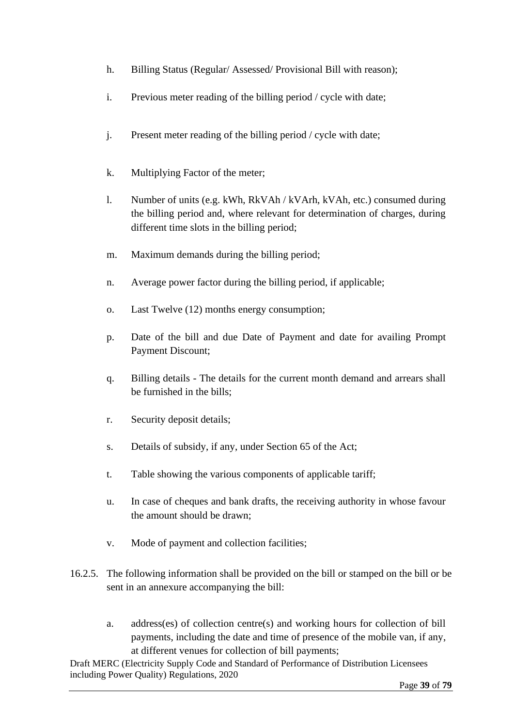- h. Billing Status (Regular/ Assessed/ Provisional Bill with reason);
- i. Previous meter reading of the billing period / cycle with date;
- j. Present meter reading of the billing period / cycle with date;
- k. Multiplying Factor of the meter;
- l. Number of units (e.g. kWh, RkVAh / kVArh, kVAh, etc.) consumed during the billing period and, where relevant for determination of charges, during different time slots in the billing period;
- m. Maximum demands during the billing period;
- n. Average power factor during the billing period, if applicable;
- o. Last Twelve (12) months energy consumption;
- p. Date of the bill and due Date of Payment and date for availing Prompt Payment Discount;
- q. Billing details The details for the current month demand and arrears shall be furnished in the bills;
- r. Security deposit details;
- s. Details of subsidy, if any, under Section 65 of the Act;
- t. Table showing the various components of applicable tariff;
- u. In case of cheques and bank drafts, the receiving authority in whose favour the amount should be drawn;
- v. Mode of payment and collection facilities;
- 16.2.5. The following information shall be provided on the bill or stamped on the bill or be sent in an annexure accompanying the bill:
	- a. address(es) of collection centre(s) and working hours for collection of bill payments, including the date and time of presence of the mobile van, if any, at different venues for collection of bill payments;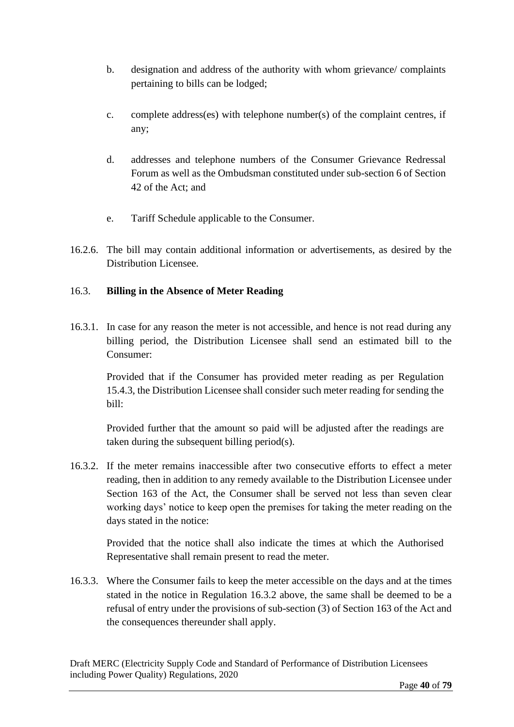- b. designation and address of the authority with whom grievance/ complaints pertaining to bills can be lodged;
- c. complete address(es) with telephone number(s) of the complaint centres, if any;
- d. addresses and telephone numbers of the Consumer Grievance Redressal Forum as well as the Ombudsman constituted under sub-section 6 of Section 42 of the Act; and
- e. Tariff Schedule applicable to the Consumer.
- 16.2.6. The bill may contain additional information or advertisements, as desired by the Distribution Licensee.

## 16.3. **Billing in the Absence of Meter Reading**

16.3.1. In case for any reason the meter is not accessible, and hence is not read during any billing period, the Distribution Licensee shall send an estimated bill to the Consumer:

Provided that if the Consumer has provided meter reading as per Regulation 15.4.3, the Distribution Licensee shall consider such meter reading for sending the bill:

Provided further that the amount so paid will be adjusted after the readings are taken during the subsequent billing period(s).

16.3.2. If the meter remains inaccessible after two consecutive efforts to effect a meter reading, then in addition to any remedy available to the Distribution Licensee under Section 163 of the Act, the Consumer shall be served not less than seven clear working days' notice to keep open the premises for taking the meter reading on the days stated in the notice:

Provided that the notice shall also indicate the times at which the Authorised Representative shall remain present to read the meter.

16.3.3. Where the Consumer fails to keep the meter accessible on the days and at the times stated in the notice in Regulation 16.3.2 above, the same shall be deemed to be a refusal of entry under the provisions of sub-section (3) of Section 163 of the Act and the consequences thereunder shall apply.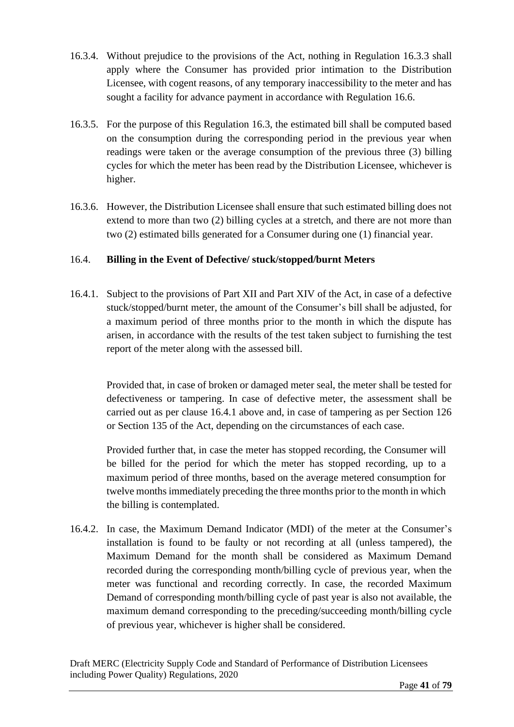- 16.3.4. Without prejudice to the provisions of the Act, nothing in Regulation 16.3.3 shall apply where the Consumer has provided prior intimation to the Distribution Licensee, with cogent reasons, of any temporary inaccessibility to the meter and has sought a facility for advance payment in accordance with Regulation 16.6.
- 16.3.5. For the purpose of this Regulation 16.3, the estimated bill shall be computed based on the consumption during the corresponding period in the previous year when readings were taken or the average consumption of the previous three (3) billing cycles for which the meter has been read by the Distribution Licensee, whichever is higher.
- 16.3.6. However, the Distribution Licensee shall ensure that such estimated billing does not extend to more than two (2) billing cycles at a stretch, and there are not more than two (2) estimated bills generated for a Consumer during one (1) financial year.

# 16.4. **Billing in the Event of Defective/ stuck/stopped/burnt Meters**

16.4.1. Subject to the provisions of Part XII and Part XIV of the Act, in case of a defective stuck/stopped/burnt meter, the amount of the Consumer's bill shall be adjusted, for a maximum period of three months prior to the month in which the dispute has arisen, in accordance with the results of the test taken subject to furnishing the test report of the meter along with the assessed bill.

Provided that, in case of broken or damaged meter seal, the meter shall be tested for defectiveness or tampering. In case of defective meter, the assessment shall be carried out as per clause 16.4.1 above and, in case of tampering as per Section 126 or Section 135 of the Act, depending on the circumstances of each case.

Provided further that, in case the meter has stopped recording, the Consumer will be billed for the period for which the meter has stopped recording, up to a maximum period of three months, based on the average metered consumption for twelve months immediately preceding the three months prior to the month in which the billing is contemplated.

16.4.2. In case, the Maximum Demand Indicator (MDI) of the meter at the Consumer's installation is found to be faulty or not recording at all (unless tampered), the Maximum Demand for the month shall be considered as Maximum Demand recorded during the corresponding month/billing cycle of previous year, when the meter was functional and recording correctly. In case, the recorded Maximum Demand of corresponding month/billing cycle of past year is also not available, the maximum demand corresponding to the preceding/succeeding month/billing cycle of previous year, whichever is higher shall be considered.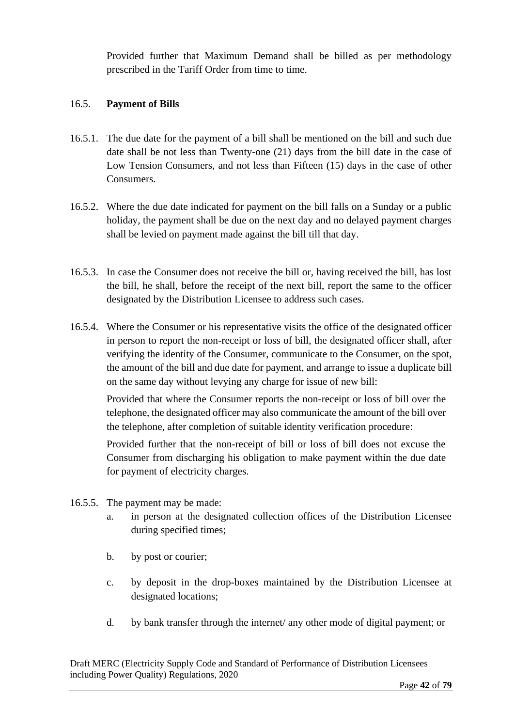Provided further that Maximum Demand shall be billed as per methodology prescribed in the Tariff Order from time to time.

## 16.5. **Payment of Bills**

- 16.5.1. The due date for the payment of a bill shall be mentioned on the bill and such due date shall be not less than Twenty-one (21) days from the bill date in the case of Low Tension Consumers, and not less than Fifteen (15) days in the case of other Consumers.
- 16.5.2. Where the due date indicated for payment on the bill falls on a Sunday or a public holiday, the payment shall be due on the next day and no delayed payment charges shall be levied on payment made against the bill till that day.
- 16.5.3. In case the Consumer does not receive the bill or, having received the bill, has lost the bill, he shall, before the receipt of the next bill, report the same to the officer designated by the Distribution Licensee to address such cases.
- 16.5.4. Where the Consumer or his representative visits the office of the designated officer in person to report the non-receipt or loss of bill, the designated officer shall, after verifying the identity of the Consumer, communicate to the Consumer, on the spot, the amount of the bill and due date for payment, and arrange to issue a duplicate bill on the same day without levying any charge for issue of new bill:

Provided that where the Consumer reports the non-receipt or loss of bill over the telephone, the designated officer may also communicate the amount of the bill over the telephone, after completion of suitable identity verification procedure:

Provided further that the non-receipt of bill or loss of bill does not excuse the Consumer from discharging his obligation to make payment within the due date for payment of electricity charges.

- 16.5.5. The payment may be made:
	- a. in person at the designated collection offices of the Distribution Licensee during specified times;
	- b. by post or courier;
	- c. by deposit in the drop-boxes maintained by the Distribution Licensee at designated locations;
	- d. by bank transfer through the internet/ any other mode of digital payment; or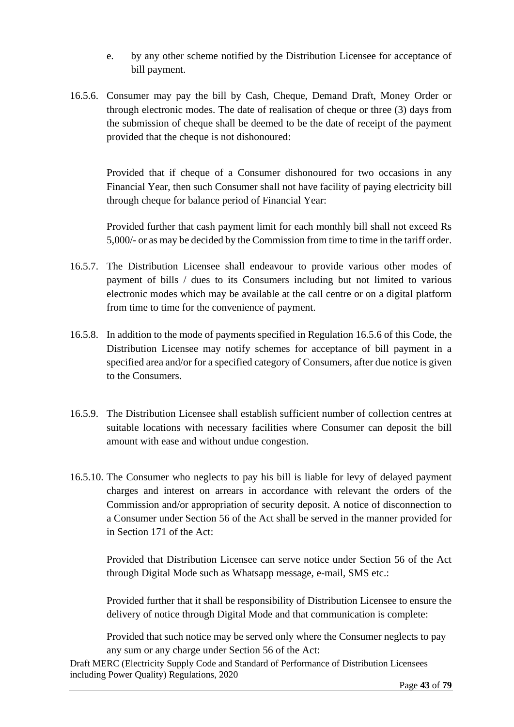- e. by any other scheme notified by the Distribution Licensee for acceptance of bill payment.
- 16.5.6. Consumer may pay the bill by Cash, Cheque, Demand Draft, Money Order or through electronic modes. The date of realisation of cheque or three (3) days from the submission of cheque shall be deemed to be the date of receipt of the payment provided that the cheque is not dishonoured:

Provided that if cheque of a Consumer dishonoured for two occasions in any Financial Year, then such Consumer shall not have facility of paying electricity bill through cheque for balance period of Financial Year:

Provided further that cash payment limit for each monthly bill shall not exceed Rs 5,000/- or as may be decided by the Commission from time to time in the tariff order.

- 16.5.7. The Distribution Licensee shall endeavour to provide various other modes of payment of bills / dues to its Consumers including but not limited to various electronic modes which may be available at the call centre or on a digital platform from time to time for the convenience of payment.
- 16.5.8. In addition to the mode of payments specified in Regulation 16.5.6 of this Code, the Distribution Licensee may notify schemes for acceptance of bill payment in a specified area and/or for a specified category of Consumers, after due notice is given to the Consumers.
- 16.5.9. The Distribution Licensee shall establish sufficient number of collection centres at suitable locations with necessary facilities where Consumer can deposit the bill amount with ease and without undue congestion.
- 16.5.10. The Consumer who neglects to pay his bill is liable for levy of delayed payment charges and interest on arrears in accordance with relevant the orders of the Commission and/or appropriation of security deposit. A notice of disconnection to a Consumer under Section 56 of the Act shall be served in the manner provided for in Section 171 of the Act:

Provided that Distribution Licensee can serve notice under Section 56 of the Act through Digital Mode such as Whatsapp message, e-mail, SMS etc.:

Provided further that it shall be responsibility of Distribution Licensee to ensure the delivery of notice through Digital Mode and that communication is complete:

Provided that such notice may be served only where the Consumer neglects to pay any sum or any charge under Section 56 of the Act: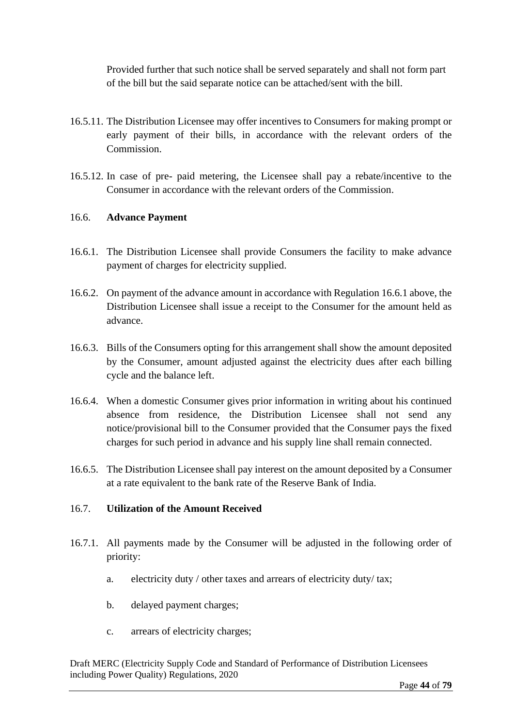Provided further that such notice shall be served separately and shall not form part of the bill but the said separate notice can be attached/sent with the bill.

- 16.5.11. The Distribution Licensee may offer incentives to Consumers for making prompt or early payment of their bills, in accordance with the relevant orders of the Commission.
- 16.5.12. In case of pre- paid metering, the Licensee shall pay a rebate/incentive to the Consumer in accordance with the relevant orders of the Commission.

### 16.6. **Advance Payment**

- 16.6.1. The Distribution Licensee shall provide Consumers the facility to make advance payment of charges for electricity supplied.
- 16.6.2. On payment of the advance amount in accordance with Regulation 16.6.1 above, the Distribution Licensee shall issue a receipt to the Consumer for the amount held as advance.
- 16.6.3. Bills of the Consumers opting for this arrangement shall show the amount deposited by the Consumer, amount adjusted against the electricity dues after each billing cycle and the balance left.
- 16.6.4. When a domestic Consumer gives prior information in writing about his continued absence from residence, the Distribution Licensee shall not send any notice/provisional bill to the Consumer provided that the Consumer pays the fixed charges for such period in advance and his supply line shall remain connected.
- 16.6.5. The Distribution Licensee shall pay interest on the amount deposited by a Consumer at a rate equivalent to the bank rate of the Reserve Bank of India.

### 16.7. **Utilization of the Amount Received**

- 16.7.1. All payments made by the Consumer will be adjusted in the following order of priority:
	- a. electricity duty / other taxes and arrears of electricity duty/ tax;
	- b. delayed payment charges;
	- c. arrears of electricity charges;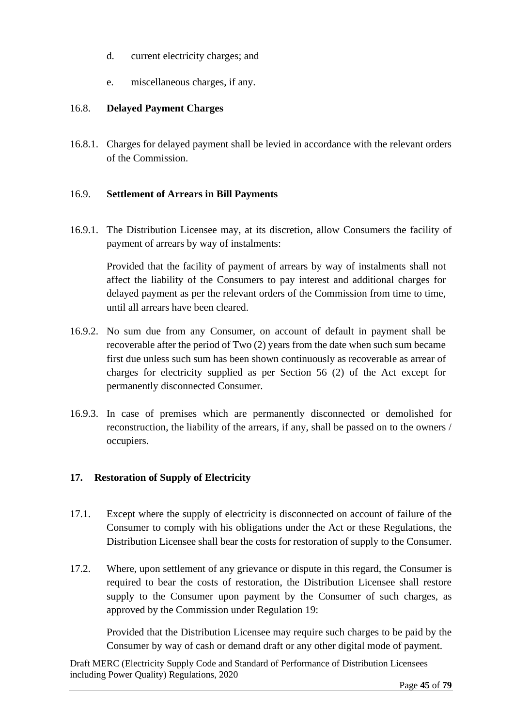- d. current electricity charges; and
- e. miscellaneous charges, if any.

## 16.8. **Delayed Payment Charges**

16.8.1. Charges for delayed payment shall be levied in accordance with the relevant orders of the Commission.

## 16.9. **Settlement of Arrears in Bill Payments**

16.9.1. The Distribution Licensee may, at its discretion, allow Consumers the facility of payment of arrears by way of instalments:

Provided that the facility of payment of arrears by way of instalments shall not affect the liability of the Consumers to pay interest and additional charges for delayed payment as per the relevant orders of the Commission from time to time, until all arrears have been cleared.

- 16.9.2. No sum due from any Consumer, on account of default in payment shall be recoverable after the period of Two (2) years from the date when such sum became first due unless such sum has been shown continuously as recoverable as arrear of charges for electricity supplied as per Section 56 (2) of the Act except for permanently disconnected Consumer.
- 16.9.3. In case of premises which are permanently disconnected or demolished for reconstruction, the liability of the arrears, if any, shall be passed on to the owners / occupiers.

### **17. Restoration of Supply of Electricity**

- 17.1. Except where the supply of electricity is disconnected on account of failure of the Consumer to comply with his obligations under the Act or these Regulations, the Distribution Licensee shall bear the costs for restoration of supply to the Consumer.
- 17.2. Where, upon settlement of any grievance or dispute in this regard, the Consumer is required to bear the costs of restoration, the Distribution Licensee shall restore supply to the Consumer upon payment by the Consumer of such charges, as approved by the Commission under Regulation 19:

Provided that the Distribution Licensee may require such charges to be paid by the Consumer by way of cash or demand draft or any other digital mode of payment.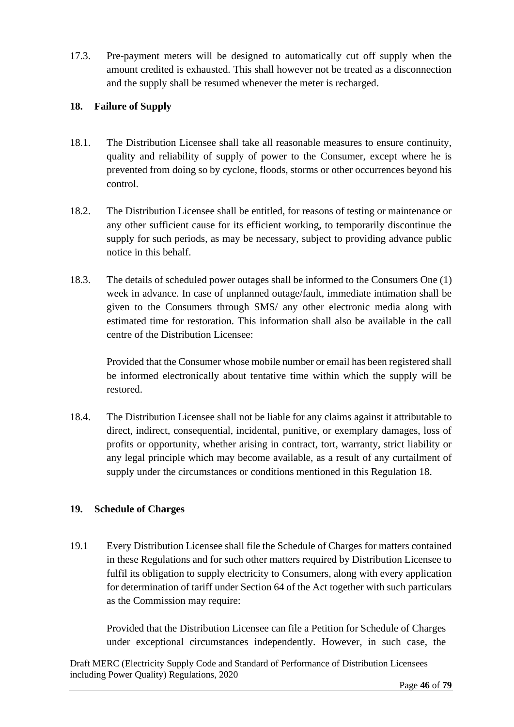17.3. Pre-payment meters will be designed to automatically cut off supply when the amount credited is exhausted. This shall however not be treated as a disconnection and the supply shall be resumed whenever the meter is recharged.

## **18. Failure of Supply**

- 18.1. The Distribution Licensee shall take all reasonable measures to ensure continuity, quality and reliability of supply of power to the Consumer, except where he is prevented from doing so by cyclone, floods, storms or other occurrences beyond his control.
- 18.2. The Distribution Licensee shall be entitled, for reasons of testing or maintenance or any other sufficient cause for its efficient working, to temporarily discontinue the supply for such periods, as may be necessary, subject to providing advance public notice in this behalf.
- 18.3. The details of scheduled power outages shall be informed to the Consumers One (1) week in advance. In case of unplanned outage/fault, immediate intimation shall be given to the Consumers through SMS/ any other electronic media along with estimated time for restoration. This information shall also be available in the call centre of the Distribution Licensee:

Provided that the Consumer whose mobile number or email has been registered shall be informed electronically about tentative time within which the supply will be restored.

18.4. The Distribution Licensee shall not be liable for any claims against it attributable to direct, indirect, consequential, incidental, punitive, or exemplary damages, loss of profits or opportunity, whether arising in contract, tort, warranty, strict liability or any legal principle which may become available, as a result of any curtailment of supply under the circumstances or conditions mentioned in this Regulation 18.

# **19. Schedule of Charges**

19.1 Every Distribution Licensee shall file the Schedule of Charges for matters contained in these Regulations and for such other matters required by Distribution Licensee to fulfil its obligation to supply electricity to Consumers, along with every application for determination of tariff under Section 64 of the Act together with such particulars as the Commission may require:

Provided that the Distribution Licensee can file a Petition for Schedule of Charges under exceptional circumstances independently. However, in such case, the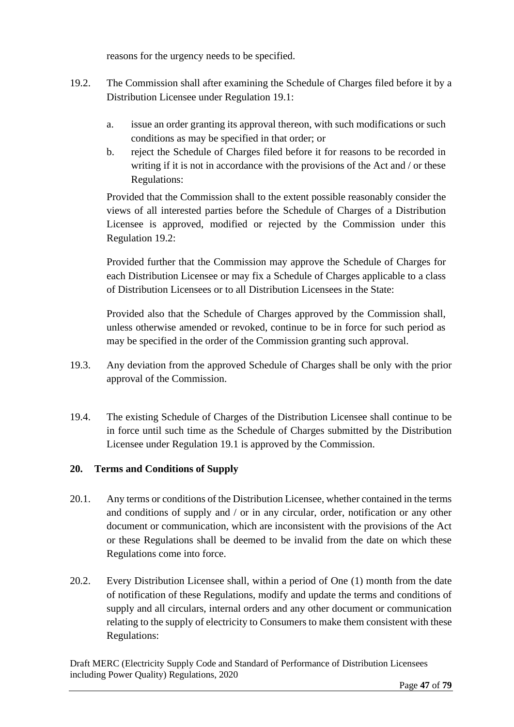reasons for the urgency needs to be specified.

- 19.2. The Commission shall after examining the Schedule of Charges filed before it by a Distribution Licensee under Regulation 19.1:
	- a. issue an order granting its approval thereon, with such modifications or such conditions as may be specified in that order; or
	- b. reject the Schedule of Charges filed before it for reasons to be recorded in writing if it is not in accordance with the provisions of the Act and / or these Regulations:

Provided that the Commission shall to the extent possible reasonably consider the views of all interested parties before the Schedule of Charges of a Distribution Licensee is approved, modified or rejected by the Commission under this Regulation 19.2:

Provided further that the Commission may approve the Schedule of Charges for each Distribution Licensee or may fix a Schedule of Charges applicable to a class of Distribution Licensees or to all Distribution Licensees in the State:

Provided also that the Schedule of Charges approved by the Commission shall, unless otherwise amended or revoked, continue to be in force for such period as may be specified in the order of the Commission granting such approval.

- 19.3. Any deviation from the approved Schedule of Charges shall be only with the prior approval of the Commission.
- 19.4. The existing Schedule of Charges of the Distribution Licensee shall continue to be in force until such time as the Schedule of Charges submitted by the Distribution Licensee under Regulation 19.1 is approved by the Commission.

# **20. Terms and Conditions of Supply**

- 20.1. Any terms or conditions of the Distribution Licensee, whether contained in the terms and conditions of supply and / or in any circular, order, notification or any other document or communication, which are inconsistent with the provisions of the Act or these Regulations shall be deemed to be invalid from the date on which these Regulations come into force.
- 20.2. Every Distribution Licensee shall, within a period of One (1) month from the date of notification of these Regulations, modify and update the terms and conditions of supply and all circulars, internal orders and any other document or communication relating to the supply of electricity to Consumers to make them consistent with these Regulations: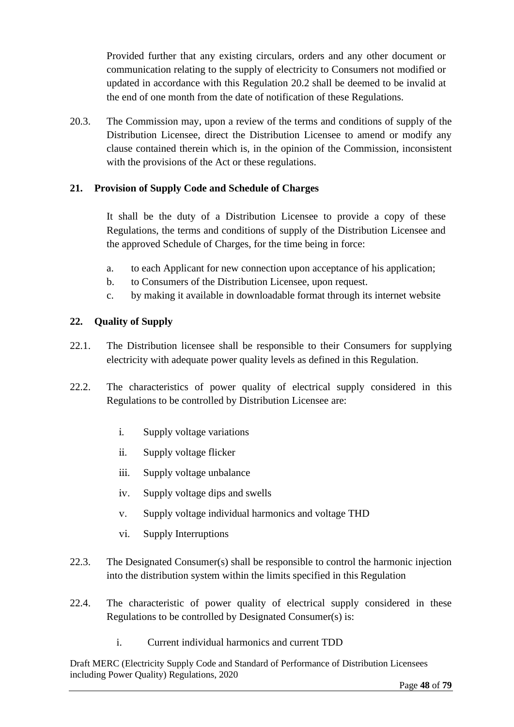Provided further that any existing circulars, orders and any other document or communication relating to the supply of electricity to Consumers not modified or updated in accordance with this Regulation 20.2 shall be deemed to be invalid at the end of one month from the date of notification of these Regulations.

20.3. The Commission may, upon a review of the terms and conditions of supply of the Distribution Licensee, direct the Distribution Licensee to amend or modify any clause contained therein which is, in the opinion of the Commission, inconsistent with the provisions of the Act or these regulations.

# **21. Provision of Supply Code and Schedule of Charges**

It shall be the duty of a Distribution Licensee to provide a copy of these Regulations, the terms and conditions of supply of the Distribution Licensee and the approved Schedule of Charges, for the time being in force:

- a. to each Applicant for new connection upon acceptance of his application;
- b. to Consumers of the Distribution Licensee, upon request.
- c. by making it available in downloadable format through its internet website

### **22. Quality of Supply**

- 22.1. The Distribution licensee shall be responsible to their Consumers for supplying electricity with adequate power quality levels as defined in this Regulation.
- 22.2. The characteristics of power quality of electrical supply considered in this Regulations to be controlled by Distribution Licensee are:
	- i. Supply voltage variations
	- ii. Supply voltage flicker
	- iii. Supply voltage unbalance
	- iv. Supply voltage dips and swells
	- v. Supply voltage individual harmonics and voltage THD
	- vi. Supply Interruptions
- 22.3. The Designated Consumer(s) shall be responsible to control the harmonic injection into the distribution system within the limits specified in this Regulation
- 22.4. The characteristic of power quality of electrical supply considered in these Regulations to be controlled by Designated Consumer(s) is:
	- i. Current individual harmonics and current TDD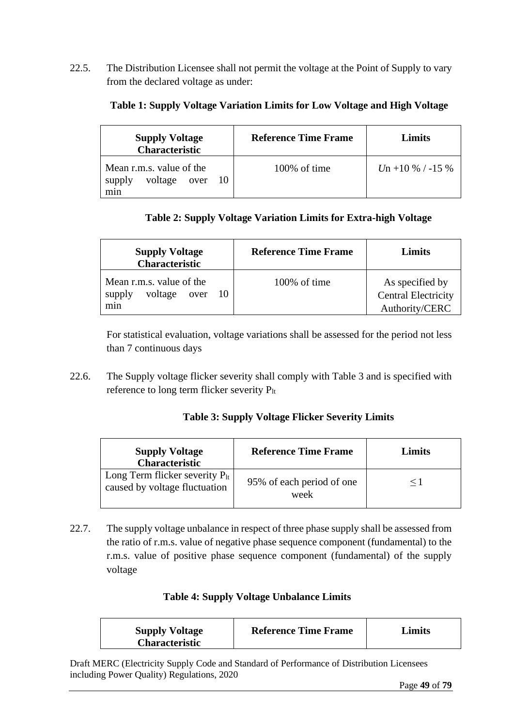22.5. The Distribution Licensee shall not permit the voltage at the Point of Supply to vary from the declared voltage as under:

| <b>Supply Voltage</b><br><b>Characteristic</b>                     | <b>Reference Time Frame</b> | Limits              |  |  |
|--------------------------------------------------------------------|-----------------------------|---------------------|--|--|
| Mean r.m.s. value of the<br>voltage<br>supply<br>10<br>over<br>min | $100\%$ of time             | $Un + 10\%$ / -15 % |  |  |

### **Table 1: Supply Voltage Variation Limits for Low Voltage and High Voltage**

# **Table 2: Supply Voltage Variation Limits for Extra-high Voltage**

| <b>Supply Voltage</b><br><b>Characteristic</b>                     | <b>Reference Time Frame</b> | <b>Limits</b>                                                   |
|--------------------------------------------------------------------|-----------------------------|-----------------------------------------------------------------|
| Mean r.m.s. value of the<br>voltage<br>supply<br>10<br>over<br>min | $100\%$ of time             | As specified by<br><b>Central Electricity</b><br>Authority/CERC |

For statistical evaluation, voltage variations shall be assessed for the period not less than 7 continuous days

22.6. The Supply voltage flicker severity shall comply with Table 3 and is specified with reference to long term flicker severity Plt

### **Table 3: Supply Voltage Flicker Severity Limits**

| <b>Supply Voltage</b><br><b>Characteristic</b>                       | <b>Reference Time Frame</b>       | Limits |
|----------------------------------------------------------------------|-----------------------------------|--------|
| Long Term flicker severity $P_{lt}$<br>caused by voltage fluctuation | 95% of each period of one<br>week |        |

22.7. The supply voltage unbalance in respect of three phase supply shall be assessed from the ratio of r.m.s. value of negative phase sequence component (fundamental) to the r.m.s. value of positive phase sequence component (fundamental) of the supply voltage

### **Table 4: Supply Voltage Unbalance Limits**

| <b>Supply Voltage</b><br><b>Characteristic</b> | <b>Reference Time Frame</b> | Limits |
|------------------------------------------------|-----------------------------|--------|
|------------------------------------------------|-----------------------------|--------|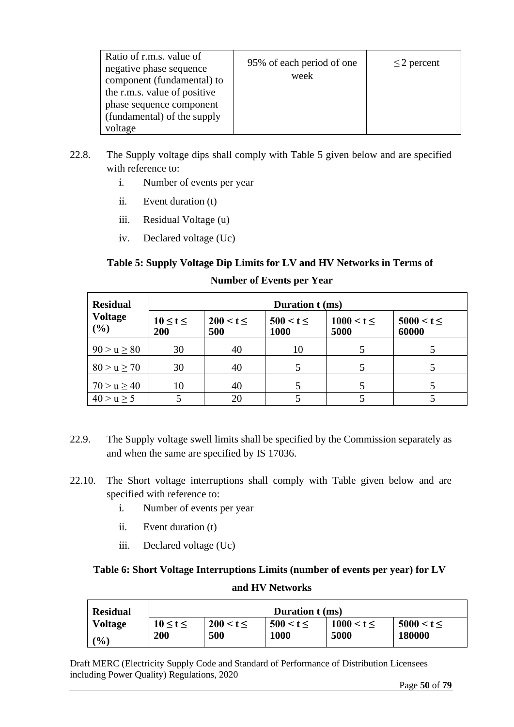| Ratio of r.m.s. value of<br>negative phase sequence<br>component (fundamental) to<br>the r.m.s. value of positive<br>phase sequence component<br>(fundamental) of the supply<br>voltage | 95% of each period of one<br>week | $\leq$ 2 percent |
|-----------------------------------------------------------------------------------------------------------------------------------------------------------------------------------------|-----------------------------------|------------------|
|-----------------------------------------------------------------------------------------------------------------------------------------------------------------------------------------|-----------------------------------|------------------|

- 22.8. The Supply voltage dips shall comply with Table 5 given below and are specified with reference to:
	- i. Number of events per year
	- ii. Event duration (t)
	- iii. Residual Voltage (u)
	- iv. Declared voltage (Uc)

## **Table 5: Supply Voltage Dip Limits for LV and HV Networks in Terms of**

| <b>Residual</b>       | Duration t (ms)         |                      |                                                        |  |                         |  |  |
|-----------------------|-------------------------|----------------------|--------------------------------------------------------|--|-------------------------|--|--|
| <b>Voltage</b><br>(%) | $10 \leq t \leq$<br>200 | $200 < t \le$<br>500 | $1000 < t \le$<br>$500 < t \le$<br><b>1000</b><br>5000 |  | $5000 < t \le$<br>60000 |  |  |
| 90 > u > 80           | 30                      | 40                   | 10                                                     |  |                         |  |  |
| 80 > u > 70           | 30                      | 40                   |                                                        |  |                         |  |  |
| $70 > u \ge 40$       | 10                      | 40                   |                                                        |  |                         |  |  |
| 40 > u > 5            |                         | 20                   |                                                        |  |                         |  |  |

**Number of Events per Year**

- 22.9. The Supply voltage swell limits shall be specified by the Commission separately as and when the same are specified by IS 17036.
- 22.10. The Short voltage interruptions shall comply with Table given below and are specified with reference to:
	- i. Number of events per year
	- ii. Event duration (t)
	- iii. Declared voltage (Uc)

# **Table 6: Short Voltage Interruptions Limits (number of events per year) for LV and HV Networks**

| <b>Residual</b> | Duration t (ms)  |               |               |                |                |  |
|-----------------|------------------|---------------|---------------|----------------|----------------|--|
| <b>Voltage</b>  | $10 \leq t \leq$ | $200 < t \le$ | $500 < t \le$ | $1000 < t \le$ | $5000 < t \le$ |  |
| $\frac{1}{2}$   | 200              | 500           | <b>1000</b>   | 5000           | 180000         |  |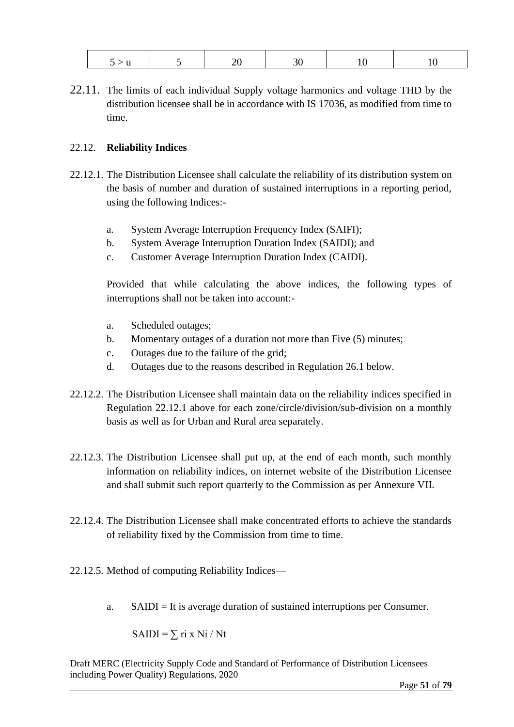22.11. The limits of each individual Supply voltage harmonics and voltage THD by the distribution licensee shall be in accordance with IS 17036, as modified from time to time.

### 22.12. **Reliability Indices**

- 22.12.1. The Distribution Licensee shall calculate the reliability of its distribution system on the basis of number and duration of sustained interruptions in a reporting period, using the following Indices:
	- a. System Average Interruption Frequency Index (SAIFI);
	- b. System Average Interruption Duration Index (SAIDI); and
	- c. Customer Average Interruption Duration Index (CAIDI).

Provided that while calculating the above indices, the following types of interruptions shall not be taken into account:-

- a. Scheduled outages;
- b. Momentary outages of a duration not more than Five (5) minutes;
- c. Outages due to the failure of the grid;
- d. Outages due to the reasons described in Regulation 26.1 below.
- 22.12.2. The Distribution Licensee shall maintain data on the reliability indices specified in Regulation 22.12.1 above for each zone/circle/division/sub-division on a monthly basis as well as for Urban and Rural area separately.
- 22.12.3. The Distribution Licensee shall put up, at the end of each month, such monthly information on reliability indices, on internet website of the Distribution Licensee and shall submit such report quarterly to the Commission as per Annexure VII.
- 22.12.4. The Distribution Licensee shall make concentrated efforts to achieve the standards of reliability fixed by the Commission from time to time.
- 22.12.5. Method of computing Reliability Indices
	- a. SAIDI = It is average duration of sustained interruptions per Consumer.

SAIDI =  $\Sigma$  ri x Ni / Nt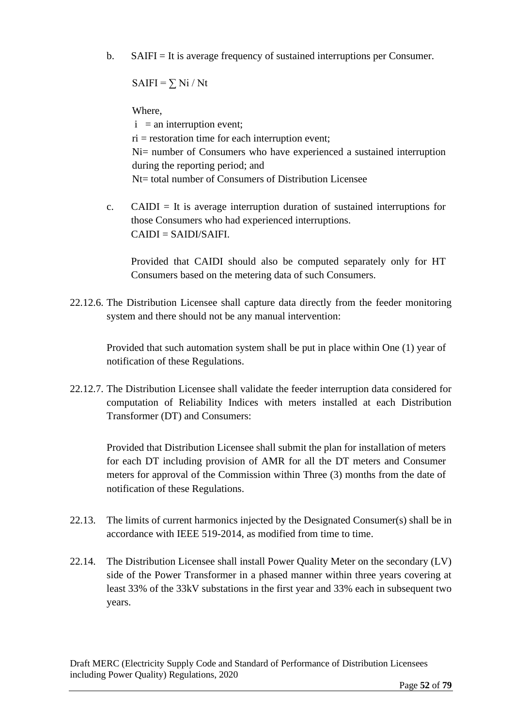b. SAIFI = It is average frequency of sustained interruptions per Consumer.

 $SAIFI = \sum N_i / Nt$ 

Where,

 $i =$ an interruption event;  $ri =$  restoration time for each interruption event; Ni= number of Consumers who have experienced a sustained interruption during the reporting period; and Nt= total number of Consumers of Distribution Licensee

c. CAIDI = It is average interruption duration of sustained interruptions for those Consumers who had experienced interruptions.  $CAIDI = SAIDI/SAIFI.$ 

Provided that CAIDI should also be computed separately only for HT Consumers based on the metering data of such Consumers.

22.12.6. The Distribution Licensee shall capture data directly from the feeder monitoring system and there should not be any manual intervention:

Provided that such automation system shall be put in place within One (1) year of notification of these Regulations.

22.12.7. The Distribution Licensee shall validate the feeder interruption data considered for computation of Reliability Indices with meters installed at each Distribution Transformer (DT) and Consumers:

Provided that Distribution Licensee shall submit the plan for installation of meters for each DT including provision of AMR for all the DT meters and Consumer meters for approval of the Commission within Three (3) months from the date of notification of these Regulations.

- 22.13. The limits of current harmonics injected by the Designated Consumer(s) shall be in accordance with IEEE 519-2014, as modified from time to time.
- 22.14. The Distribution Licensee shall install Power Quality Meter on the secondary (LV) side of the Power Transformer in a phased manner within three years covering at least 33% of the 33kV substations in the first year and 33% each in subsequent two years.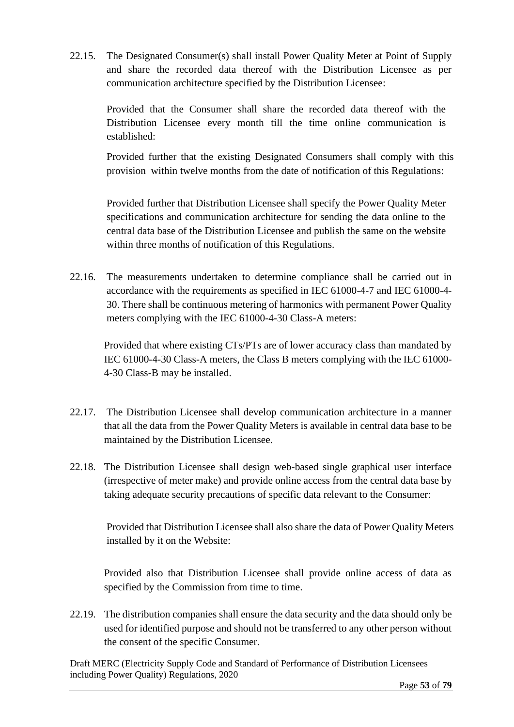22.15. The Designated Consumer(s) shall install Power Quality Meter at Point of Supply and share the recorded data thereof with the Distribution Licensee as per communication architecture specified by the Distribution Licensee:

Provided that the Consumer shall share the recorded data thereof with the Distribution Licensee every month till the time online communication is established:

Provided further that the existing Designated Consumers shall comply with this provision within twelve months from the date of notification of this Regulations:

Provided further that Distribution Licensee shall specify the Power Quality Meter specifications and communication architecture for sending the data online to the central data base of the Distribution Licensee and publish the same on the website within three months of notification of this Regulations.

22.16. The measurements undertaken to determine compliance shall be carried out in accordance with the requirements as specified in IEC 61000-4-7 and IEC 61000-4- 30. There shall be continuous metering of harmonics with permanent Power Quality meters complying with the IEC 61000-4-30 Class-A meters:

Provided that where existing CTs/PTs are of lower accuracy class than mandated by IEC 61000-4-30 Class-A meters, the Class B meters complying with the IEC 61000- 4-30 Class-B may be installed.

- 22.17. The Distribution Licensee shall develop communication architecture in a manner that all the data from the Power Quality Meters is available in central data base to be maintained by the Distribution Licensee.
- 22.18. The Distribution Licensee shall design web-based single graphical user interface (irrespective of meter make) and provide online access from the central data base by taking adequate security precautions of specific data relevant to the Consumer:

Provided that Distribution Licensee shall also share the data of Power Quality Meters installed by it on the Website:

Provided also that Distribution Licensee shall provide online access of data as specified by the Commission from time to time.

22.19. The distribution companies shall ensure the data security and the data should only be used for identified purpose and should not be transferred to any other person without the consent of the specific Consumer.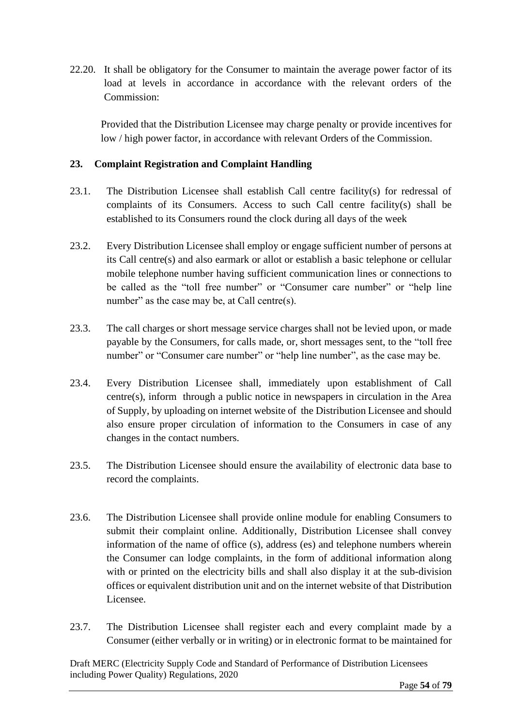22.20. It shall be obligatory for the Consumer to maintain the average power factor of its load at levels in accordance in accordance with the relevant orders of the Commission:

Provided that the Distribution Licensee may charge penalty or provide incentives for low / high power factor, in accordance with relevant Orders of the Commission.

## **23. Complaint Registration and Complaint Handling**

- 23.1. The Distribution Licensee shall establish Call centre facility(s) for redressal of complaints of its Consumers. Access to such Call centre facility(s) shall be established to its Consumers round the clock during all days of the week
- 23.2. Every Distribution Licensee shall employ or engage sufficient number of persons at its Call centre(s) and also earmark or allot or establish a basic telephone or cellular mobile telephone number having sufficient communication lines or connections to be called as the "toll free number" or "Consumer care number" or "help line number" as the case may be, at Call centre(s).
- 23.3. The call charges or short message service charges shall not be levied upon, or made payable by the Consumers, for calls made, or, short messages sent, to the "toll free number" or "Consumer care number" or "help line number", as the case may be.
- 23.4. Every Distribution Licensee shall, immediately upon establishment of Call centre(s), inform through a public notice in newspapers in circulation in the Area of Supply, by uploading on internet website of the Distribution Licensee and should also ensure proper circulation of information to the Consumers in case of any changes in the contact numbers.
- 23.5. The Distribution Licensee should ensure the availability of electronic data base to record the complaints.
- 23.6. The Distribution Licensee shall provide online module for enabling Consumers to submit their complaint online. Additionally, Distribution Licensee shall convey information of the name of office (s), address (es) and telephone numbers wherein the Consumer can lodge complaints, in the form of additional information along with or printed on the electricity bills and shall also display it at the sub-division offices or equivalent distribution unit and on the internet website of that Distribution Licensee.
- 23.7. The Distribution Licensee shall register each and every complaint made by a Consumer (either verbally or in writing) or in electronic format to be maintained for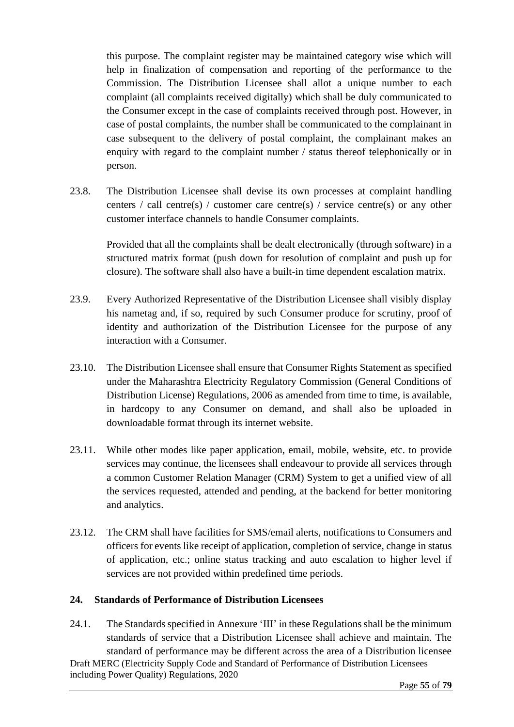this purpose. The complaint register may be maintained category wise which will help in finalization of compensation and reporting of the performance to the Commission. The Distribution Licensee shall allot a unique number to each complaint (all complaints received digitally) which shall be duly communicated to the Consumer except in the case of complaints received through post. However, in case of postal complaints, the number shall be communicated to the complainant in case subsequent to the delivery of postal complaint, the complainant makes an enquiry with regard to the complaint number / status thereof telephonically or in person.

23.8. The Distribution Licensee shall devise its own processes at complaint handling centers / call centre(s) / customer care centre(s) / service centre(s) or any other customer interface channels to handle Consumer complaints.

Provided that all the complaints shall be dealt electronically (through software) in a structured matrix format (push down for resolution of complaint and push up for closure). The software shall also have a built-in time dependent escalation matrix.

- 23.9. Every Authorized Representative of the Distribution Licensee shall visibly display his nametag and, if so, required by such Consumer produce for scrutiny, proof of identity and authorization of the Distribution Licensee for the purpose of any interaction with a Consumer.
- 23.10. The Distribution Licensee shall ensure that Consumer Rights Statement as specified under the Maharashtra Electricity Regulatory Commission (General Conditions of Distribution License) Regulations, 2006 as amended from time to time, is available, in hardcopy to any Consumer on demand, and shall also be uploaded in downloadable format through its internet website.
- 23.11. While other modes like paper application, email, mobile, website, etc. to provide services may continue, the licensees shall endeavour to provide all services through a common Customer Relation Manager (CRM) System to get a unified view of all the services requested, attended and pending, at the backend for better monitoring and analytics.
- 23.12. The CRM shall have facilities for SMS/email alerts, notifications to Consumers and officers for events like receipt of application, completion of service, change in status of application, etc.; online status tracking and auto escalation to higher level if services are not provided within predefined time periods.

### **24. Standards of Performance of Distribution Licensees**

Draft MERC (Electricity Supply Code and Standard of Performance of Distribution Licensees including Power Quality) Regulations, 2020 24.1. The Standards specified in Annexure 'III' in these Regulations shall be the minimum standards of service that a Distribution Licensee shall achieve and maintain. The standard of performance may be different across the area of a Distribution licensee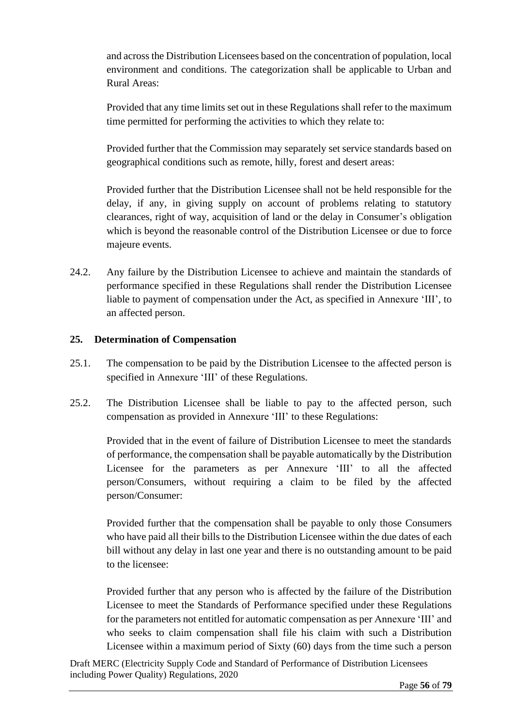and across the Distribution Licensees based on the concentration of population, local environment and conditions. The categorization shall be applicable to Urban and Rural Areas:

Provided that any time limits set out in these Regulations shall refer to the maximum time permitted for performing the activities to which they relate to:

Provided further that the Commission may separately set service standards based on geographical conditions such as remote, hilly, forest and desert areas:

Provided further that the Distribution Licensee shall not be held responsible for the delay, if any, in giving supply on account of problems relating to statutory clearances, right of way, acquisition of land or the delay in Consumer's obligation which is beyond the reasonable control of the Distribution Licensee or due to force majeure events.

24.2. Any failure by the Distribution Licensee to achieve and maintain the standards of performance specified in these Regulations shall render the Distribution Licensee liable to payment of compensation under the Act, as specified in Annexure 'III', to an affected person.

## **25. Determination of Compensation**

- 25.1. The compensation to be paid by the Distribution Licensee to the affected person is specified in Annexure 'III' of these Regulations.
- 25.2. The Distribution Licensee shall be liable to pay to the affected person, such compensation as provided in Annexure 'III' to these Regulations:

Provided that in the event of failure of Distribution Licensee to meet the standards of performance, the compensation shall be payable automatically by the Distribution Licensee for the parameters as per Annexure 'III' to all the affected person/Consumers, without requiring a claim to be filed by the affected person/Consumer:

Provided further that the compensation shall be payable to only those Consumers who have paid all their bills to the Distribution Licensee within the due dates of each bill without any delay in last one year and there is no outstanding amount to be paid to the licensee:

Provided further that any person who is affected by the failure of the Distribution Licensee to meet the Standards of Performance specified under these Regulations for the parameters not entitled for automatic compensation as per Annexure 'III' and who seeks to claim compensation shall file his claim with such a Distribution Licensee within a maximum period of Sixty (60) days from the time such a person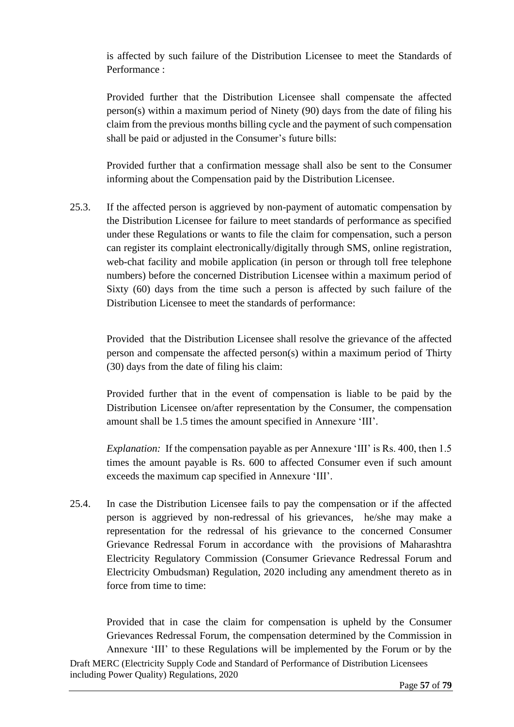is affected by such failure of the Distribution Licensee to meet the Standards of Performance :

Provided further that the Distribution Licensee shall compensate the affected person(s) within a maximum period of Ninety (90) days from the date of filing his claim from the previous months billing cycle and the payment of such compensation shall be paid or adjusted in the Consumer's future bills:

Provided further that a confirmation message shall also be sent to the Consumer informing about the Compensation paid by the Distribution Licensee.

25.3. If the affected person is aggrieved by non-payment of automatic compensation by the Distribution Licensee for failure to meet standards of performance as specified under these Regulations or wants to file the claim for compensation, such a person can register its complaint electronically/digitally through SMS, online registration, web-chat facility and mobile application (in person or through toll free telephone numbers) before the concerned Distribution Licensee within a maximum period of Sixty (60) days from the time such a person is affected by such failure of the Distribution Licensee to meet the standards of performance:

Provided that the Distribution Licensee shall resolve the grievance of the affected person and compensate the affected person(s) within a maximum period of Thirty (30) days from the date of filing his claim:

Provided further that in the event of compensation is liable to be paid by the Distribution Licensee on/after representation by the Consumer, the compensation amount shall be 1.5 times the amount specified in Annexure 'III'.

*Explanation:* If the compensation payable as per Annexure 'III' is Rs. 400, then 1.5 times the amount payable is Rs. 600 to affected Consumer even if such amount exceeds the maximum cap specified in Annexure 'III'.

25.4. In case the Distribution Licensee fails to pay the compensation or if the affected person is aggrieved by non-redressal of his grievances, he/she may make a representation for the redressal of his grievance to the concerned Consumer Grievance Redressal Forum in accordance with the provisions of Maharashtra Electricity Regulatory Commission (Consumer Grievance Redressal Forum and Electricity Ombudsman) Regulation, 2020 including any amendment thereto as in force from time to time:

Provided that in case the claim for compensation is upheld by the Consumer Grievances Redressal Forum, the compensation determined by the Commission in Annexure 'III' to these Regulations will be implemented by the Forum or by the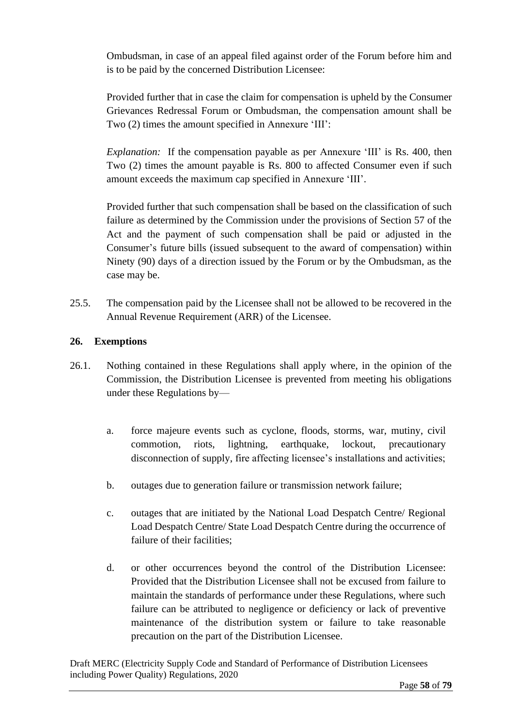Ombudsman, in case of an appeal filed against order of the Forum before him and is to be paid by the concerned Distribution Licensee:

Provided further that in case the claim for compensation is upheld by the Consumer Grievances Redressal Forum or Ombudsman, the compensation amount shall be Two (2) times the amount specified in Annexure 'III':

*Explanation:* If the compensation payable as per Annexure 'III' is Rs. 400, then Two (2) times the amount payable is Rs. 800 to affected Consumer even if such amount exceeds the maximum cap specified in Annexure 'III'.

Provided further that such compensation shall be based on the classification of such failure as determined by the Commission under the provisions of Section 57 of the Act and the payment of such compensation shall be paid or adjusted in the Consumer's future bills (issued subsequent to the award of compensation) within Ninety (90) days of a direction issued by the Forum or by the Ombudsman, as the case may be.

25.5. The compensation paid by the Licensee shall not be allowed to be recovered in the Annual Revenue Requirement (ARR) of the Licensee.

## **26. Exemptions**

- 26.1. Nothing contained in these Regulations shall apply where, in the opinion of the Commission, the Distribution Licensee is prevented from meeting his obligations under these Regulations by
	- a. force majeure events such as cyclone, floods, storms, war, mutiny, civil commotion, riots, lightning, earthquake, lockout, precautionary disconnection of supply, fire affecting licensee's installations and activities;
	- b. outages due to generation failure or transmission network failure;
	- c. outages that are initiated by the National Load Despatch Centre/ Regional Load Despatch Centre/ State Load Despatch Centre during the occurrence of failure of their facilities;
	- d. or other occurrences beyond the control of the Distribution Licensee: Provided that the Distribution Licensee shall not be excused from failure to maintain the standards of performance under these Regulations, where such failure can be attributed to negligence or deficiency or lack of preventive maintenance of the distribution system or failure to take reasonable precaution on the part of the Distribution Licensee.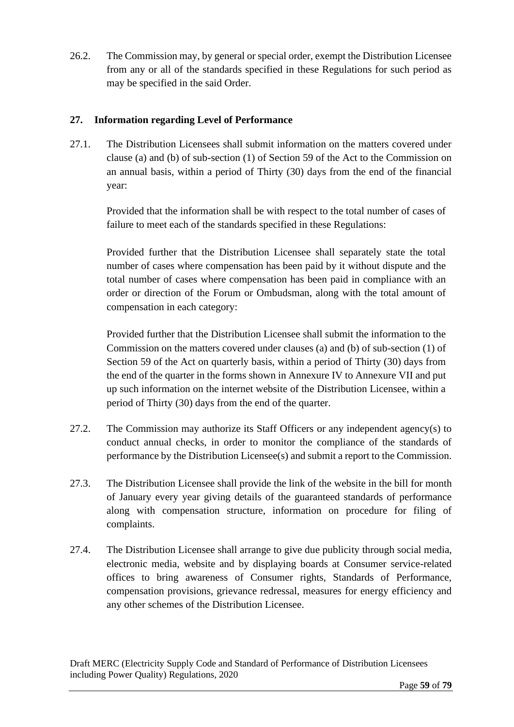26.2. The Commission may, by general or special order, exempt the Distribution Licensee from any or all of the standards specified in these Regulations for such period as may be specified in the said Order.

## **27. Information regarding Level of Performance**

27.1. The Distribution Licensees shall submit information on the matters covered under clause (a) and (b) of sub-section (1) of Section 59 of the Act to the Commission on an annual basis, within a period of Thirty (30) days from the end of the financial year:

Provided that the information shall be with respect to the total number of cases of failure to meet each of the standards specified in these Regulations:

Provided further that the Distribution Licensee shall separately state the total number of cases where compensation has been paid by it without dispute and the total number of cases where compensation has been paid in compliance with an order or direction of the Forum or Ombudsman, along with the total amount of compensation in each category:

Provided further that the Distribution Licensee shall submit the information to the Commission on the matters covered under clauses (a) and (b) of sub-section (1) of Section 59 of the Act on quarterly basis, within a period of Thirty (30) days from the end of the quarter in the forms shown in Annexure IV to Annexure VII and put up such information on the internet website of the Distribution Licensee, within a period of Thirty (30) days from the end of the quarter.

- 27.2. The Commission may authorize its Staff Officers or any independent agency(s) to conduct annual checks, in order to monitor the compliance of the standards of performance by the Distribution Licensee(s) and submit a report to the Commission.
- 27.3. The Distribution Licensee shall provide the link of the website in the bill for month of January every year giving details of the guaranteed standards of performance along with compensation structure, information on procedure for filing of complaints.
- 27.4. The Distribution Licensee shall arrange to give due publicity through social media, electronic media, website and by displaying boards at Consumer service-related offices to bring awareness of Consumer rights, Standards of Performance, compensation provisions, grievance redressal, measures for energy efficiency and any other schemes of the Distribution Licensee.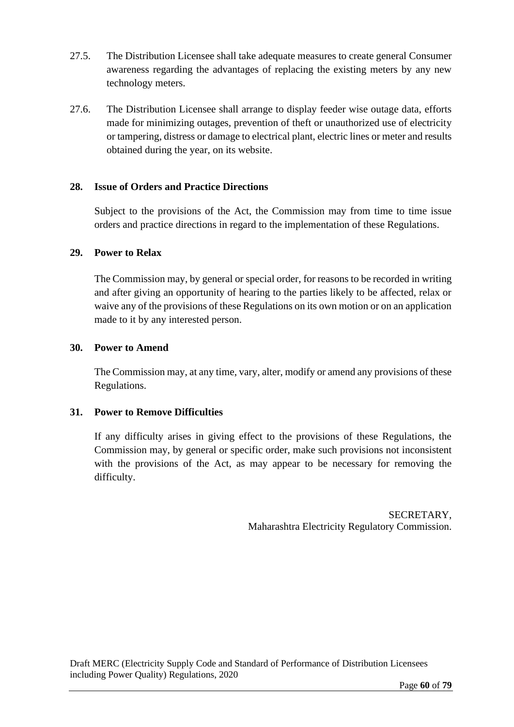- 27.5. The Distribution Licensee shall take adequate measures to create general Consumer awareness regarding the advantages of replacing the existing meters by any new technology meters.
- 27.6. The Distribution Licensee shall arrange to display feeder wise outage data, efforts made for minimizing outages, prevention of theft or unauthorized use of electricity or tampering, distress or damage to electrical plant, electric lines or meter and results obtained during the year, on its website.

### **28. Issue of Orders and Practice Directions**

Subject to the provisions of the Act, the Commission may from time to time issue orders and practice directions in regard to the implementation of these Regulations.

### **29. Power to Relax**

The Commission may, by general or special order, for reasons to be recorded in writing and after giving an opportunity of hearing to the parties likely to be affected, relax or waive any of the provisions of these Regulations on its own motion or on an application made to it by any interested person.

### **30. Power to Amend**

The Commission may, at any time, vary, alter, modify or amend any provisions of these Regulations.

### **31. Power to Remove Difficulties**

If any difficulty arises in giving effect to the provisions of these Regulations, the Commission may, by general or specific order, make such provisions not inconsistent with the provisions of the Act, as may appear to be necessary for removing the difficulty.

> SECRETARY, Maharashtra Electricity Regulatory Commission.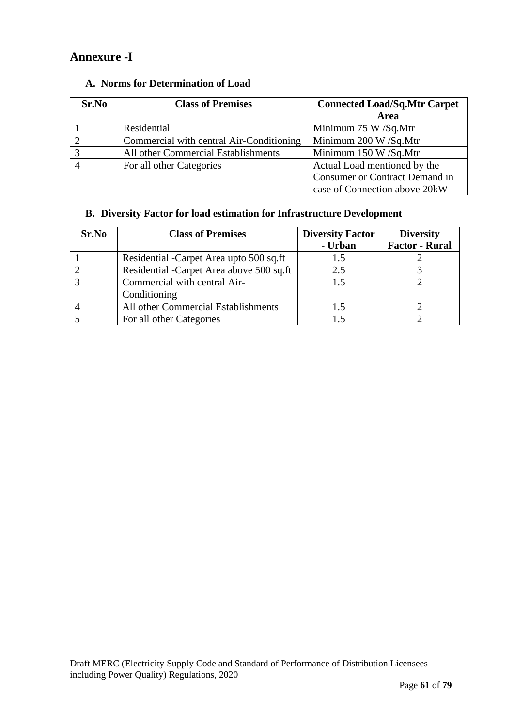# **Annexure -I**

| Sr.No | <b>Class of Premises</b>                 | <b>Connected Load/Sq.Mtr Carpet</b>   |
|-------|------------------------------------------|---------------------------------------|
|       |                                          | Area                                  |
|       | Residential                              | Minimum 75 W /Sq.Mtr                  |
|       | Commercial with central Air-Conditioning | Minimum 200 W /Sq.Mtr                 |
|       | All other Commercial Establishments      | Minimum 150 W /Sq.Mtr                 |
|       | For all other Categories                 | Actual Load mentioned by the          |
|       |                                          | <b>Consumer or Contract Demand in</b> |
|       |                                          | case of Connection above 20kW         |

## **A. Norms for Determination of Load**

# **B. Diversity Factor for load estimation for Infrastructure Development**

| Sr.No | <b>Class of Premises</b>                 | <b>Diversity Factor</b><br>- Urban | <b>Diversity</b><br><b>Factor - Rural</b> |
|-------|------------------------------------------|------------------------------------|-------------------------------------------|
|       | Residential -Carpet Area upto 500 sq.ft  | 1.5                                |                                           |
|       | Residential -Carpet Area above 500 sq.ft | 2.5                                |                                           |
|       | Commercial with central Air-             | 1.5                                |                                           |
|       | Conditioning                             |                                    |                                           |
|       | All other Commercial Establishments      |                                    |                                           |
|       | For all other Categories                 |                                    |                                           |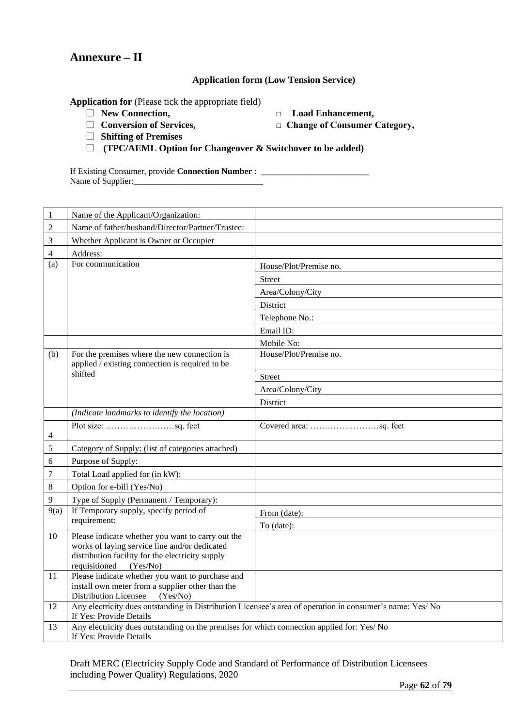# **Annexure – II**

### **Application form (Low Tension Service)**

### **Application for** (Please tick the appropriate field)

- 
- 
- □ **New Connection, □ Load Enhancement,**
- □ **Conversion of Services,** □ **Change of Consumer Category,**
- □ **Shifting of Premises**
- □ **(TPC/AEML Option for Changeover & Switchover to be added)**

If Existing Consumer, provide **Connection Number** : \_\_\_\_\_\_\_\_\_\_\_\_\_\_\_\_\_\_\_\_\_\_\_\_\_ Name of Supplier:

| $\mathbf{1}$   | Name of the Applicant/Organization:                                                                                                                                                 |                                                                                                           |
|----------------|-------------------------------------------------------------------------------------------------------------------------------------------------------------------------------------|-----------------------------------------------------------------------------------------------------------|
| $\overline{2}$ | Name of father/husband/Director/Partner/Trustee:                                                                                                                                    |                                                                                                           |
| 3              | Whether Applicant is Owner or Occupier                                                                                                                                              |                                                                                                           |
| $\overline{4}$ | Address:                                                                                                                                                                            |                                                                                                           |
| (a)            | For communication                                                                                                                                                                   | House/Plot/Premise no.                                                                                    |
|                |                                                                                                                                                                                     | <b>Street</b>                                                                                             |
|                |                                                                                                                                                                                     | Area/Colony/City                                                                                          |
|                |                                                                                                                                                                                     | District                                                                                                  |
|                |                                                                                                                                                                                     | Telephone No.:                                                                                            |
|                |                                                                                                                                                                                     | Email ID:                                                                                                 |
|                |                                                                                                                                                                                     | Mobile No:                                                                                                |
| (b)            | For the premises where the new connection is<br>applied / existing connection is required to be                                                                                     | House/Plot/Premise no.                                                                                    |
|                | shifted                                                                                                                                                                             | Street                                                                                                    |
|                |                                                                                                                                                                                     | Area/Colony/City                                                                                          |
|                |                                                                                                                                                                                     | District                                                                                                  |
|                | (Indicate landmarks to identify the location)                                                                                                                                       |                                                                                                           |
| $\overline{4}$ |                                                                                                                                                                                     |                                                                                                           |
| 5              | Category of Supply: (list of categories attached)                                                                                                                                   |                                                                                                           |
| 6              | Purpose of Supply:                                                                                                                                                                  |                                                                                                           |
| 7              | Total Load applied for (in kW):                                                                                                                                                     |                                                                                                           |
| 8              | Option for e-bill (Yes/No)                                                                                                                                                          |                                                                                                           |
| $\overline{9}$ | Type of Supply (Permanent / Temporary):                                                                                                                                             |                                                                                                           |
| 9(a)           | If Temporary supply, specify period of                                                                                                                                              | From (date):                                                                                              |
|                | requirement:                                                                                                                                                                        | To (date):                                                                                                |
| 10             | Please indicate whether you want to carry out the<br>works of laying service line and/or dedicated<br>distribution facility for the electricity supply<br>requisitioned<br>(Yes/No) |                                                                                                           |
| 11             | Please indicate whether you want to purchase and<br>install own meter from a supplier other than the<br>Distribution Licensee<br>(Yes/No)                                           |                                                                                                           |
| 12             | If Yes: Provide Details                                                                                                                                                             | Any electricity dues outstanding in Distribution Licensee's area of operation in consumer's name: Yes/ No |
| 13             | Any electricity dues outstanding on the premises for which connection applied for: Yes/ No<br>If Yes: Provide Details                                                               |                                                                                                           |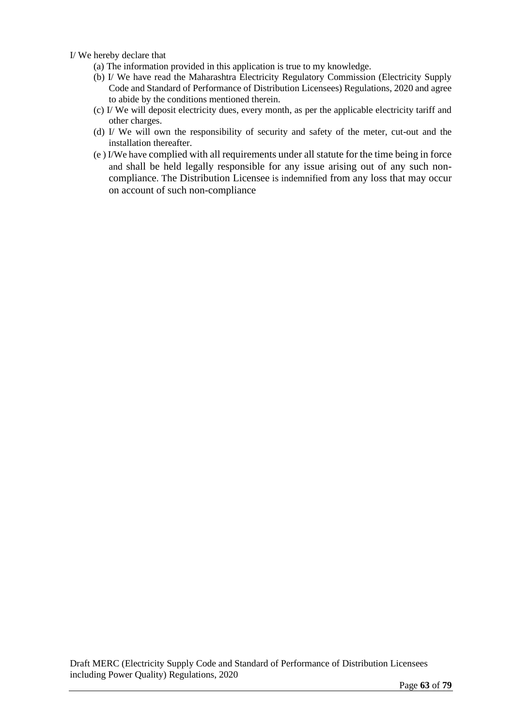I/ We hereby declare that

- (a) The information provided in this application is true to my knowledge.
- (b) I/ We have read the Maharashtra Electricity Regulatory Commission (Electricity Supply Code and Standard of Performance of Distribution Licensees) Regulations, 2020 and agree to abide by the conditions mentioned therein.
- (c) I/ We will deposit electricity dues, every month, as per the applicable electricity tariff and other charges.
- (d) I/ We will own the responsibility of security and safety of the meter, cut-out and the installation thereafter.
- (e ) I/We have complied with all requirements under all statute for the time being in force and shall be held legally responsible for any issue arising out of any such noncompliance. The Distribution Licensee is indemnified from any loss that may occur on account of such non-compliance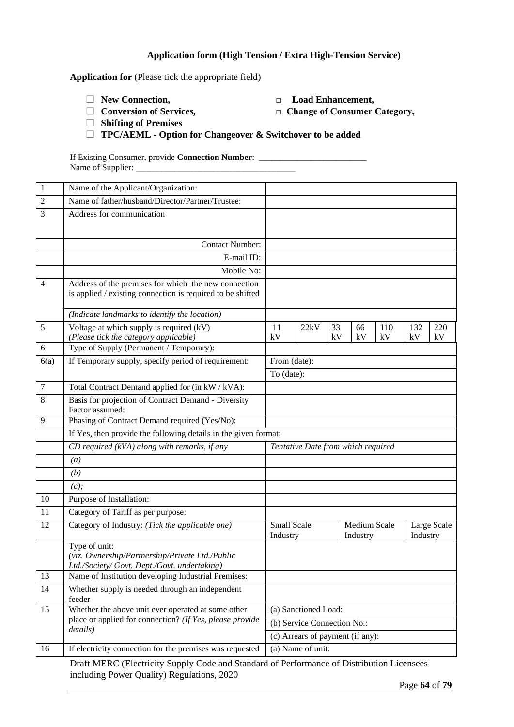### **Application form (High Tension / Extra High-Tension Service)**

**Application for** (Please tick the appropriate field)

□ **New Connection, □ Load Enhancement,**  □ **Conversion of Services,** □ **Change of Consumer Category,** 

- □ **Shifting of Premises**
- □ **TPC/AEML - Option for Changeover & Switchover to be added**

If Existing Consumer, provide **Connection Number**: \_\_\_\_\_\_\_\_\_\_\_\_\_\_\_\_\_\_\_\_\_\_\_\_\_ Name of Supplier: \_\_\_\_\_\_\_\_\_\_\_\_\_\_\_\_\_\_\_\_\_\_\_\_\_\_\_\_\_\_\_\_\_\_\_\_\_

| 1              | Name of the Applicant/Organization:                                                                                |                                    |                             |          |                          |           |           |             |
|----------------|--------------------------------------------------------------------------------------------------------------------|------------------------------------|-----------------------------|----------|--------------------------|-----------|-----------|-------------|
| $\overline{2}$ | Name of father/husband/Director/Partner/Trustee:                                                                   |                                    |                             |          |                          |           |           |             |
| 3              | Address for communication                                                                                          |                                    |                             |          |                          |           |           |             |
|                | <b>Contact Number:</b>                                                                                             |                                    |                             |          |                          |           |           |             |
|                | E-mail ID:                                                                                                         |                                    |                             |          |                          |           |           |             |
|                | Mobile No:                                                                                                         |                                    |                             |          |                          |           |           |             |
| $\overline{4}$ | Address of the premises for which the new connection<br>is applied / existing connection is required to be shifted |                                    |                             |          |                          |           |           |             |
|                | (Indicate landmarks to identify the location)                                                                      |                                    |                             |          |                          |           |           |             |
| 5              | Voltage at which supply is required (kV)<br>(Please tick the category applicable)                                  | 11<br>kV                           | 22kV                        | 33<br>kV | 66<br>kV                 | 110<br>kV | 132<br>kV | 220<br>kV   |
| 6              | Type of Supply (Permanent / Temporary):                                                                            |                                    |                             |          |                          |           |           |             |
| 6(a)           | If Temporary supply, specify period of requirement:                                                                | From (date):                       |                             |          |                          |           |           |             |
|                |                                                                                                                    | To (date):                         |                             |          |                          |           |           |             |
| 7              | Total Contract Demand applied for (in kW / kVA):                                                                   |                                    |                             |          |                          |           |           |             |
| 8              | Basis for projection of Contract Demand - Diversity<br>Factor assumed:                                             |                                    |                             |          |                          |           |           |             |
| 9              | Phasing of Contract Demand required (Yes/No):                                                                      |                                    |                             |          |                          |           |           |             |
|                | If Yes, then provide the following details in the given format:                                                    |                                    |                             |          |                          |           |           |             |
|                | $CD$ required (kVA) along with remarks, if any                                                                     | Tentative Date from which required |                             |          |                          |           |           |             |
|                | (a)                                                                                                                |                                    |                             |          |                          |           |           |             |
|                | (b)                                                                                                                |                                    |                             |          |                          |           |           |             |
|                | $(c)$ ;                                                                                                            |                                    |                             |          |                          |           |           |             |
| 10             | Purpose of Installation:                                                                                           |                                    |                             |          |                          |           |           |             |
| 11             | Category of Tariff as per purpose:                                                                                 |                                    |                             |          |                          |           |           |             |
| 12             | Category of Industry: (Tick the applicable one)                                                                    | Small Scale<br>Industry            |                             |          | Medium Scale<br>Industry |           | Industry  | Large Scale |
|                | Type of unit:<br>(viz. Ownership/Partnership/Private Ltd./Public<br>Ltd./Society/Govt. Dept./Govt. undertaking)    |                                    |                             |          |                          |           |           |             |
| 13             | Name of Institution developing Industrial Premises:                                                                |                                    |                             |          |                          |           |           |             |
| 14             | Whether supply is needed through an independent<br>feeder                                                          |                                    |                             |          |                          |           |           |             |
| 15             | Whether the above unit ever operated at some other                                                                 |                                    | (a) Sanctioned Load:        |          |                          |           |           |             |
|                | place or applied for connection? (If Yes, please provide<br>details)                                               |                                    | (b) Service Connection No.: |          |                          |           |           |             |
|                |                                                                                                                    | (c) Arrears of payment (if any):   |                             |          |                          |           |           |             |
| 16             | If electricity connection for the premises was requested                                                           |                                    | (a) Name of unit:           |          |                          |           |           |             |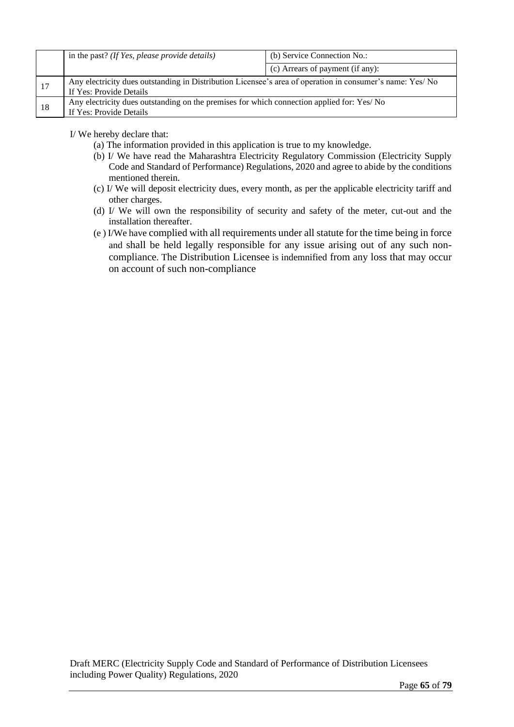|    | in the past? (If Yes, please provide details)                                                                                        | (b) Service Connection No.:      |
|----|--------------------------------------------------------------------------------------------------------------------------------------|----------------------------------|
|    |                                                                                                                                      | (c) Arrears of payment (if any): |
| 17 | Any electricity dues outstanding in Distribution Licensee's area of operation in consumer's name: Yes/ No<br>If Yes: Provide Details |                                  |
| 18 | Any electricity dues outstanding on the premises for which connection applied for: Yes/No<br>If Yes: Provide Details                 |                                  |

I/ We hereby declare that:

- (a) The information provided in this application is true to my knowledge.
- (b) I/ We have read the Maharashtra Electricity Regulatory Commission (Electricity Supply Code and Standard of Performance) Regulations, 2020 and agree to abide by the conditions mentioned therein.
- (c) I/ We will deposit electricity dues, every month, as per the applicable electricity tariff and other charges.
- (d) I/ We will own the responsibility of security and safety of the meter, cut-out and the installation thereafter.
- (e ) I/We have complied with all requirements under all statute for the time being in force and shall be held legally responsible for any issue arising out of any such noncompliance. The Distribution Licensee is indemnified from any loss that may occur on account of such non-compliance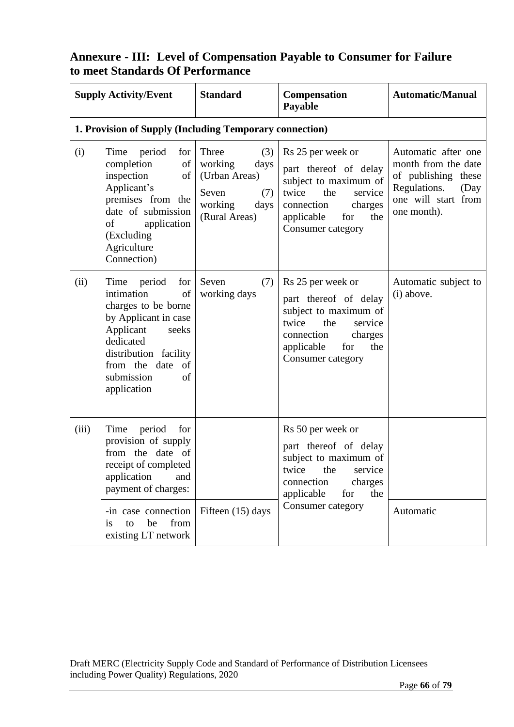| <b>Annexure - III: Level of Compensation Payable to Consumer for Failure</b> |  |
|------------------------------------------------------------------------------|--|
| to meet Standards Of Performance                                             |  |

| <b>Supply Activity/Event</b>                                                                                                                                                                                   | <b>Standard</b>                                                                                      | <b>Compensation</b><br>Payable                                                                                                                                           | <b>Automatic/Manual</b>                                                                                                         |
|----------------------------------------------------------------------------------------------------------------------------------------------------------------------------------------------------------------|------------------------------------------------------------------------------------------------------|--------------------------------------------------------------------------------------------------------------------------------------------------------------------------|---------------------------------------------------------------------------------------------------------------------------------|
|                                                                                                                                                                                                                |                                                                                                      |                                                                                                                                                                          |                                                                                                                                 |
| Time<br>period<br>for<br>completion<br>of<br>inspection<br>of<br>Applicant's<br>premises from the<br>date of submission<br>of<br>application<br>(Excluding<br>Agriculture<br>Connection)                       | Three<br>(3)<br>working<br>days<br>(Urban Areas)<br>Seven<br>(7)<br>working<br>days<br>(Rural Areas) | Rs 25 per week or<br>part thereof of delay<br>subject to maximum of<br>the<br>twice<br>service<br>connection<br>charges<br>applicable<br>for<br>the<br>Consumer category | Automatic after one<br>month from the date<br>of publishing these<br>Regulations.<br>(Day<br>one will start from<br>one month). |
| period<br>Time<br>for<br>intimation<br>of<br>charges to be borne<br>by Applicant in case<br>Applicant<br>seeks<br>dedicated<br>distribution facility<br>from the date<br>of<br>submission<br>of<br>application | Seven<br>(7)<br>working days                                                                         | Rs 25 per week or<br>part thereof of delay<br>subject to maximum of<br>twice<br>the<br>service<br>connection<br>charges<br>applicable<br>the<br>for<br>Consumer category | Automatic subject to<br>(i) above.                                                                                              |
| Time<br>period<br>for<br>provision of supply<br>from the date of<br>receipt of completed<br>application<br>and<br>payment of charges:<br>-in case connection<br>be<br>from<br>to<br>is                         | Fifteen (15) days                                                                                    | Rs 50 per week or<br>part thereof of delay<br>subject to maximum of<br>twice the service<br>charges<br>connection<br>applicable<br>for<br>the<br>Consumer category       | Automatic                                                                                                                       |
|                                                                                                                                                                                                                | existing LT network                                                                                  |                                                                                                                                                                          | 1. Provision of Supply (Including Temporary connection)                                                                         |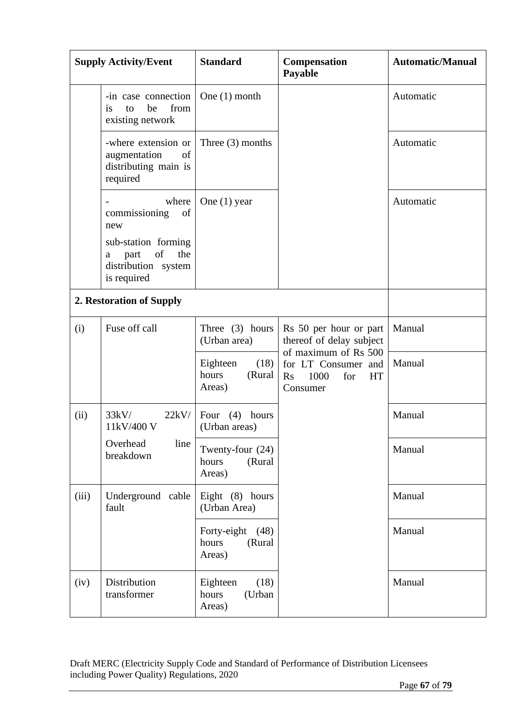|       | <b>Supply Activity/Event</b>                                                        | <b>Standard</b>                               | Compensation<br>Payable                                                                   | <b>Automatic/Manual</b> |
|-------|-------------------------------------------------------------------------------------|-----------------------------------------------|-------------------------------------------------------------------------------------------|-------------------------|
|       | -in case connection<br>from<br>is<br>to<br>be<br>existing network                   | One $(1)$ month                               |                                                                                           | Automatic               |
|       | -where extension or<br>augmentation<br>of<br>distributing main is<br>required       | Three $(3)$ months                            |                                                                                           | Automatic               |
|       | where<br>of<br>commissioning<br>new                                                 | One $(1)$ year                                |                                                                                           | Automatic               |
|       | sub-station forming<br>of<br>the<br>part<br>a<br>distribution system<br>is required |                                               |                                                                                           |                         |
|       | 2. Restoration of Supply                                                            |                                               |                                                                                           |                         |
| (i)   | Fuse off call                                                                       | Three $(3)$ hours<br>(Urban area)             | Rs 50 per hour or part<br>thereof of delay subject                                        | Manual                  |
|       |                                                                                     | (18)<br>Eighteen<br>hours<br>(Rural<br>Areas) | of maximum of Rs 500<br>for LT Consumer and<br>1000<br>for<br><b>HT</b><br>Rs<br>Consumer | Manual                  |
| (ii)  | 33kV/<br>22kV/<br>11kV/400 V                                                        | Four $(4)$<br>hours<br>(Urban areas)          |                                                                                           | Manual                  |
|       | Overhead<br>line<br>breakdown                                                       | Twenty-four (24)<br>(Rural<br>hours<br>Areas) |                                                                                           | Manual                  |
| (iii) | Underground cable<br>fault                                                          | Eight (8) hours<br>(Urban Area)               |                                                                                           | Manual                  |
|       |                                                                                     | Forty-eight (48)<br>(Rural<br>hours<br>Areas) |                                                                                           | Manual                  |
| (iv)  | Distribution<br>transformer                                                         | Eighteen<br>(18)<br>hours<br>(Urban<br>Areas) |                                                                                           | Manual                  |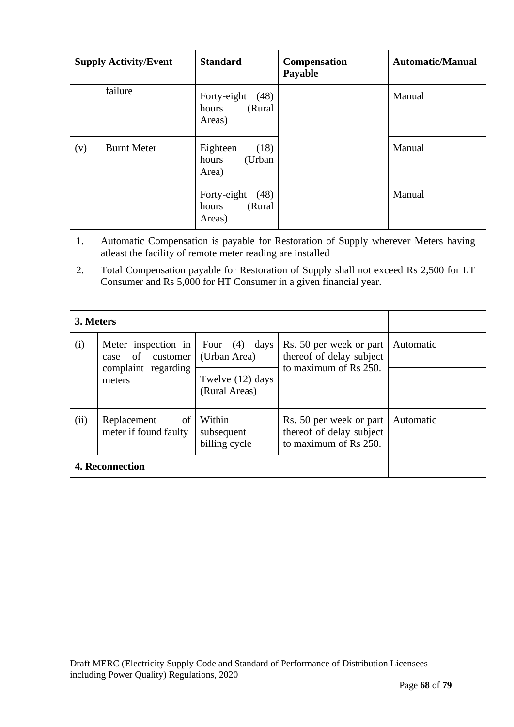| <b>Supply Activity/Event</b> |                                                                                                                                                           | <b>Standard</b>                                  | Compensation<br>Payable | <b>Automatic/Manual</b> |  |
|------------------------------|-----------------------------------------------------------------------------------------------------------------------------------------------------------|--------------------------------------------------|-------------------------|-------------------------|--|
|                              | failure                                                                                                                                                   | Forty-eight<br>(48)<br>hours<br>(Rural<br>Areas) |                         | Manual                  |  |
| (v)                          | <b>Burnt Meter</b>                                                                                                                                        | Eighteen<br>(18)<br>(Urban<br>hours<br>Area)     |                         | Manual                  |  |
|                              |                                                                                                                                                           | Forty-eight<br>(48)<br>(Rural<br>hours<br>Areas) |                         | Manual                  |  |
| 1.                           | Automatic Compensation is payable for Restoration of Supply wherever Meters having<br>at least the facility of remote meter reading are installed         |                                                  |                         |                         |  |
| 2.                           | Total Compensation payable for Restoration of Supply shall not exceed Rs 2,500 for LT<br>Consumer and Rs 5,000 for HT Consumer in a given financial year. |                                                  |                         |                         |  |

| 3. Meters |                                            |                                       |                                                                              |           |  |
|-----------|--------------------------------------------|---------------------------------------|------------------------------------------------------------------------------|-----------|--|
| (i)       | Meter inspection in<br>case of<br>customer | Four $(4)$ days<br>(Urban Area)       | Rs. 50 per week or part<br>thereof of delay subject<br>to maximum of Rs 250. | Automatic |  |
|           | complaint regarding<br>meters              | Twelve (12) days<br>(Rural Areas)     |                                                                              |           |  |
| (ii)      | Replacement<br>of<br>meter if found faulty | Within<br>subsequent<br>billing cycle | Rs. 50 per week or part<br>thereof of delay subject<br>to maximum of Rs 250. | Automatic |  |
|           | <b>4. Reconnection</b>                     |                                       |                                                                              |           |  |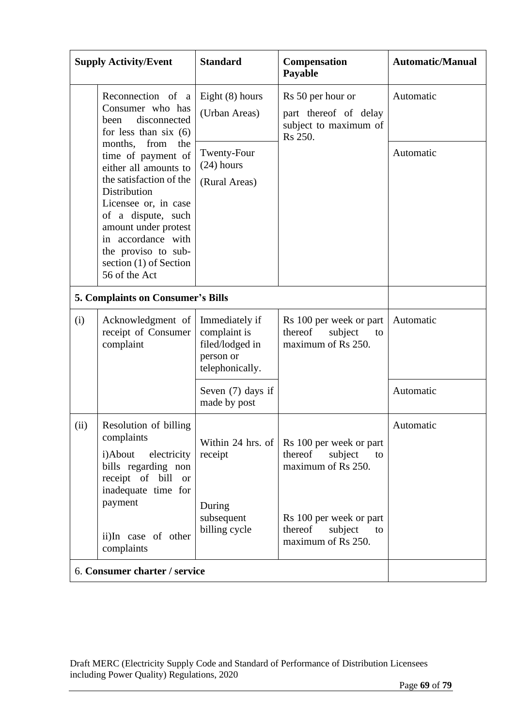|      | <b>Supply Activity/Event</b>                                                                                                                                                                                                                                                     | <b>Standard</b>                                                                   | Compensation<br>Payable                                                                                                                                | <b>Automatic/Manual</b> |
|------|----------------------------------------------------------------------------------------------------------------------------------------------------------------------------------------------------------------------------------------------------------------------------------|-----------------------------------------------------------------------------------|--------------------------------------------------------------------------------------------------------------------------------------------------------|-------------------------|
|      | Reconnection of a<br>Consumer who has<br>disconnected<br>been<br>for less than six $(6)$                                                                                                                                                                                         | Eight $(8)$ hours<br>(Urban Areas)                                                | Rs 50 per hour or<br>part thereof of delay<br>subject to maximum of<br>Rs 250.                                                                         | Automatic               |
|      | from<br>months,<br>the<br>time of payment of<br>either all amounts to<br>the satisfaction of the<br>Distribution<br>Licensee or, in case<br>of a dispute, such<br>amount under protest<br>in accordance with<br>the proviso to sub-<br>section $(1)$ of Section<br>56 of the Act | Twenty-Four<br>$(24)$ hours<br>(Rural Areas)                                      |                                                                                                                                                        | Automatic               |
|      | <b>5. Complaints on Consumer's Bills</b>                                                                                                                                                                                                                                         |                                                                                   |                                                                                                                                                        |                         |
| (i)  | Acknowledgment of<br>receipt of Consumer<br>complaint                                                                                                                                                                                                                            | Immediately if<br>complaint is<br>filed/lodged in<br>person or<br>telephonically. | Rs 100 per week or part<br>thereof<br>subject<br>to<br>maximum of Rs 250.                                                                              | Automatic               |
|      |                                                                                                                                                                                                                                                                                  | Seven (7) days if<br>made by post                                                 |                                                                                                                                                        | Automatic               |
| (ii) | Resolution of billing<br>complaints<br>i)About<br>electricity<br>bills regarding non<br>receipt of bill or<br>inadequate time for<br>payment<br>ii)In case of other<br>complaints                                                                                                | Within 24 hrs. of<br>receipt<br>During<br>subsequent<br>billing cycle             | Rs 100 per week or part<br>thereof<br>subject<br>to<br>maximum of Rs 250.<br>Rs 100 per week or part<br>thereof<br>subject<br>to<br>maximum of Rs 250. | Automatic               |
|      | 6. Consumer charter / service                                                                                                                                                                                                                                                    |                                                                                   |                                                                                                                                                        |                         |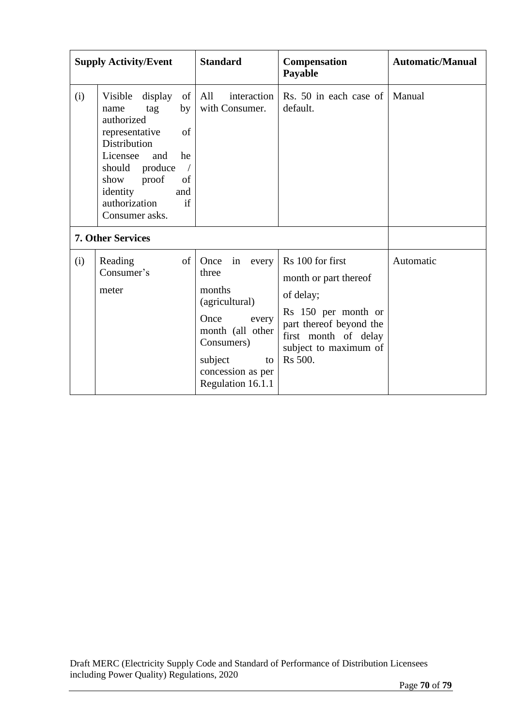|     | <b>Supply Activity/Event</b>                                                                                                                                                                                                           | <b>Standard</b>                                                                                                                                                        | Compensation<br>Payable                                                                                                                                              | <b>Automatic/Manual</b> |
|-----|----------------------------------------------------------------------------------------------------------------------------------------------------------------------------------------------------------------------------------------|------------------------------------------------------------------------------------------------------------------------------------------------------------------------|----------------------------------------------------------------------------------------------------------------------------------------------------------------------|-------------------------|
| (i) | display<br>of 1<br>Visible<br>by<br>tag<br>name<br>authorized<br>representative<br>of<br>Distribution<br>he<br>Licensee<br>and<br>should<br>produce<br>proof<br>of<br>show<br>identity<br>and<br>authorization<br>if<br>Consumer asks. | All<br>interaction<br>with Consumer.                                                                                                                                   | Rs. 50 in each case of<br>default.                                                                                                                                   | Manual                  |
|     | <b>7. Other Services</b>                                                                                                                                                                                                               |                                                                                                                                                                        |                                                                                                                                                                      |                         |
| (i) | Reading<br>of<br>Consumer's<br>meter                                                                                                                                                                                                   | Once<br>in<br>every<br>three<br>months<br>(agricultural)<br>Once<br>every<br>month (all other<br>Consumers)<br>subject<br>to<br>concession as per<br>Regulation 16.1.1 | Rs 100 for first<br>month or part thereof<br>of delay;<br>Rs 150 per month or<br>part thereof beyond the<br>first month of delay<br>subject to maximum of<br>Rs 500. | Automatic               |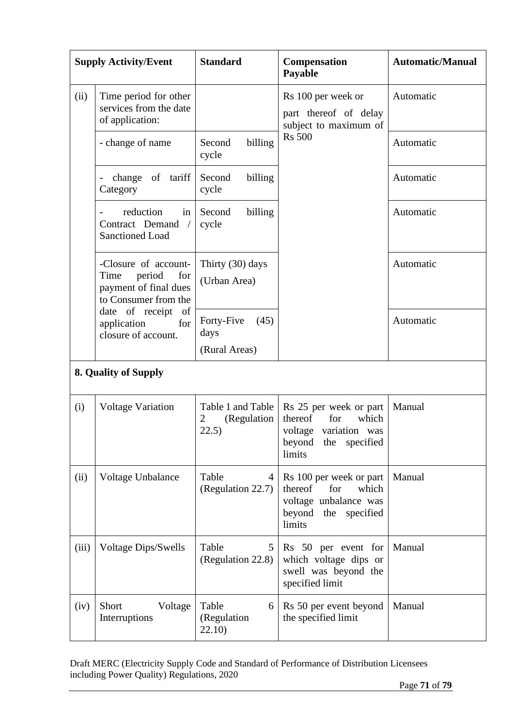|       | <b>Supply Activity/Event</b>                                                                                                                                      | <b>Standard</b>                                | <b>Compensation</b><br>Payable                                                                                      | <b>Automatic/Manual</b> |
|-------|-------------------------------------------------------------------------------------------------------------------------------------------------------------------|------------------------------------------------|---------------------------------------------------------------------------------------------------------------------|-------------------------|
| (ii)  | Rs 100 per week or<br>Time period for other<br>services from the date<br>of application:                                                                          | part thereof of delay<br>subject to maximum of | Automatic                                                                                                           |                         |
|       | - change of name                                                                                                                                                  | billing<br>Second<br>cycle                     | <b>Rs</b> 500                                                                                                       | Automatic               |
|       | of tariff<br>change<br>Category                                                                                                                                   | Second<br>billing<br>cycle                     |                                                                                                                     | Automatic               |
|       | reduction<br>in<br>Contract Demand<br>$\sqrt{2}$<br><b>Sanctioned Load</b>                                                                                        | Second<br>billing<br>cycle                     |                                                                                                                     | Automatic               |
|       | -Closure of account-<br>Time<br>period<br>for<br>payment of final dues<br>to Consumer from the<br>date of receipt of<br>application<br>for<br>closure of account. | Thirty (30) days<br>(Urban Area)               |                                                                                                                     | Automatic               |
|       |                                                                                                                                                                   | Forty-Five<br>(45)<br>days<br>(Rural Areas)    |                                                                                                                     | Automatic               |
|       | <b>8. Quality of Supply</b>                                                                                                                                       |                                                |                                                                                                                     |                         |
| (i)   | <b>Voltage Variation</b>                                                                                                                                          | Table 1 and Table<br>(Regulation<br>2<br>22.5) | Rs 25 per week or part<br>thereof<br>which<br>for<br>voltage variation was<br>beyond<br>the<br>specified<br>limits  | Manual                  |
| (ii)  | Voltage Unbalance                                                                                                                                                 | Table<br>4<br>(Regulation 22.7)                | Rs 100 per week or part<br>thereof<br>for<br>which<br>voltage unbalance was<br>beyond<br>the<br>specified<br>limits | Manual                  |
| (iii) | <b>Voltage Dips/Swells</b>                                                                                                                                        | Table<br>5<br>(Regulation 22.8)                | Rs 50 per event for<br>which voltage dips or<br>swell was beyond the<br>specified limit                             | Manual                  |
| (iv)  | Voltage<br>Short<br>Interruptions                                                                                                                                 | Table<br>6<br>(Regulation<br>22.10)            | Rs 50 per event beyond<br>the specified limit                                                                       | Manual                  |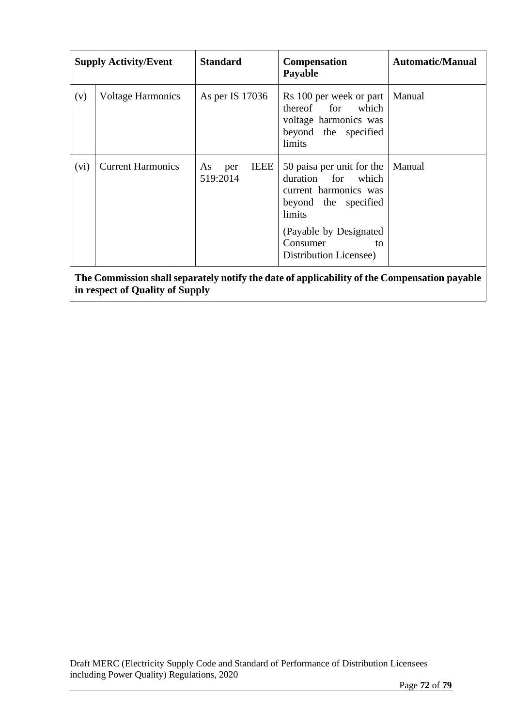| <b>Supply Activity/Event</b>                                                                                                    |                          | <b>Standard</b>                      | <b>Compensation</b><br>Payable                                                                                                           | <b>Automatic/Manual</b> |
|---------------------------------------------------------------------------------------------------------------------------------|--------------------------|--------------------------------------|------------------------------------------------------------------------------------------------------------------------------------------|-------------------------|
| (v)                                                                                                                             | <b>Voltage Harmonics</b> | As per IS 17036                      | Rs 100 per week or part<br>thereof for<br>which<br>voltage harmonics was<br>beyond the specified<br>limits                               | Manual                  |
| (vi)                                                                                                                            | <b>Current Harmonics</b> | <b>IEEE</b><br>per<br>As<br>519:2014 | 50 paisa per unit for the<br>duration for<br>which<br>current harmonics was<br>beyond the specified<br>limits<br>(Payable by Designated) | Manual                  |
|                                                                                                                                 |                          |                                      | Consumer<br>tΩ<br>Distribution Licensee)                                                                                                 |                         |
| The Commission shall separately notify the date of applicability of the Compensation payable<br>in respect of Quality of Supply |                          |                                      |                                                                                                                                          |                         |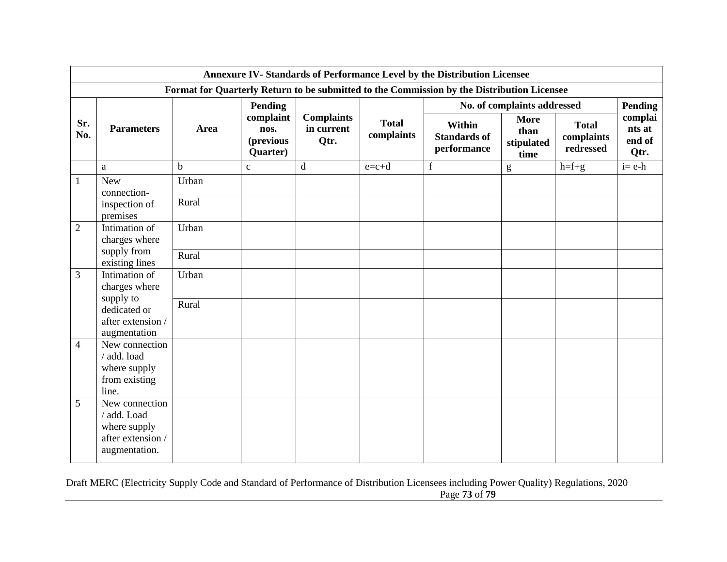|                | Annexure IV-Standards of Performance Level by the Distribution Licensee                    |              |                                                                                       |                            |                                              |                                           |                                                                                                                                                                                                                                                                                                                                                                                                                                |                                     |           |  |
|----------------|--------------------------------------------------------------------------------------------|--------------|---------------------------------------------------------------------------------------|----------------------------|----------------------------------------------|-------------------------------------------|--------------------------------------------------------------------------------------------------------------------------------------------------------------------------------------------------------------------------------------------------------------------------------------------------------------------------------------------------------------------------------------------------------------------------------|-------------------------------------|-----------|--|
|                | Format for Quarterly Return to be submitted to the Commission by the Distribution Licensee |              |                                                                                       |                            |                                              |                                           |                                                                                                                                                                                                                                                                                                                                                                                                                                |                                     |           |  |
|                | <b>Parameters</b>                                                                          |              | Pending                                                                               |                            |                                              | No. of complaints addressed               | Pending                                                                                                                                                                                                                                                                                                                                                                                                                        |                                     |           |  |
| Sr.<br>No.     |                                                                                            | Area         | complaint<br><b>Complaints</b><br>in current<br>nos.<br>(previous<br>Qtr.<br>Quarter) | <b>Total</b><br>complaints | Within<br><b>Standards of</b><br>performance | <b>More</b><br>than<br>stipulated<br>time | <b>Total</b><br>complaints<br>redressed                                                                                                                                                                                                                                                                                                                                                                                        | complai<br>nts at<br>end of<br>Qtr. |           |  |
|                | a                                                                                          | $\mathbf{h}$ | $\mathbf{c}$                                                                          | $\mathbf{d}$               | $e=c+d$                                      | $\mathbf f$                               | $\mathbf{g}% _{T}=\mathbf{g}_{T}=\mathbf{g}_{T}=\mathbf{g}_{T}=\mathbf{g}_{T}=\mathbf{g}_{T}=\mathbf{g}_{T}=\mathbf{g}_{T}=\mathbf{g}_{T}=\mathbf{g}_{T}=\mathbf{g}_{T}=\mathbf{g}_{T}=\mathbf{g}_{T}=\mathbf{g}_{T}=\mathbf{g}_{T}=\mathbf{g}_{T}=\mathbf{g}_{T}=\mathbf{g}_{T}=\mathbf{g}_{T}=\mathbf{g}_{T}=\mathbf{g}_{T}=\mathbf{g}_{T}=\mathbf{g}_{T}=\mathbf{g}_{T}=\mathbf{g}_{T}=\mathbf{g}_{T}=\mathbf{g}_{T}=\math$ | $h=f+g$                             | $i = e-h$ |  |
| $\mathbf{1}$   | <b>New</b><br>connection-                                                                  | Urban        |                                                                                       |                            |                                              |                                           |                                                                                                                                                                                                                                                                                                                                                                                                                                |                                     |           |  |
|                | inspection of<br>premises                                                                  | Rural        |                                                                                       |                            |                                              |                                           |                                                                                                                                                                                                                                                                                                                                                                                                                                |                                     |           |  |
| $\overline{2}$ | Intimation of<br>charges where                                                             | Urban        |                                                                                       |                            |                                              |                                           |                                                                                                                                                                                                                                                                                                                                                                                                                                |                                     |           |  |
|                | supply from<br>existing lines                                                              | Rural        |                                                                                       |                            |                                              |                                           |                                                                                                                                                                                                                                                                                                                                                                                                                                |                                     |           |  |
| 3              | Intimation of<br>charges where                                                             | Urban        |                                                                                       |                            |                                              |                                           |                                                                                                                                                                                                                                                                                                                                                                                                                                |                                     |           |  |
|                | supply to<br>dedicated or                                                                  | Rural        |                                                                                       |                            |                                              |                                           |                                                                                                                                                                                                                                                                                                                                                                                                                                |                                     |           |  |
|                | after extension /<br>augmentation                                                          |              |                                                                                       |                            |                                              |                                           |                                                                                                                                                                                                                                                                                                                                                                                                                                |                                     |           |  |
| $\overline{4}$ | New connection<br>/ add. load                                                              |              |                                                                                       |                            |                                              |                                           |                                                                                                                                                                                                                                                                                                                                                                                                                                |                                     |           |  |
|                | where supply<br>from existing<br>line.                                                     |              |                                                                                       |                            |                                              |                                           |                                                                                                                                                                                                                                                                                                                                                                                                                                |                                     |           |  |
| 5              | New connection<br>/ add. Load<br>where supply<br>after extension /<br>augmentation.        |              |                                                                                       |                            |                                              |                                           |                                                                                                                                                                                                                                                                                                                                                                                                                                |                                     |           |  |
|                |                                                                                            |              |                                                                                       |                            |                                              |                                           |                                                                                                                                                                                                                                                                                                                                                                                                                                |                                     |           |  |

Draft MERC (Electricity Supply Code and Standard of Performance of Distribution Licensees including Power Quality) Regulations, 2020 Page **73** of **79**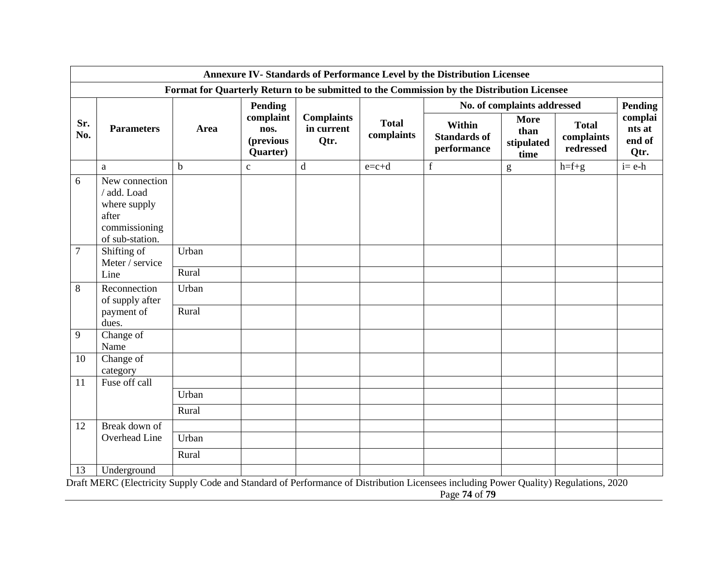|                |                                                                                            |             |                                            |                                         |                            | Annexure IV-Standards of Performance Level by the Distribution Licensee                                                                               |                                                                                                                                                                                                                                                                                                                                                                                                                                |                                         |                                     |  |
|----------------|--------------------------------------------------------------------------------------------|-------------|--------------------------------------------|-----------------------------------------|----------------------------|-------------------------------------------------------------------------------------------------------------------------------------------------------|--------------------------------------------------------------------------------------------------------------------------------------------------------------------------------------------------------------------------------------------------------------------------------------------------------------------------------------------------------------------------------------------------------------------------------|-----------------------------------------|-------------------------------------|--|
|                | Format for Quarterly Return to be submitted to the Commission by the Distribution Licensee |             |                                            |                                         |                            |                                                                                                                                                       |                                                                                                                                                                                                                                                                                                                                                                                                                                |                                         |                                     |  |
|                |                                                                                            |             | Pending                                    |                                         |                            | No. of complaints addressed                                                                                                                           | <b>Pending</b>                                                                                                                                                                                                                                                                                                                                                                                                                 |                                         |                                     |  |
| Sr.<br>No.     | <b>Parameters</b>                                                                          | Area        | complaint<br>nos.<br>(previous<br>Quarter) | <b>Complaints</b><br>in current<br>Qtr. | <b>Total</b><br>complaints | Within<br><b>Standards of</b><br>performance                                                                                                          | <b>More</b><br>than<br>stipulated<br>time                                                                                                                                                                                                                                                                                                                                                                                      | <b>Total</b><br>complaints<br>redressed | complai<br>nts at<br>end of<br>Qtr. |  |
|                | a                                                                                          | $\mathbf b$ | $\mathbf{C}$                               | d                                       | $e = c + d$                | $\mathbf f$                                                                                                                                           | $\mathbf{g}% _{T}=\mathbf{g}_{T}=\mathbf{g}_{T}=\mathbf{g}_{T}=\mathbf{g}_{T}=\mathbf{g}_{T}=\mathbf{g}_{T}=\mathbf{g}_{T}=\mathbf{g}_{T}=\mathbf{g}_{T}=\mathbf{g}_{T}=\mathbf{g}_{T}=\mathbf{g}_{T}=\mathbf{g}_{T}=\mathbf{g}_{T}=\mathbf{g}_{T}=\mathbf{g}_{T}=\mathbf{g}_{T}=\mathbf{g}_{T}=\mathbf{g}_{T}=\mathbf{g}_{T}=\mathbf{g}_{T}=\mathbf{g}_{T}=\mathbf{g}_{T}=\mathbf{g}_{T}=\mathbf{g}_{T}=\mathbf{g}_{T}=\math$ | $h=f+g$                                 | $i = e-h$                           |  |
| 6              | New connection<br>/ add. Load<br>where supply<br>after<br>commissioning<br>of sub-station. |             |                                            |                                         |                            |                                                                                                                                                       |                                                                                                                                                                                                                                                                                                                                                                                                                                |                                         |                                     |  |
| $\overline{7}$ | Shifting of<br>Meter / service                                                             | Urban       |                                            |                                         |                            |                                                                                                                                                       |                                                                                                                                                                                                                                                                                                                                                                                                                                |                                         |                                     |  |
|                | Line                                                                                       | Rural       |                                            |                                         |                            |                                                                                                                                                       |                                                                                                                                                                                                                                                                                                                                                                                                                                |                                         |                                     |  |
| 8              | Reconnection<br>of supply after                                                            | Urban       |                                            |                                         |                            |                                                                                                                                                       |                                                                                                                                                                                                                                                                                                                                                                                                                                |                                         |                                     |  |
|                | payment of<br>dues.                                                                        | Rural       |                                            |                                         |                            |                                                                                                                                                       |                                                                                                                                                                                                                                                                                                                                                                                                                                |                                         |                                     |  |
| 9              | Change of<br>Name                                                                          |             |                                            |                                         |                            |                                                                                                                                                       |                                                                                                                                                                                                                                                                                                                                                                                                                                |                                         |                                     |  |
| 10             | Change of<br>category                                                                      |             |                                            |                                         |                            |                                                                                                                                                       |                                                                                                                                                                                                                                                                                                                                                                                                                                |                                         |                                     |  |
| 11             | Fuse off call                                                                              |             |                                            |                                         |                            |                                                                                                                                                       |                                                                                                                                                                                                                                                                                                                                                                                                                                |                                         |                                     |  |
|                |                                                                                            | Urban       |                                            |                                         |                            |                                                                                                                                                       |                                                                                                                                                                                                                                                                                                                                                                                                                                |                                         |                                     |  |
|                |                                                                                            | Rural       |                                            |                                         |                            |                                                                                                                                                       |                                                                                                                                                                                                                                                                                                                                                                                                                                |                                         |                                     |  |
| 12             | Break down of                                                                              |             |                                            |                                         |                            |                                                                                                                                                       |                                                                                                                                                                                                                                                                                                                                                                                                                                |                                         |                                     |  |
|                | Overhead Line                                                                              | Urban       |                                            |                                         |                            |                                                                                                                                                       |                                                                                                                                                                                                                                                                                                                                                                                                                                |                                         |                                     |  |
|                |                                                                                            | Rural       |                                            |                                         |                            |                                                                                                                                                       |                                                                                                                                                                                                                                                                                                                                                                                                                                |                                         |                                     |  |
| 13             | Underground                                                                                |             |                                            |                                         |                            |                                                                                                                                                       |                                                                                                                                                                                                                                                                                                                                                                                                                                |                                         |                                     |  |
|                |                                                                                            |             |                                            |                                         |                            | Draft MERC (Electricity Supply Code and Standard of Performance of Distribution Licensees including Power Quality) Regulations, 2020<br>Page 74 of 79 |                                                                                                                                                                                                                                                                                                                                                                                                                                |                                         |                                     |  |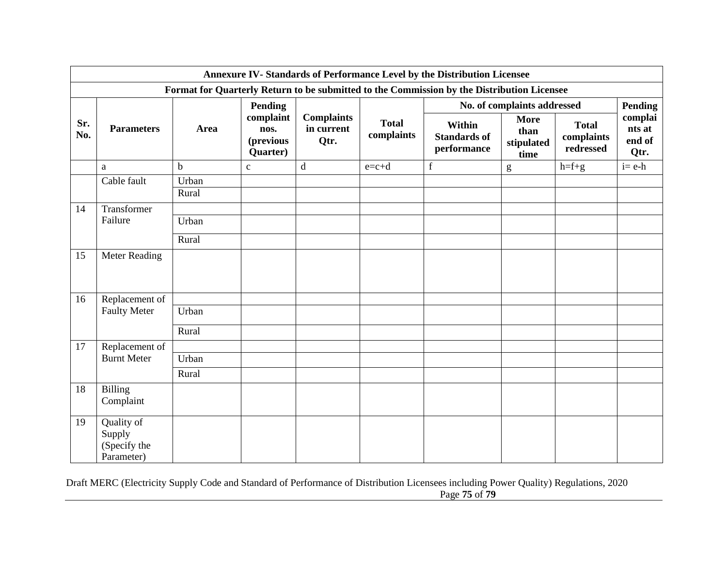|            | Annexure IV-Standards of Performance Level by the Distribution Licensee                    |             |                                            |                                         |                            |                                              |                                                                                                                                                                                                                                                                                                                                                                                                                                |                                         |                                     |  |
|------------|--------------------------------------------------------------------------------------------|-------------|--------------------------------------------|-----------------------------------------|----------------------------|----------------------------------------------|--------------------------------------------------------------------------------------------------------------------------------------------------------------------------------------------------------------------------------------------------------------------------------------------------------------------------------------------------------------------------------------------------------------------------------|-----------------------------------------|-------------------------------------|--|
|            | Format for Quarterly Return to be submitted to the Commission by the Distribution Licensee |             |                                            |                                         |                            |                                              |                                                                                                                                                                                                                                                                                                                                                                                                                                |                                         |                                     |  |
|            | <b>Parameters</b>                                                                          |             | Pending                                    |                                         |                            | No. of complaints addressed                  | Pending                                                                                                                                                                                                                                                                                                                                                                                                                        |                                         |                                     |  |
| Sr.<br>No. |                                                                                            | Area        | complaint<br>nos.<br>(previous<br>Quarter) | <b>Complaints</b><br>in current<br>Qtr. | <b>Total</b><br>complaints | Within<br><b>Standards of</b><br>performance | <b>More</b><br>than<br>stipulated<br>time                                                                                                                                                                                                                                                                                                                                                                                      | <b>Total</b><br>complaints<br>redressed | complai<br>nts at<br>end of<br>Qtr. |  |
|            | a                                                                                          | $\mathbf b$ | $\mathbf{c}$                               | $\mathbf d$                             | $e=c+d$                    | $\mathbf f$                                  | $\mathbf{g}% _{T}=\mathbf{g}_{T}=\mathbf{g}_{T}=\mathbf{g}_{T}=\mathbf{g}_{T}=\mathbf{g}_{T}=\mathbf{g}_{T}=\mathbf{g}_{T}=\mathbf{g}_{T}=\mathbf{g}_{T}=\mathbf{g}_{T}=\mathbf{g}_{T}=\mathbf{g}_{T}=\mathbf{g}_{T}=\mathbf{g}_{T}=\mathbf{g}_{T}=\mathbf{g}_{T}=\mathbf{g}_{T}=\mathbf{g}_{T}=\mathbf{g}_{T}=\mathbf{g}_{T}=\mathbf{g}_{T}=\mathbf{g}_{T}=\mathbf{g}_{T}=\mathbf{g}_{T}=\mathbf{g}_{T}=\mathbf{g}_{T}=\math$ | $h=f+g$                                 | $i = e-h$                           |  |
|            | Cable fault                                                                                | Urban       |                                            |                                         |                            |                                              |                                                                                                                                                                                                                                                                                                                                                                                                                                |                                         |                                     |  |
|            |                                                                                            | Rural       |                                            |                                         |                            |                                              |                                                                                                                                                                                                                                                                                                                                                                                                                                |                                         |                                     |  |
| 14         | Transformer                                                                                |             |                                            |                                         |                            |                                              |                                                                                                                                                                                                                                                                                                                                                                                                                                |                                         |                                     |  |
|            | Failure                                                                                    | Urban       |                                            |                                         |                            |                                              |                                                                                                                                                                                                                                                                                                                                                                                                                                |                                         |                                     |  |
|            |                                                                                            | Rural       |                                            |                                         |                            |                                              |                                                                                                                                                                                                                                                                                                                                                                                                                                |                                         |                                     |  |
| 15         | <b>Meter Reading</b>                                                                       |             |                                            |                                         |                            |                                              |                                                                                                                                                                                                                                                                                                                                                                                                                                |                                         |                                     |  |
| 16         | Replacement of                                                                             |             |                                            |                                         |                            |                                              |                                                                                                                                                                                                                                                                                                                                                                                                                                |                                         |                                     |  |
|            | <b>Faulty Meter</b>                                                                        | Urban       |                                            |                                         |                            |                                              |                                                                                                                                                                                                                                                                                                                                                                                                                                |                                         |                                     |  |
|            |                                                                                            | Rural       |                                            |                                         |                            |                                              |                                                                                                                                                                                                                                                                                                                                                                                                                                |                                         |                                     |  |
| 17         | Replacement of                                                                             |             |                                            |                                         |                            |                                              |                                                                                                                                                                                                                                                                                                                                                                                                                                |                                         |                                     |  |
|            | <b>Burnt Meter</b>                                                                         | Urban       |                                            |                                         |                            |                                              |                                                                                                                                                                                                                                                                                                                                                                                                                                |                                         |                                     |  |
|            |                                                                                            | Rural       |                                            |                                         |                            |                                              |                                                                                                                                                                                                                                                                                                                                                                                                                                |                                         |                                     |  |
| 18         | <b>Billing</b><br>Complaint                                                                |             |                                            |                                         |                            |                                              |                                                                                                                                                                                                                                                                                                                                                                                                                                |                                         |                                     |  |
| 19         | Quality of<br>Supply<br>(Specify the<br>Parameter)                                         |             |                                            |                                         |                            |                                              |                                                                                                                                                                                                                                                                                                                                                                                                                                |                                         |                                     |  |

Draft MERC (Electricity Supply Code and Standard of Performance of Distribution Licensees including Power Quality) Regulations, 2020 Page **75** of **79**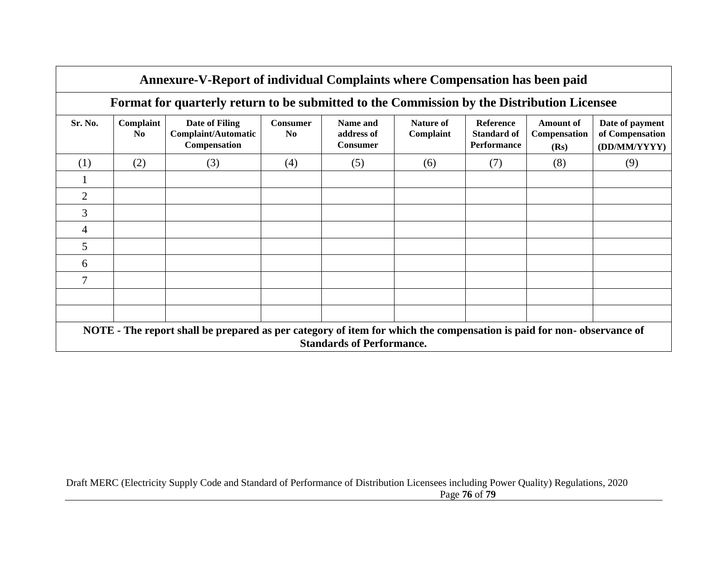|                | Annexure-V-Report of individual Complaints where Compensation has been paid                                                                              |                                                              |                                   |                                           |                        |                                                              |                                   |                                                    |  |  |
|----------------|----------------------------------------------------------------------------------------------------------------------------------------------------------|--------------------------------------------------------------|-----------------------------------|-------------------------------------------|------------------------|--------------------------------------------------------------|-----------------------------------|----------------------------------------------------|--|--|
|                | Format for quarterly return to be submitted to the Commission by the Distribution Licensee                                                               |                                                              |                                   |                                           |                        |                                                              |                                   |                                                    |  |  |
| Sr. No.        | Complaint<br>N <sub>0</sub>                                                                                                                              | Date of Filing<br><b>Complaint/Automatic</b><br>Compensation | <b>Consumer</b><br>N <sub>0</sub> | Name and<br>address of<br><b>Consumer</b> | Nature of<br>Complaint | <b>Reference</b><br><b>Standard of</b><br><b>Performance</b> | Amount of<br>Compensation<br>(Rs) | Date of payment<br>of Compensation<br>(DD/MM/YYYY) |  |  |
| (1)            | (2)                                                                                                                                                      | (3)                                                          | (4)                               | (5)                                       | (6)                    | (7)                                                          | (8)                               | (9)                                                |  |  |
|                |                                                                                                                                                          |                                                              |                                   |                                           |                        |                                                              |                                   |                                                    |  |  |
| $\overline{2}$ |                                                                                                                                                          |                                                              |                                   |                                           |                        |                                                              |                                   |                                                    |  |  |
| 3              |                                                                                                                                                          |                                                              |                                   |                                           |                        |                                                              |                                   |                                                    |  |  |
| 4              |                                                                                                                                                          |                                                              |                                   |                                           |                        |                                                              |                                   |                                                    |  |  |
| $\mathfrak{S}$ |                                                                                                                                                          |                                                              |                                   |                                           |                        |                                                              |                                   |                                                    |  |  |
| 6              |                                                                                                                                                          |                                                              |                                   |                                           |                        |                                                              |                                   |                                                    |  |  |
| $\overline{7}$ |                                                                                                                                                          |                                                              |                                   |                                           |                        |                                                              |                                   |                                                    |  |  |
|                |                                                                                                                                                          |                                                              |                                   |                                           |                        |                                                              |                                   |                                                    |  |  |
|                |                                                                                                                                                          |                                                              |                                   |                                           |                        |                                                              |                                   |                                                    |  |  |
|                | NOTE - The report shall be prepared as per category of item for which the compensation is paid for non-observance of<br><b>Standards of Performance.</b> |                                                              |                                   |                                           |                        |                                                              |                                   |                                                    |  |  |

Draft MERC (Electricity Supply Code and Standard of Performance of Distribution Licensees including Power Quality) Regulations, 2020 Page **76** of **79**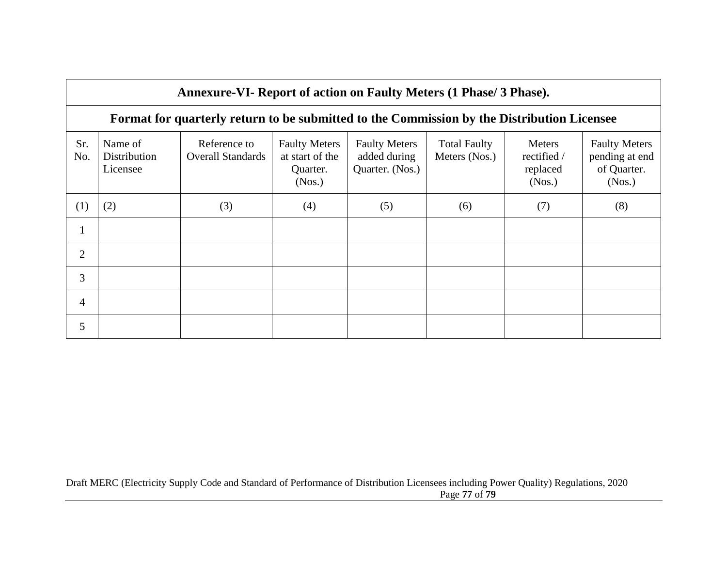|                | Annexure-VI- Report of action on Faulty Meters (1 Phase/ 3 Phase).                         |                                          |                                                               |                                                         |                                      |                                                    |                                                                 |  |  |
|----------------|--------------------------------------------------------------------------------------------|------------------------------------------|---------------------------------------------------------------|---------------------------------------------------------|--------------------------------------|----------------------------------------------------|-----------------------------------------------------------------|--|--|
|                | Format for quarterly return to be submitted to the Commission by the Distribution Licensee |                                          |                                                               |                                                         |                                      |                                                    |                                                                 |  |  |
| Sr.<br>No.     | Name of<br>Distribution<br>Licensee                                                        | Reference to<br><b>Overall Standards</b> | <b>Faulty Meters</b><br>at start of the<br>Quarter.<br>(Nos.) | <b>Faulty Meters</b><br>added during<br>Quarter. (Nos.) | <b>Total Faulty</b><br>Meters (Nos.) | <b>Meters</b><br>rectified /<br>replaced<br>(Nos.) | <b>Faulty Meters</b><br>pending at end<br>of Quarter.<br>(Nos.) |  |  |
| (1)            | (2)                                                                                        | (3)                                      | (4)                                                           | (5)                                                     | (6)                                  | (7)                                                | (8)                                                             |  |  |
|                |                                                                                            |                                          |                                                               |                                                         |                                      |                                                    |                                                                 |  |  |
| $\overline{2}$ |                                                                                            |                                          |                                                               |                                                         |                                      |                                                    |                                                                 |  |  |
| 3              |                                                                                            |                                          |                                                               |                                                         |                                      |                                                    |                                                                 |  |  |
| $\overline{4}$ |                                                                                            |                                          |                                                               |                                                         |                                      |                                                    |                                                                 |  |  |
| 5              |                                                                                            |                                          |                                                               |                                                         |                                      |                                                    |                                                                 |  |  |

Draft MERC (Electricity Supply Code and Standard of Performance of Distribution Licensees including Power Quality) Regulations, 2020 Page **77** of **79**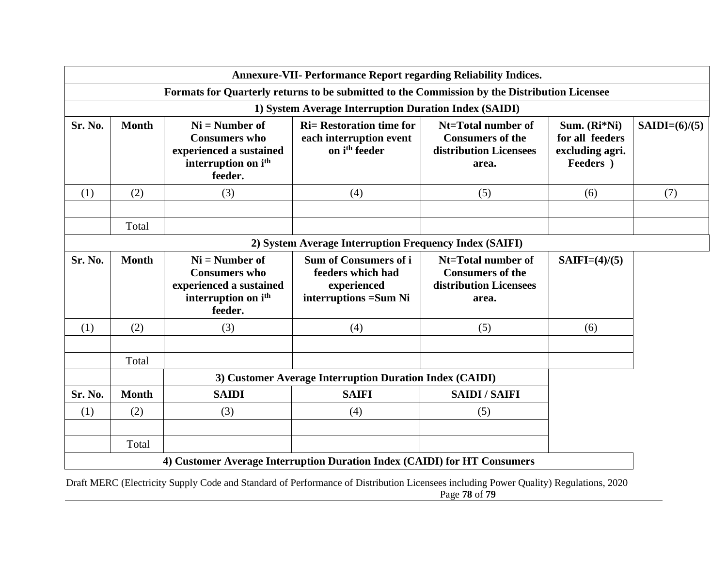|         |              |                                                                                                                   | <b>Annexure-VII- Performance Report regarding Reliability Indices.</b>                                                               |                                                                                  |                                                                 |                 |
|---------|--------------|-------------------------------------------------------------------------------------------------------------------|--------------------------------------------------------------------------------------------------------------------------------------|----------------------------------------------------------------------------------|-----------------------------------------------------------------|-----------------|
|         |              |                                                                                                                   | Formats for Quarterly returns to be submitted to the Commission by the Distribution Licensee                                         |                                                                                  |                                                                 |                 |
|         |              |                                                                                                                   | 1) System Average Interruption Duration Index (SAIDI)                                                                                |                                                                                  |                                                                 |                 |
| Sr. No. | <b>Month</b> | $Ni = Number of$<br><b>Consumers who</b><br>experienced a sustained<br>interruption on i <sup>th</sup><br>feeder. | <b>Ri= Restoration time for</b><br>each interruption event<br>on i <sup>th</sup> feeder                                              | Nt=Total number of<br><b>Consumers of the</b><br>distribution Licensees<br>area. | Sum. (Ri*Ni)<br>for all feeders<br>excluding agri.<br>Feeders ) | $SAIDI=(6)/(5)$ |
| (1)     | (2)          | (3)                                                                                                               | (4)                                                                                                                                  | (5)                                                                              | (6)                                                             | (7)             |
|         |              |                                                                                                                   |                                                                                                                                      |                                                                                  |                                                                 |                 |
|         | Total        |                                                                                                                   |                                                                                                                                      |                                                                                  |                                                                 |                 |
|         |              |                                                                                                                   | 2) System Average Interruption Frequency Index (SAIFI)                                                                               |                                                                                  |                                                                 |                 |
| Sr. No. | <b>Month</b> | $Ni = Number of$<br><b>Consumers who</b><br>experienced a sustained<br>interruption on i <sup>th</sup><br>feeder. | Sum of Consumers of i<br>feeders which had<br>experienced<br>interruptions = Sum Ni                                                  | Nt=Total number of<br><b>Consumers of the</b><br>distribution Licensees<br>area. | $SAIFI=(4)/(5)$                                                 |                 |
| (1)     | (2)          | (3)                                                                                                               | (4)                                                                                                                                  | (5)                                                                              | (6)                                                             |                 |
|         |              |                                                                                                                   |                                                                                                                                      |                                                                                  |                                                                 |                 |
|         | Total        |                                                                                                                   |                                                                                                                                      |                                                                                  |                                                                 |                 |
|         |              |                                                                                                                   | 3) Customer Average Interruption Duration Index (CAIDI)                                                                              |                                                                                  |                                                                 |                 |
| Sr. No. | <b>Month</b> | <b>SAIDI</b>                                                                                                      | <b>SAIFI</b>                                                                                                                         | <b>SAIDI/SAIFI</b>                                                               |                                                                 |                 |
| (1)     | (2)          | (3)                                                                                                               | (4)                                                                                                                                  | (5)                                                                              |                                                                 |                 |
|         |              |                                                                                                                   |                                                                                                                                      |                                                                                  |                                                                 |                 |
|         | Total        |                                                                                                                   |                                                                                                                                      |                                                                                  |                                                                 |                 |
|         |              |                                                                                                                   | 4) Customer Average Interruption Duration Index (CAIDI) for HT Consumers                                                             |                                                                                  |                                                                 |                 |
|         |              |                                                                                                                   | Draft MERC (Electricity Supply Code and Standard of Performance of Distribution Licensees including Power Quality) Regulations, 2020 | Page 78 of 79                                                                    |                                                                 |                 |